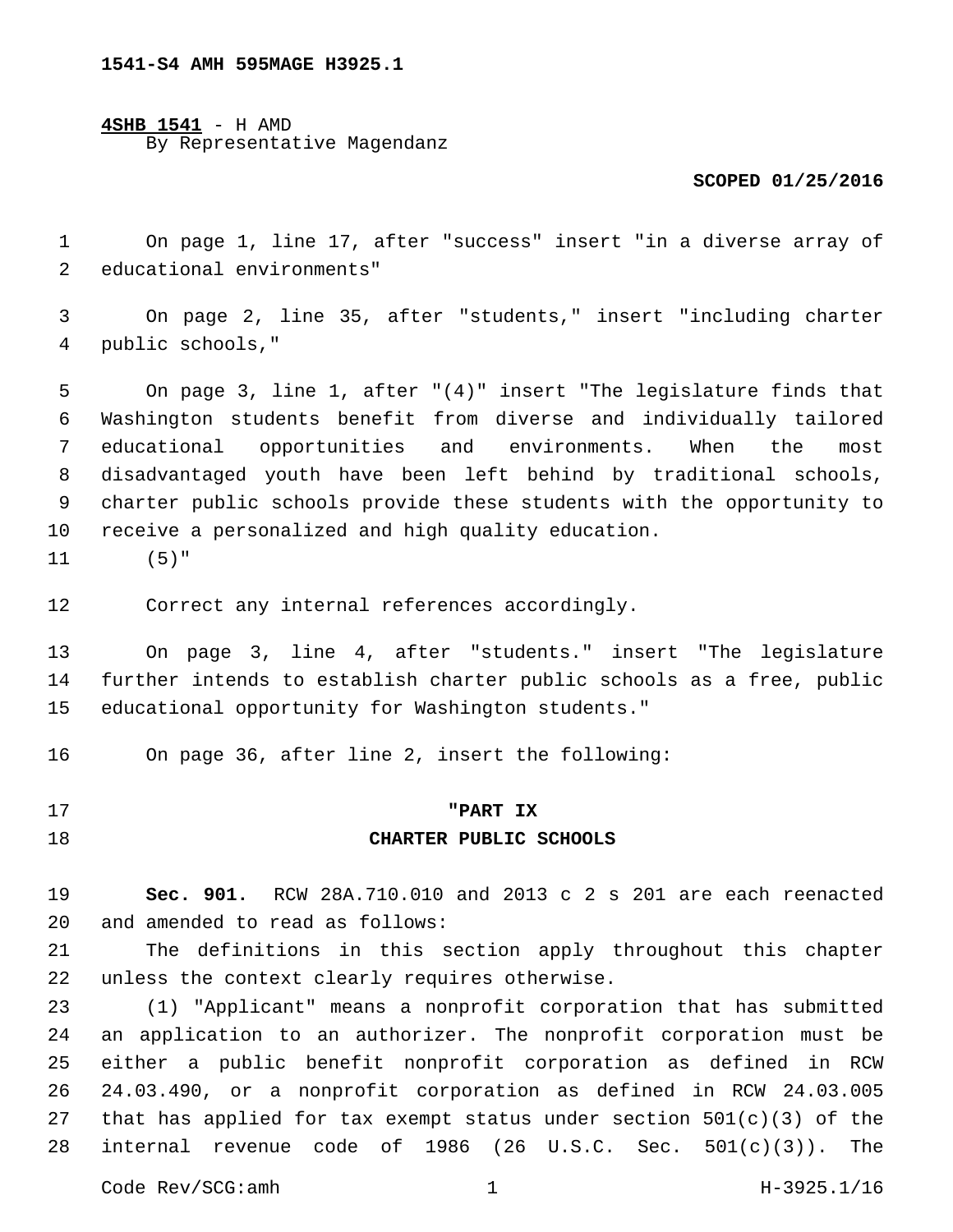**4SHB 1541** - H AMD By Representative Magendanz

### **SCOPED 01/25/2016**

1 On page 1, line 17, after "success" insert "in a diverse array of 2 educational environments"

3 On page 2, line 35, after "students," insert "including charter public schools,"4

 On page 3, line 1, after "(4)" insert "The legislature finds that Washington students benefit from diverse and individually tailored educational opportunities and environments. When the most disadvantaged youth have been left behind by traditional schools, charter public schools provide these students with the opportunity to receive a personalized and high quality education.

(5)"11

12 Correct any internal references accordingly.

13 On page 3, line 4, after "students." insert "The legislature 14 further intends to establish charter public schools as a free, public 15 educational opportunity for Washington students."

16 On page 36, after line 2, insert the following:

#### 17 **"PART IX**

## 18 **CHARTER PUBLIC SCHOOLS**

19 **Sec. 901.** RCW 28A.710.010 and 2013 c 2 s 201 are each reenacted 20 and amended to read as follows:

21 The definitions in this section apply throughout this chapter 22 unless the context clearly requires otherwise.

 (1) "Applicant" means a nonprofit corporation that has submitted an application to an authorizer. The nonprofit corporation must be either a public benefit nonprofit corporation as defined in RCW 24.03.490, or a nonprofit corporation as defined in RCW 24.03.005 27 that has applied for tax exempt status under section  $501(c)(3)$  of the 28 internal revenue code of 1986 (26 U.S.C. Sec.  $501(c)(3)$ ). The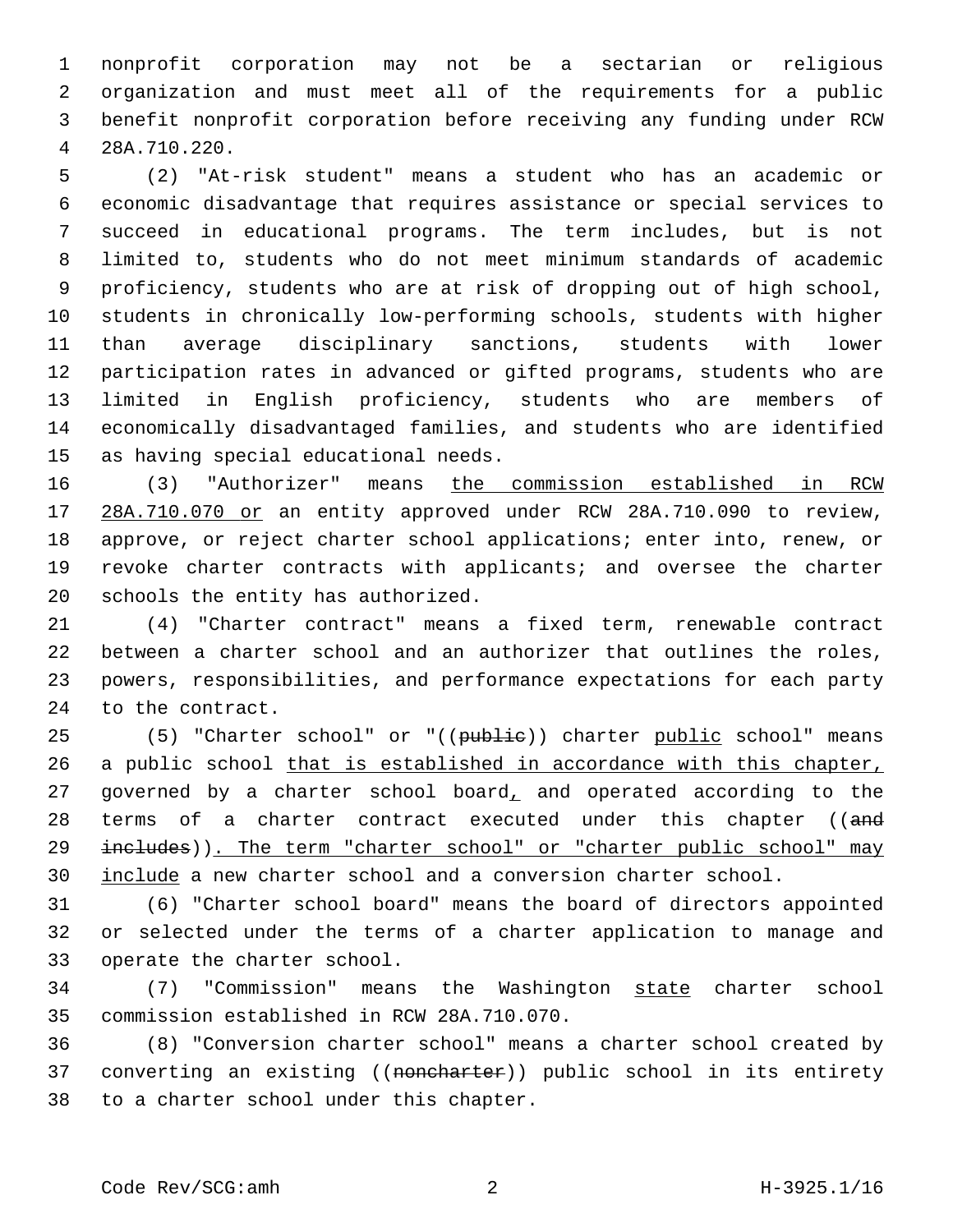nonprofit corporation may not be a sectarian or religious organization and must meet all of the requirements for a public benefit nonprofit corporation before receiving any funding under RCW 28A.710.220.4

 (2) "At-risk student" means a student who has an academic or economic disadvantage that requires assistance or special services to succeed in educational programs. The term includes, but is not limited to, students who do not meet minimum standards of academic proficiency, students who are at risk of dropping out of high school, students in chronically low-performing schools, students with higher than average disciplinary sanctions, students with lower participation rates in advanced or gifted programs, students who are limited in English proficiency, students who are members of economically disadvantaged families, and students who are identified 15 as having special educational needs.

16 (3) "Authorizer" means the commission established in RCW 17 28A.710.070 or an entity approved under RCW 28A.710.090 to review, 18 approve, or reject charter school applications; enter into, renew, or 19 revoke charter contracts with applicants; and oversee the charter 20 schools the entity has authorized.

 (4) "Charter contract" means a fixed term, renewable contract between a charter school and an authorizer that outlines the roles, powers, responsibilities, and performance expectations for each party 24 to the contract.

25 (5) "Charter school" or "((publie)) charter public school" means 26 a public school that is established in accordance with this chapter, 27 governed by a charter school board, and operated according to the 28 terms of a charter contract executed under this chapter ((and 29 includes)). The term "charter school" or "charter public school" may 30 include a new charter school and a conversion charter school.

31 (6) "Charter school board" means the board of directors appointed 32 or selected under the terms of a charter application to manage and 33 operate the charter school.

34 (7) "Commission" means the Washington state charter school 35 commission established in RCW 28A.710.070.

36 (8) "Conversion charter school" means a charter school created by 37 converting an existing ((noncharter)) public school in its entirety 38 to a charter school under this chapter.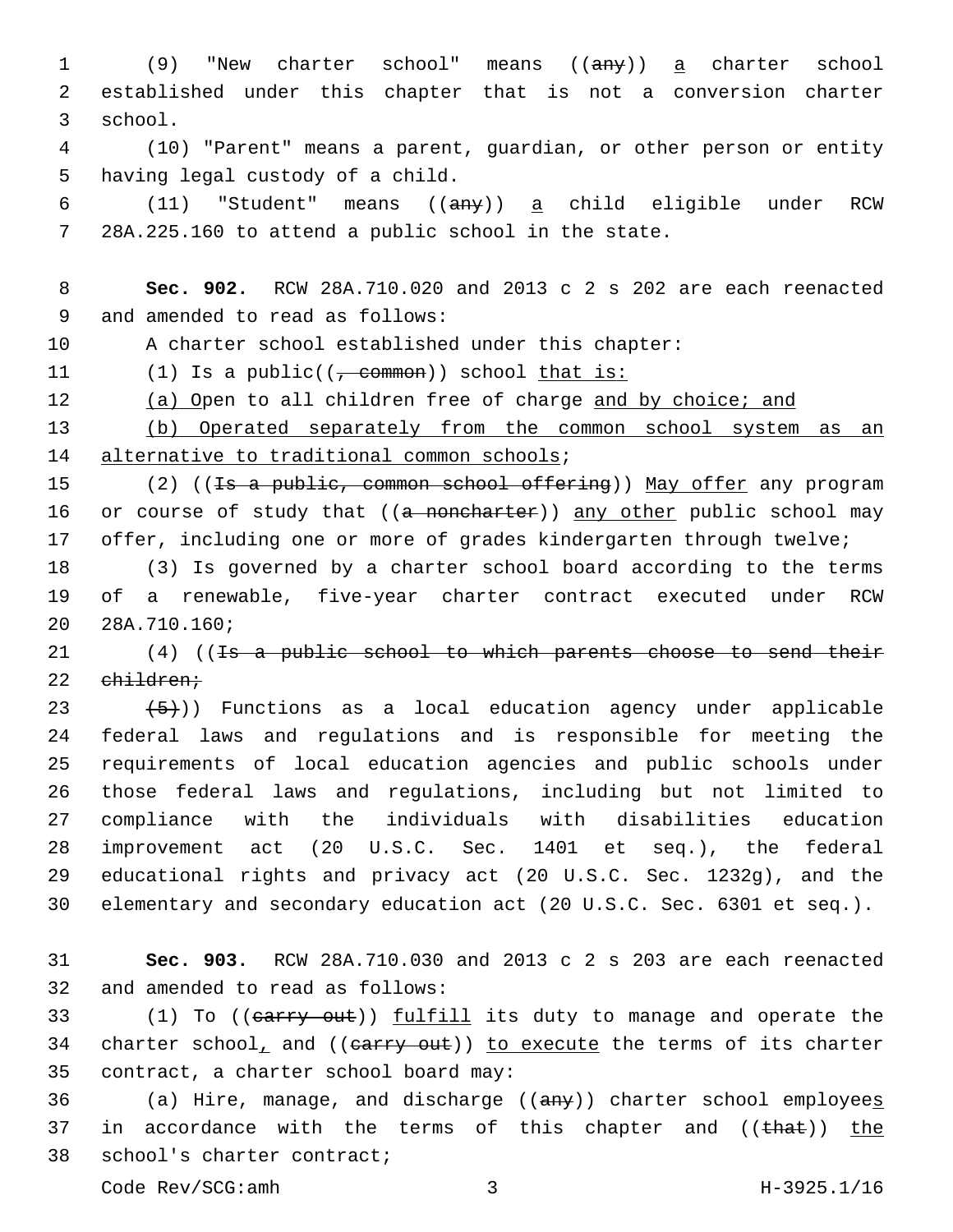1 (9) "New charter school" means ((any)) a charter school 2 established under this chapter that is not a conversion charter 3 school.

4 (10) "Parent" means a parent, guardian, or other person or entity 5 having legal custody of a child.

6 (11) "Student" means ((any)) a child eligible under RCW 7 28A.225.160 to attend a public school in the state.

8 **Sec. 902.** RCW 28A.710.020 and 2013 c 2 s 202 are each reenacted 9 and amended to read as follows:

10 A charter school established under this chapter:

11 (1) Is a public(( $\frac{1}{1 + \text{common}}$ ) school that is:

12 (a) Open to all children free of charge and by choice; and

13 (b) Operated separately from the common school system as an 14 alternative to traditional common schools;

15 (2) ((Is a public, common school offering)) May offer any program 16 or course of study that ((a noncharter)) any other public school may 17 offer, including one or more of grades kindergarten through twelve;

18 (3) Is governed by a charter school board according to the terms 19 of a renewable, five-year charter contract executed under RCW 28A.710.160;20

 $21$  (4) ((Is a public school to which parents choose to send their  $22$  children;

 $(5)$ )) Functions as a local education agency under applicable federal laws and regulations and is responsible for meeting the requirements of local education agencies and public schools under those federal laws and regulations, including but not limited to compliance with the individuals with disabilities education improvement act (20 U.S.C. Sec. 1401 et seq.), the federal educational rights and privacy act (20 U.S.C. Sec. 1232g), and the elementary and secondary education act (20 U.S.C. Sec. 6301 et seq.).

31 **Sec. 903.** RCW 28A.710.030 and 2013 c 2 s 203 are each reenacted 32 and amended to read as follows:

33 (1) To ((earry out)) fulfill its duty to manage and operate the 34 charter school, and (( $\epsilon$ arry out)) to execute the terms of its charter 35 contract, a charter school board may:

36 (a) Hire, manage, and discharge ((any)) charter school employees 37 in accordance with the terms of this chapter and  $((that)$  the 38 school's charter contract;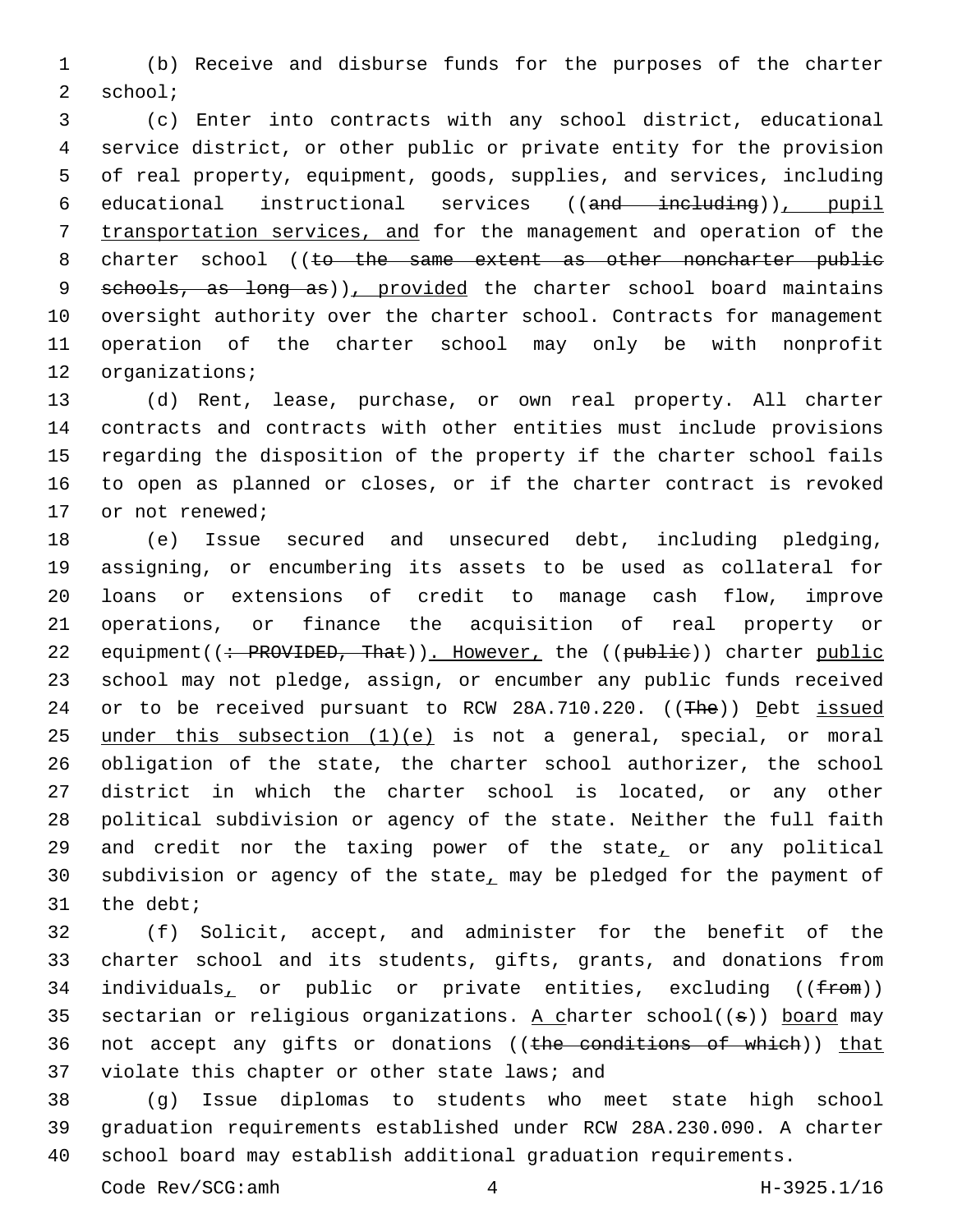(b) Receive and disburse funds for the purposes of the charter 2 school;

 (c) Enter into contracts with any school district, educational service district, or other public or private entity for the provision of real property, equipment, goods, supplies, and services, including educational instructional services ((and including)), pupil transportation services, and for the management and operation of the 8 charter school ((to the same extent as other noncharter public 9 schools, as long as)), provided the charter school board maintains oversight authority over the charter school. Contracts for management operation of the charter school may only be with nonprofit 12 organizations;

 (d) Rent, lease, purchase, or own real property. All charter contracts and contracts with other entities must include provisions regarding the disposition of the property if the charter school fails to open as planned or closes, or if the charter contract is revoked 17 or not renewed;

 (e) Issue secured and unsecured debt, including pledging, assigning, or encumbering its assets to be used as collateral for loans or extensions of credit to manage cash flow, improve operations, or finance the acquisition of real property or 22 equipment( $\left(\div\right)$  PROVIDED, That)). However, the ((public)) charter public school may not pledge, assign, or encumber any public funds received 24 or to be received pursuant to RCW 28A.710.220. ((The)) Debt issued under this subsection (1)(e) is not a general, special, or moral obligation of the state, the charter school authorizer, the school district in which the charter school is located, or any other political subdivision or agency of the state. Neither the full faith and credit nor the taxing power of the state, or any political subdivision or agency of the state, may be pledged for the payment of 31 the debt;

 (f) Solicit, accept, and administer for the benefit of the charter school and its students, gifts, grants, and donations from 34 individuals, or public or private entities, excluding  $( (from))$ 35 sectarian or religious organizations. A charter school( $(s)$ ) board may 36 not accept any gifts or donations ((the conditions of which)) that 37 violate this chapter or other state laws; and

 (g) Issue diplomas to students who meet state high school graduation requirements established under RCW 28A.230.090. A charter school board may establish additional graduation requirements.

Code Rev/SCG:amh 4 H-3925.1/16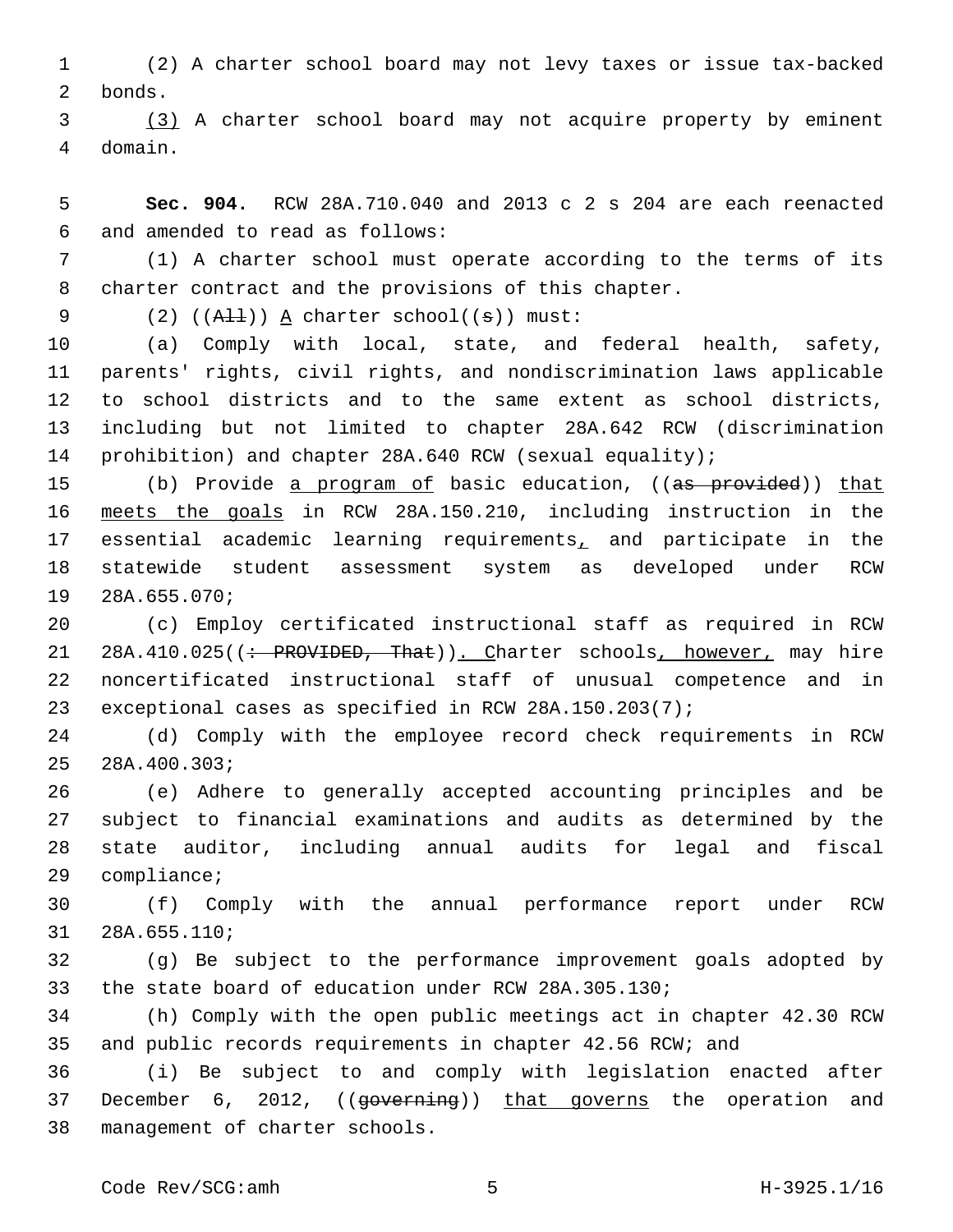(2) A charter school board may not levy taxes or issue tax-backed 2 bonds.

 (3) A charter school board may not acquire property by eminent domain.4

 **Sec. 904.** RCW 28A.710.040 and 2013 c 2 s 204 are each reenacted and amended to read as follows:6

 (1) A charter school must operate according to the terms of its charter contract and the provisions of this chapter.

9  $(2)$   $((A11))$   $A$  charter school((s)) must:

 (a) Comply with local, state, and federal health, safety, parents' rights, civil rights, and nondiscrimination laws applicable to school districts and to the same extent as school districts, including but not limited to chapter 28A.642 RCW (discrimination prohibition) and chapter 28A.640 RCW (sexual equality);

15 (b) Provide a program of basic education, ((as provided)) that meets the goals in RCW 28A.150.210, including instruction in the essential academic learning requirements, and participate in the statewide student assessment system as developed under RCW 19 28A.655.070;

 (c) Employ certificated instructional staff as required in RCW 21 28A.410.025((: PROVIDED, That)). Charter schools, however, may hire noncertificated instructional staff of unusual competence and in exceptional cases as specified in RCW 28A.150.203(7);

 (d) Comply with the employee record check requirements in RCW 28A.400.303;25

 (e) Adhere to generally accepted accounting principles and be subject to financial examinations and audits as determined by the state auditor, including annual audits for legal and fiscal 29 compliance;

 (f) Comply with the annual performance report under RCW 31 28A.655.110;

 (g) Be subject to the performance improvement goals adopted by the state board of education under RCW 28A.305.130;

 (h) Comply with the open public meetings act in chapter 42.30 RCW and public records requirements in chapter 42.56 RCW; and

 (i) Be subject to and comply with legislation enacted after 37 December 6, 2012, ((governing)) that governs the operation and 38 management of charter schools.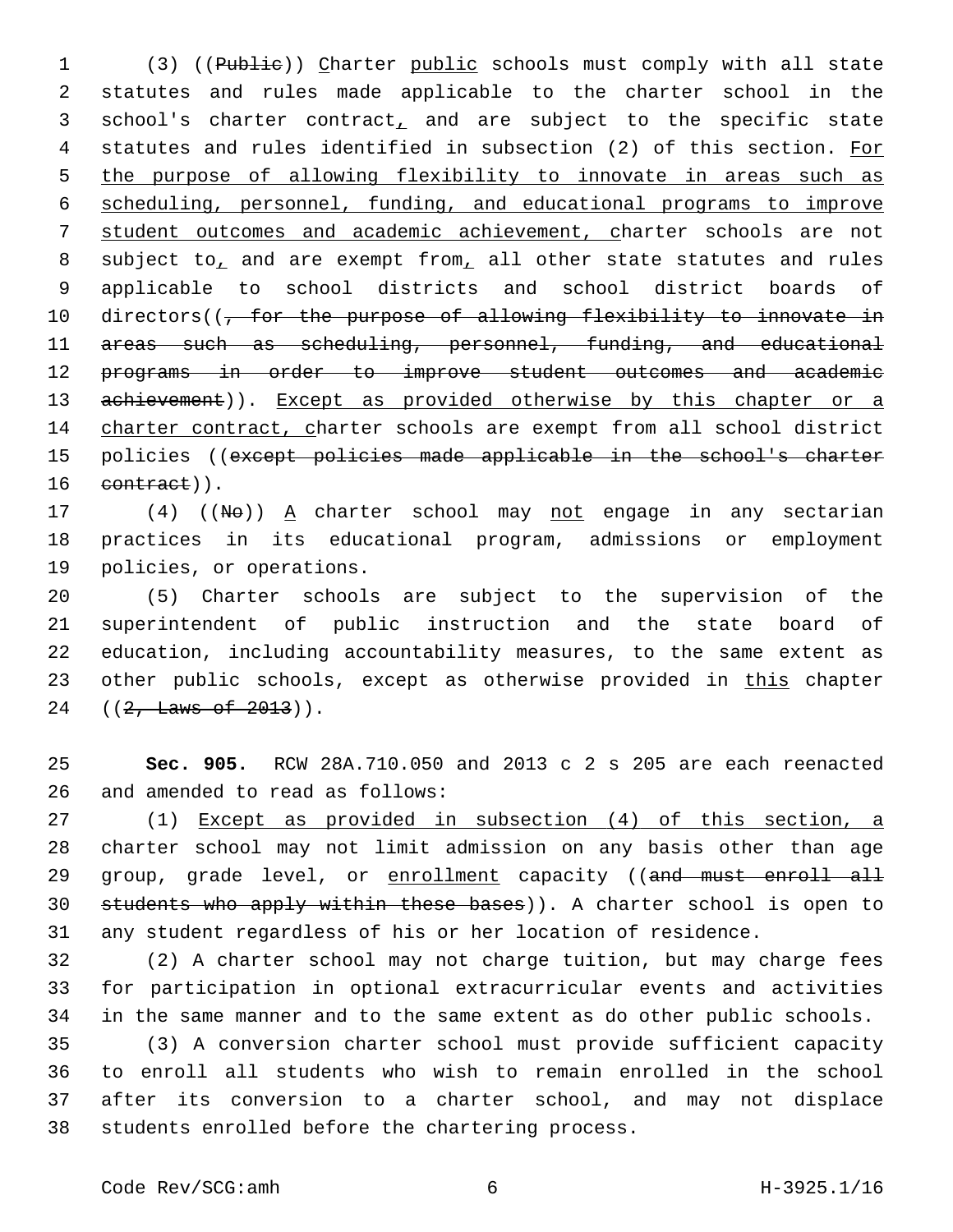(3) ((Public)) Charter public schools must comply with all state statutes and rules made applicable to the charter school in the school's charter contract, and are subject to the specific state 4 statutes and rules identified in subsection (2) of this section. For the purpose of allowing flexibility to innovate in areas such as scheduling, personnel, funding, and educational programs to improve student outcomes and academic achievement, charter schools are not 8 subject to, and are exempt from, all other state statutes and rules applicable to school districts and school district boards of 10 directors((<del>, for the purpose of allowing flexibility to innovate in</del> areas such as scheduling, personnel, funding, and educational programs in order to improve student outcomes and academic 13 achievement)). Except as provided otherwise by this chapter or a charter contract, charter schools are exempt from all school district policies ((except policies made applicable in the school's charter 16 contract)).

17 (4) ((No))  $\underline{A}$  charter school may not engage in any sectarian practices in its educational program, admissions or employment 19 policies, or operations.

 (5) Charter schools are subject to the supervision of the superintendent of public instruction and the state board of education, including accountability measures, to the same extent as 23 other public schools, except as otherwise provided in this chapter  $((2, \text{ Laws of } 2013))$ .

 **Sec. 905.** RCW 28A.710.050 and 2013 c 2 s 205 are each reenacted 26 and amended to read as follows:

 (1) Except as provided in subsection (4) of this section, a charter school may not limit admission on any basis other than age 29 group, grade level, or enrollment capacity ((and must enroll all students who apply within these bases)). A charter school is open to any student regardless of his or her location of residence.

 (2) A charter school may not charge tuition, but may charge fees for participation in optional extracurricular events and activities in the same manner and to the same extent as do other public schools.

 (3) A conversion charter school must provide sufficient capacity to enroll all students who wish to remain enrolled in the school after its conversion to a charter school, and may not displace 38 students enrolled before the chartering process.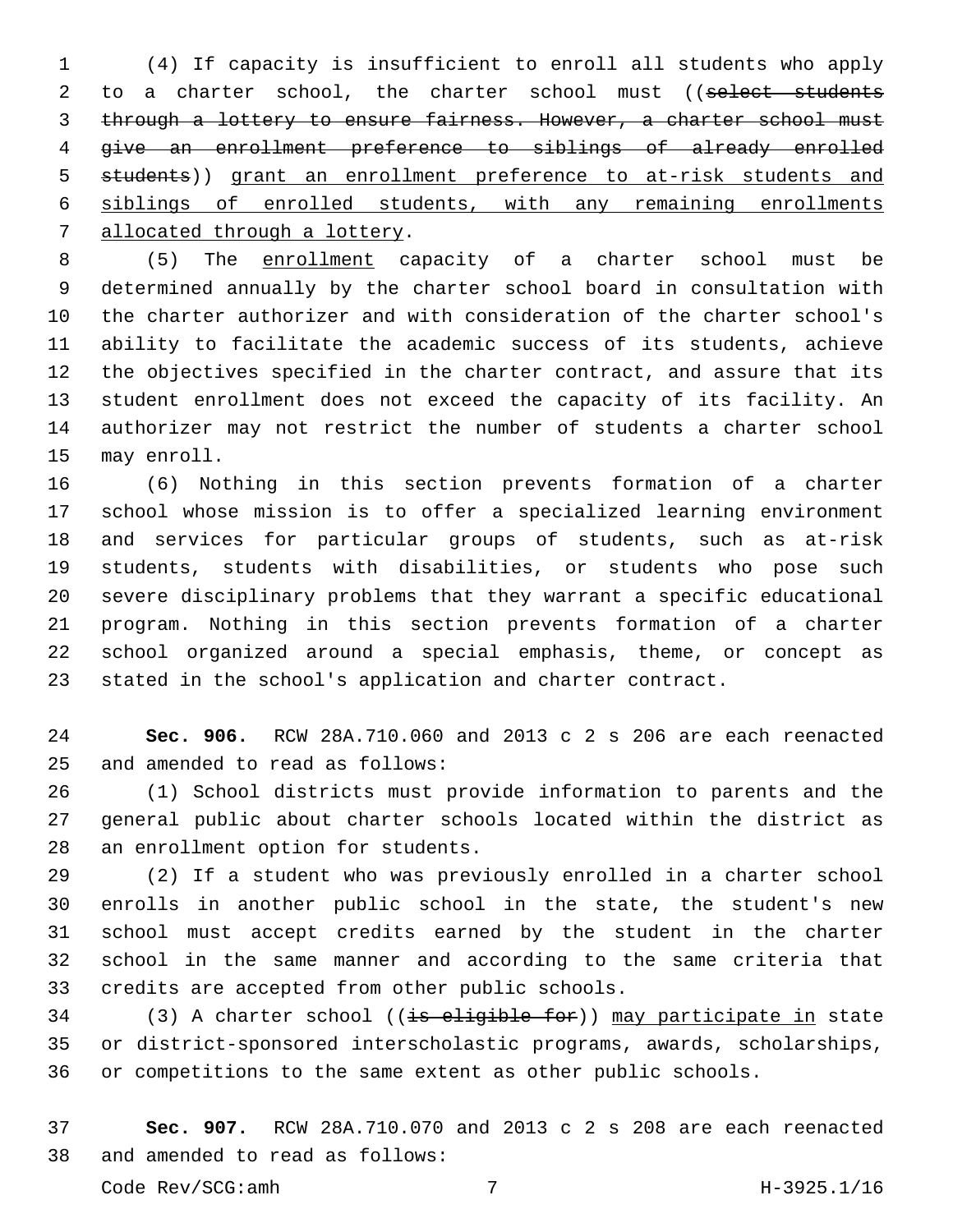(4) If capacity is insufficient to enroll all students who apply 2 to a charter school, the charter school must ((select students through a lottery to ensure fairness. However, a charter school must give an enrollment preference to siblings of already enrolled students)) grant an enrollment preference to at-risk students and siblings of enrolled students, with any remaining enrollments 7 allocated through a lottery.

 (5) The enrollment capacity of a charter school must be determined annually by the charter school board in consultation with the charter authorizer and with consideration of the charter school's ability to facilitate the academic success of its students, achieve the objectives specified in the charter contract, and assure that its student enrollment does not exceed the capacity of its facility. An authorizer may not restrict the number of students a charter school 15 may enroll.

 (6) Nothing in this section prevents formation of a charter school whose mission is to offer a specialized learning environment and services for particular groups of students, such as at-risk students, students with disabilities, or students who pose such severe disciplinary problems that they warrant a specific educational program. Nothing in this section prevents formation of a charter school organized around a special emphasis, theme, or concept as stated in the school's application and charter contract.

 **Sec. 906.** RCW 28A.710.060 and 2013 c 2 s 206 are each reenacted 25 and amended to read as follows:

 (1) School districts must provide information to parents and the general public about charter schools located within the district as 28 an enrollment option for students.

 (2) If a student who was previously enrolled in a charter school enrolls in another public school in the state, the student's new school must accept credits earned by the student in the charter school in the same manner and according to the same criteria that 33 credits are accepted from other public schools.

34 (3) A charter school  $((\frac{1}{15} - \frac{1}{15})$  may participate in state or district-sponsored interscholastic programs, awards, scholarships, or competitions to the same extent as other public schools.

 **Sec. 907.** RCW 28A.710.070 and 2013 c 2 s 208 are each reenacted 38 and amended to read as follows: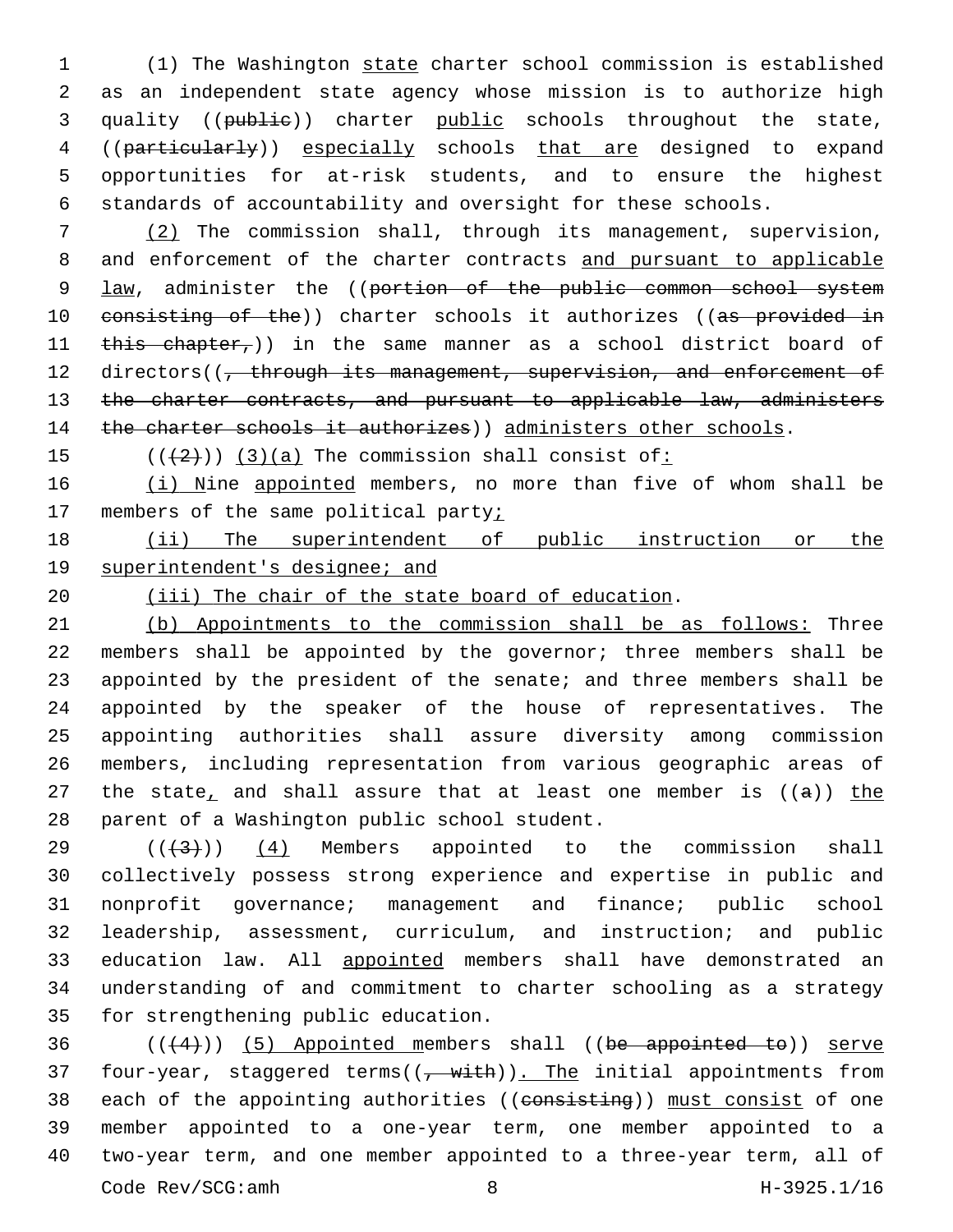(1) The Washington state charter school commission is established as an independent state agency whose mission is to authorize high 3 quality ((publie)) charter public schools throughout the state, ((particularly)) especially schools that are designed to expand opportunities for at-risk students, and to ensure the highest standards of accountability and oversight for these schools.

7 (2) The commission shall, through its management, supervision, 8 and enforcement of the charter contracts and pursuant to applicable 9 law, administer the ((portion of the public common school system 10 consisting of the)) charter schools it authorizes ((as provided in 11 this chapter,)) in the same manner as a school district board of 12 directors((, through its management, supervision, and enforcement of 13 the charter contracts, and pursuant to applicable law, administers 14 the charter schools it authorizes)) administers other schools.

15  $((+2+))$  (3)(a) The commission shall consist of:

16 (i) Nine appointed members, no more than five of whom shall be 17 members of the same political party;

18 (ii) The superintendent of public instruction or the 19 superintendent's designee; and

20 (iii) The chair of the state board of education.

 (b) Appointments to the commission shall be as follows: Three members shall be appointed by the governor; three members shall be appointed by the president of the senate; and three members shall be appointed by the speaker of the house of representatives. The appointing authorities shall assure diversity among commission members, including representation from various geographic areas of 27 the state, and shall assure that at least one member is  $((a))$  the 28 parent of a Washington public school student.

 $((+3+))$  (4) Members appointed to the commission shall collectively possess strong experience and expertise in public and nonprofit governance; management and finance; public school leadership, assessment, curriculum, and instruction; and public 33 education law. All appointed members shall have demonstrated an understanding of and commitment to charter schooling as a strategy 35 for strengthening public education.

 $36$  ( $(44)$ ) (5) Appointed members shall ((be appointed to)) serve 37 four-year, staggered terms( $(\frac{1}{2} + \frac{1}{2})$ ). The initial appointments from 38 each of the appointing authorities ((consisting)) must consist of one 39 member appointed to a one-year term, one member appointed to a 40 two-year term, and one member appointed to a three-year term, all of Code Rev/SCG:amh 8 8 H-3925.1/16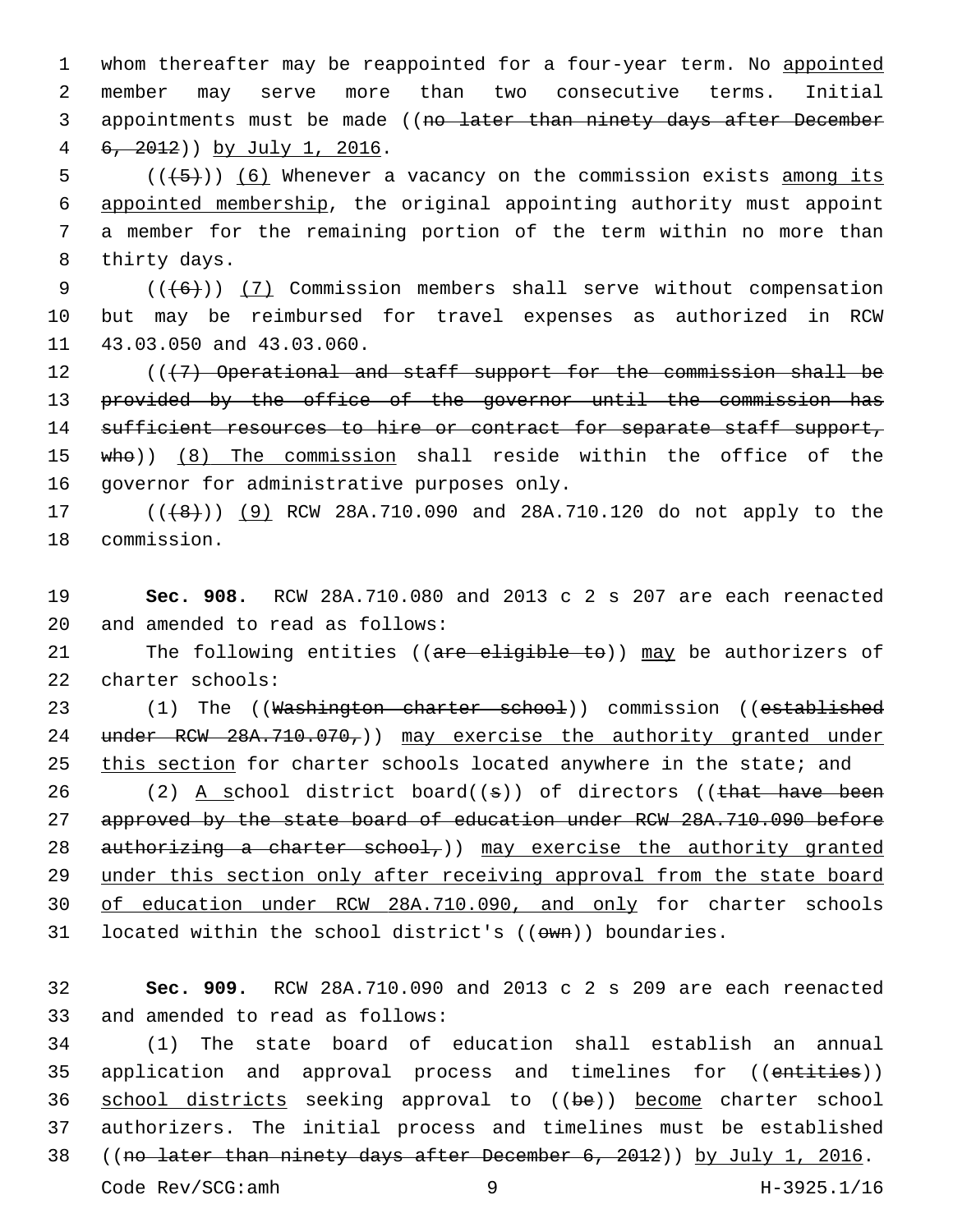1 whom thereafter may be reappointed for a four-year term. No appointed 2 member may serve more than two consecutive terms. Initial 3 appointments must be made ((no later than ninety days after December 6, 2012)) by July 1, 2016.4

 (( $\overline{+5}$ )) (6) Whenever a vacancy on the commission exists among its appointed membership, the original appointing authority must appoint a member for the remaining portion of the term within no more than 8 thirty days.

9 (((6)) (7) Commission members shall serve without compensation 10 but may be reimbursed for travel expenses as authorized in RCW 11 43.03.050 and 43.03.060.

12 (( $(7)$  Operational and staff support for the commission shall be 13 provided by the office of the governor until the commission has 14 sufficient resources to hire or contract for separate staff support, 15 who)) (8) The commission shall reside within the office of the 16 governor for administrative purposes only.

17 (((8))) (9) RCW 28A.710.090 and 28A.710.120 do not apply to the 18 commission.

19 **Sec. 908.** RCW 28A.710.080 and 2013 c 2 s 207 are each reenacted 20 and amended to read as follows:

21 The following entities ((are eligible to)) may be authorizers of 22 charter schools:

23 (1) The ((Washington charter school)) commission ((established 24 under RCW 28A.710.070,)) may exercise the authority granted under 25 this section for charter schools located anywhere in the state; and

26 (2) A school district board( $(\sigma)$ ) of directors ((that have been 27 approved by the state board of education under RCW 28A.710.090 before 28 authorizing a charter school,) may exercise the authority granted 29 under this section only after receiving approval from the state board 30 of education under RCW 28A.710.090, and only for charter schools 31 located within the school district's (( $\overline{\text{own}}$ )) boundaries.

32 **Sec. 909.** RCW 28A.710.090 and 2013 c 2 s 209 are each reenacted 33 and amended to read as follows:

 (1) The state board of education shall establish an annual 35 application and approval process and timelines for ((entities)) school districts seeking approval to ((be)) become charter school authorizers. The initial process and timelines must be established ((no later than ninety days after December 6, 2012)) by July 1, 2016.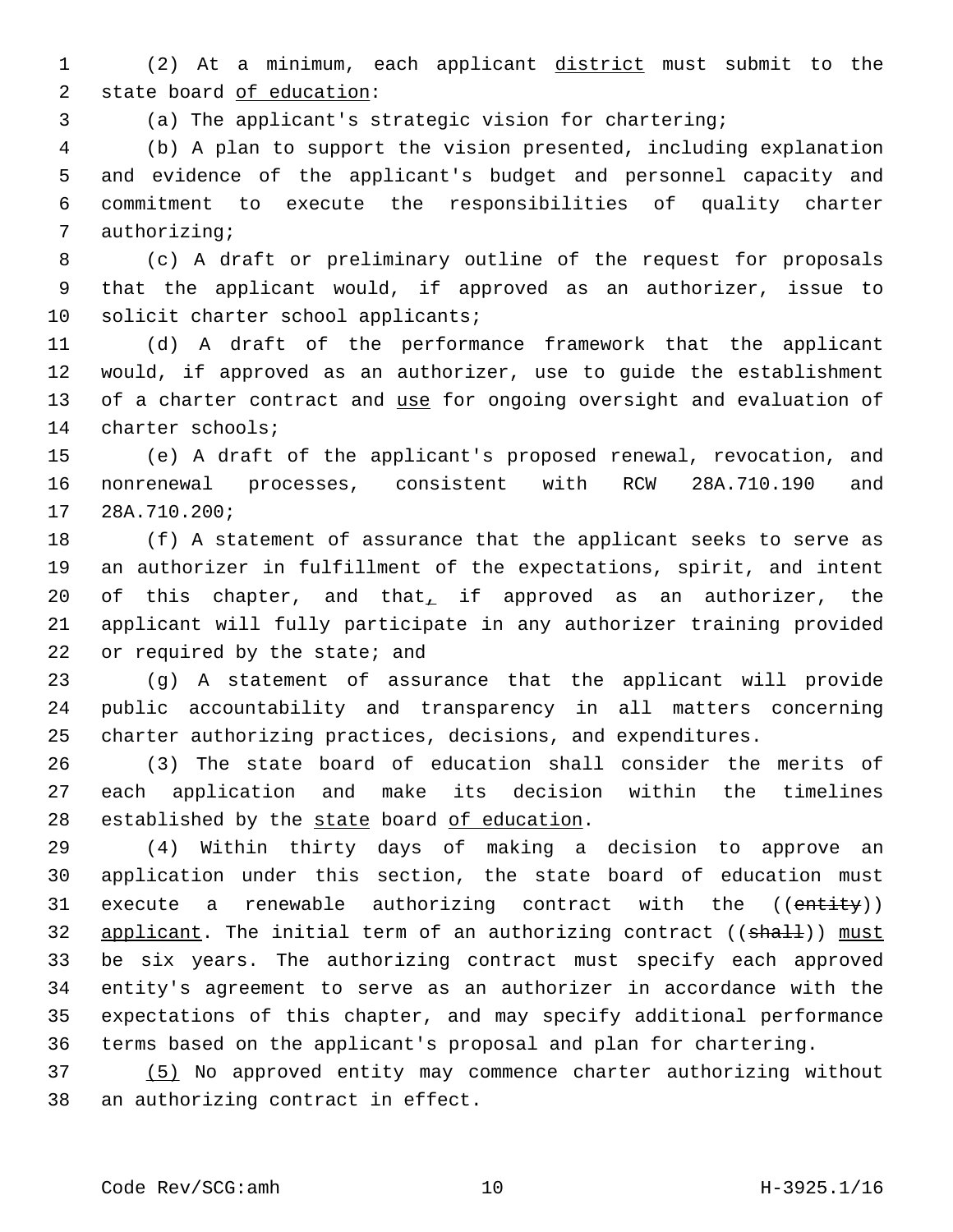(2) At a minimum, each applicant district must submit to the 2 state board of education:

(a) The applicant's strategic vision for chartering;

 (b) A plan to support the vision presented, including explanation and evidence of the applicant's budget and personnel capacity and commitment to execute the responsibilities of quality charter 7 authorizing;

 (c) A draft or preliminary outline of the request for proposals that the applicant would, if approved as an authorizer, issue to 10 solicit charter school applicants;

 (d) A draft of the performance framework that the applicant would, if approved as an authorizer, use to guide the establishment 13 of a charter contract and use for ongoing oversight and evaluation of 14 charter schools;

 (e) A draft of the applicant's proposed renewal, revocation, and nonrenewal processes, consistent with RCW 28A.710.190 and 17 28A.710.200;

 (f) A statement of assurance that the applicant seeks to serve as an authorizer in fulfillment of the expectations, spirit, and intent 20 of this chapter, and that, if approved as an authorizer, the applicant will fully participate in any authorizer training provided 22 or required by the state; and

 (g) A statement of assurance that the applicant will provide public accountability and transparency in all matters concerning charter authorizing practices, decisions, and expenditures.

 (3) The state board of education shall consider the merits of each application and make its decision within the timelines 28 established by the state board of education.

 (4) Within thirty days of making a decision to approve an application under this section, the state board of education must 31 execute a renewable authorizing contract with the ((entity)) 32 applicant. The initial term of an authorizing contract ((shall)) must be six years. The authorizing contract must specify each approved entity's agreement to serve as an authorizer in accordance with the expectations of this chapter, and may specify additional performance terms based on the applicant's proposal and plan for chartering.

 (5) No approved entity may commence charter authorizing without 38 an authorizing contract in effect.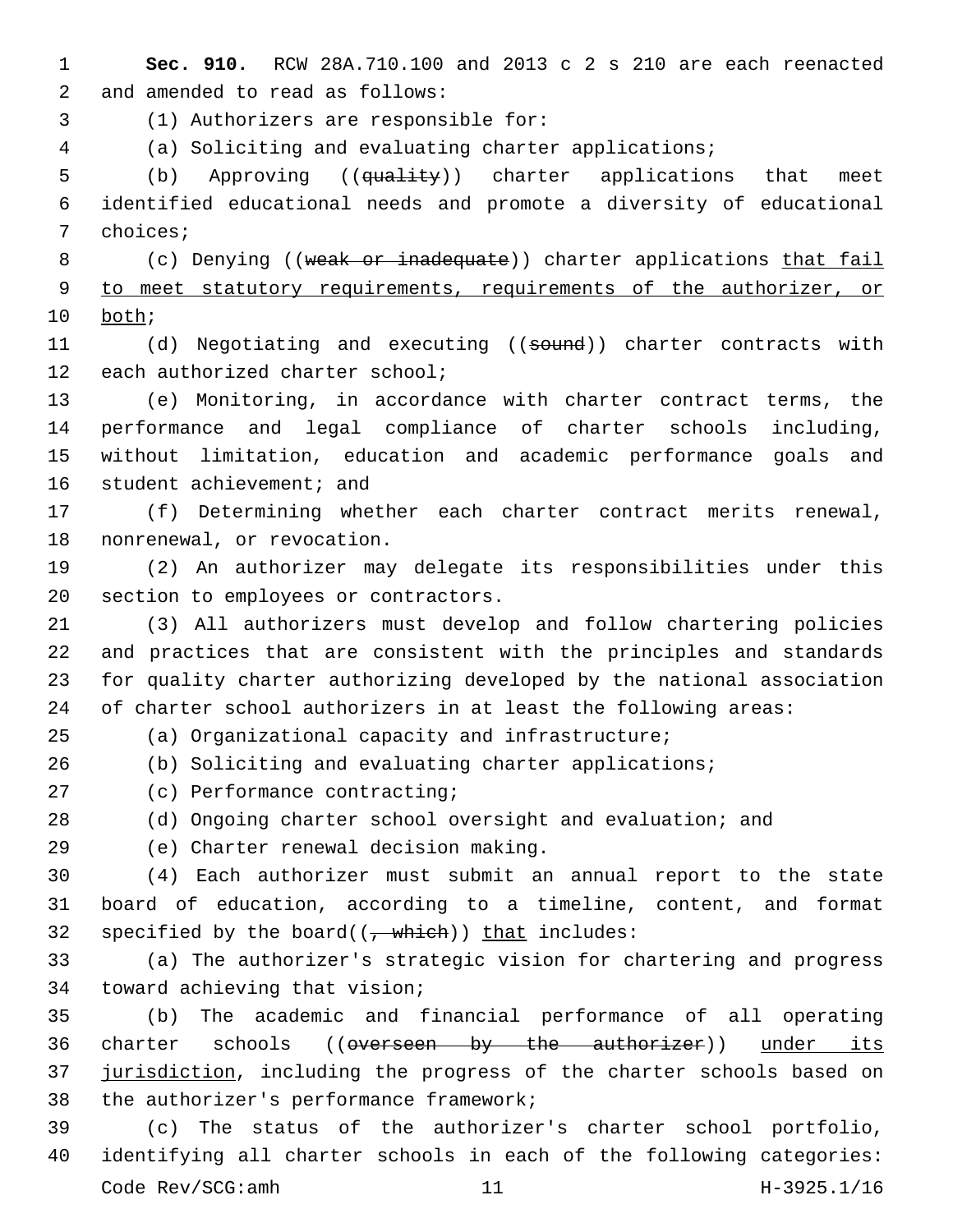1 **Sec. 910.** RCW 28A.710.100 and 2013 c 2 s 210 are each reenacted 2 and amended to read as follows:

(1) Authorizers are responsible for:3

4 (a) Soliciting and evaluating charter applications;

5 (b) Approving ((quality)) charter applications that meet 6 identified educational needs and promote a diversity of educational 7 choices;

8 (c) Denying ((weak or inadequate)) charter applications that fail 9 to meet statutory requirements, requirements of the authorizer, or 10 both;

11 (d) Negotiating and executing ((sound)) charter contracts with 12 each authorized charter school;

 (e) Monitoring, in accordance with charter contract terms, the performance and legal compliance of charter schools including, without limitation, education and academic performance goals and 16 student achievement; and

17 (f) Determining whether each charter contract merits renewal, 18 nonrenewal, or revocation.

19 (2) An authorizer may delegate its responsibilities under this 20 section to employees or contractors.

 (3) All authorizers must develop and follow chartering policies and practices that are consistent with the principles and standards for quality charter authorizing developed by the national association of charter school authorizers in at least the following areas:

25 (a) Organizational capacity and infrastructure;

26 (b) Soliciting and evaluating charter applications;

27 (c) Performance contracting;

28 (d) Ongoing charter school oversight and evaluation; and

(e) Charter renewal decision making.29

30 (4) Each authorizer must submit an annual report to the state 31 board of education, according to a timeline, content, and format 32 specified by the board( $(-$  which)) that includes:

33 (a) The authorizer's strategic vision for chartering and progress 34 toward achieving that vision;

35 (b) The academic and financial performance of all operating 36 charter schools ((overseen by the authorizer)) under its 37 jurisdiction, including the progress of the charter schools based on 38 the authorizer's performance framework;

39 (c) The status of the authorizer's charter school portfolio, 40 identifying all charter schools in each of the following categories: Code Rev/SCG:amh 11 H-3925.1/16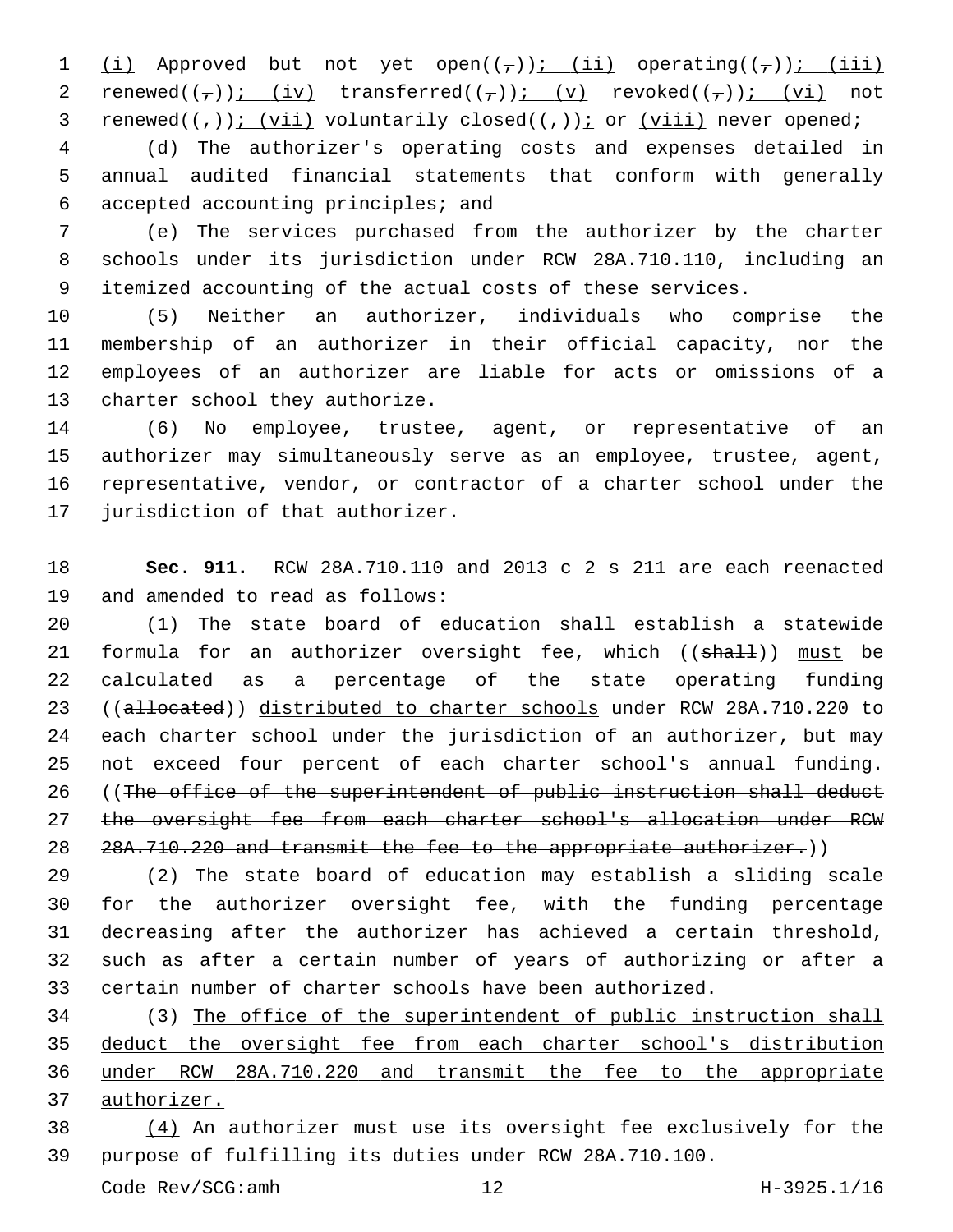1 (i) Approved but not yet open $((-))$ ; (ii) operating $((-))$ ; (iii) 2 renewed( $(\tau)$ ); (iv) transferred( $(\tau)$ ); (v) revoked( $(\tau)$ ); (vi) not 3 renewed( $(\tau)$ ); (vii) voluntarily closed( $(\tau)$ ); or (viii) never opened;

 (d) The authorizer's operating costs and expenses detailed in annual audited financial statements that conform with generally accepted accounting principles; and6

 (e) The services purchased from the authorizer by the charter schools under its jurisdiction under RCW 28A.710.110, including an itemized accounting of the actual costs of these services.

 (5) Neither an authorizer, individuals who comprise the membership of an authorizer in their official capacity, nor the employees of an authorizer are liable for acts or omissions of a 13 charter school they authorize.

 (6) No employee, trustee, agent, or representative of an authorizer may simultaneously serve as an employee, trustee, agent, representative, vendor, or contractor of a charter school under the 17 jurisdiction of that authorizer.

 **Sec. 911.** RCW 28A.710.110 and 2013 c 2 s 211 are each reenacted 19 and amended to read as follows:

 (1) The state board of education shall establish a statewide 21 formula for an authorizer oversight fee, which ((shall)) must be calculated as a percentage of the state operating funding 23 ((allocated)) distributed to charter schools under RCW 28A.710.220 to each charter school under the jurisdiction of an authorizer, but may not exceed four percent of each charter school's annual funding. 26 ((The office of the superintendent of public instruction shall deduct the oversight fee from each charter school's allocation under RCW 28 28A.710.220 and transmit the fee to the appropriate authorizer.))

 (2) The state board of education may establish a sliding scale for the authorizer oversight fee, with the funding percentage decreasing after the authorizer has achieved a certain threshold, such as after a certain number of years of authorizing or after a certain number of charter schools have been authorized.

 (3) The office of the superintendent of public instruction shall deduct the oversight fee from each charter school's distribution under RCW 28A.710.220 and transmit the fee to the appropriate authorizer.

 (4) An authorizer must use its oversight fee exclusively for the purpose of fulfilling its duties under RCW 28A.710.100.

Code Rev/SCG:amh 12 H-3925.1/16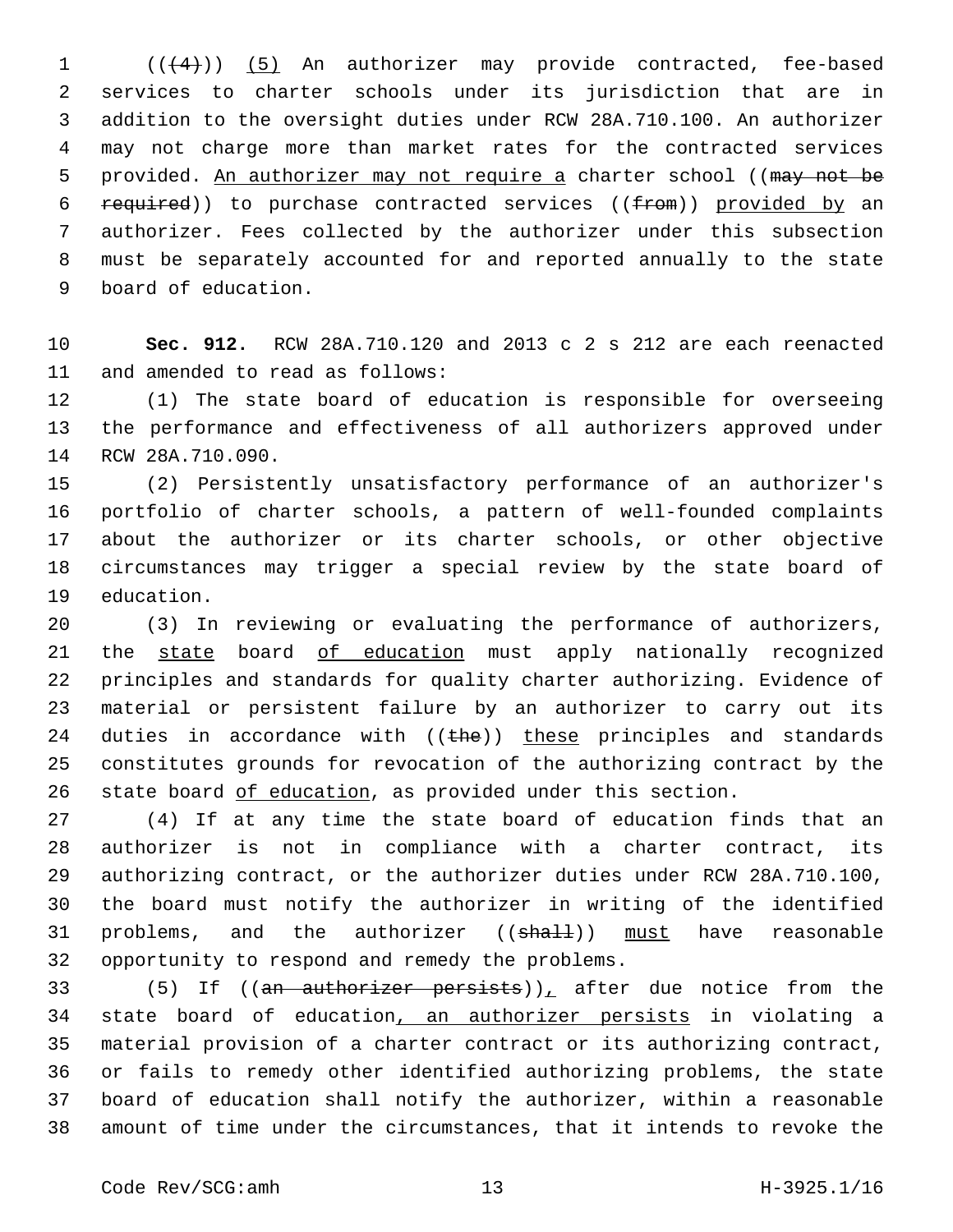1 (( $(4)$ )) (5) An authorizer may provide contracted, fee-based services to charter schools under its jurisdiction that are in addition to the oversight duties under RCW 28A.710.100. An authorizer may not charge more than market rates for the contracted services 5 provided. An authorizer may not require a charter school ((may not be 6 required)) to purchase contracted services ( $(f$ rom)) provided by an authorizer. Fees collected by the authorizer under this subsection must be separately accounted for and reported annually to the state 9 board of education.

 **Sec. 912.** RCW 28A.710.120 and 2013 c 2 s 212 are each reenacted 11 and amended to read as follows:

 (1) The state board of education is responsible for overseeing the performance and effectiveness of all authorizers approved under 14 RCW 28A.710.090.

 (2) Persistently unsatisfactory performance of an authorizer's portfolio of charter schools, a pattern of well-founded complaints about the authorizer or its charter schools, or other objective circumstances may trigger a special review by the state board of 19 education.

 (3) In reviewing or evaluating the performance of authorizers, the state board of education must apply nationally recognized principles and standards for quality charter authorizing. Evidence of material or persistent failure by an authorizer to carry out its 24 duties in accordance with  $((the))$  these principles and standards constitutes grounds for revocation of the authorizing contract by the state board of education, as provided under this section.

 (4) If at any time the state board of education finds that an authorizer is not in compliance with a charter contract, its authorizing contract, or the authorizer duties under RCW 28A.710.100, the board must notify the authorizer in writing of the identified 31 problems, and the authorizer ((shall)) must have reasonable 32 opportunity to respond and remedy the problems.

33 (5) If  $((an - authentic + persists))_+$  after due notice from the 34 state board of education, an authorizer persists in violating a material provision of a charter contract or its authorizing contract, or fails to remedy other identified authorizing problems, the state board of education shall notify the authorizer, within a reasonable amount of time under the circumstances, that it intends to revoke the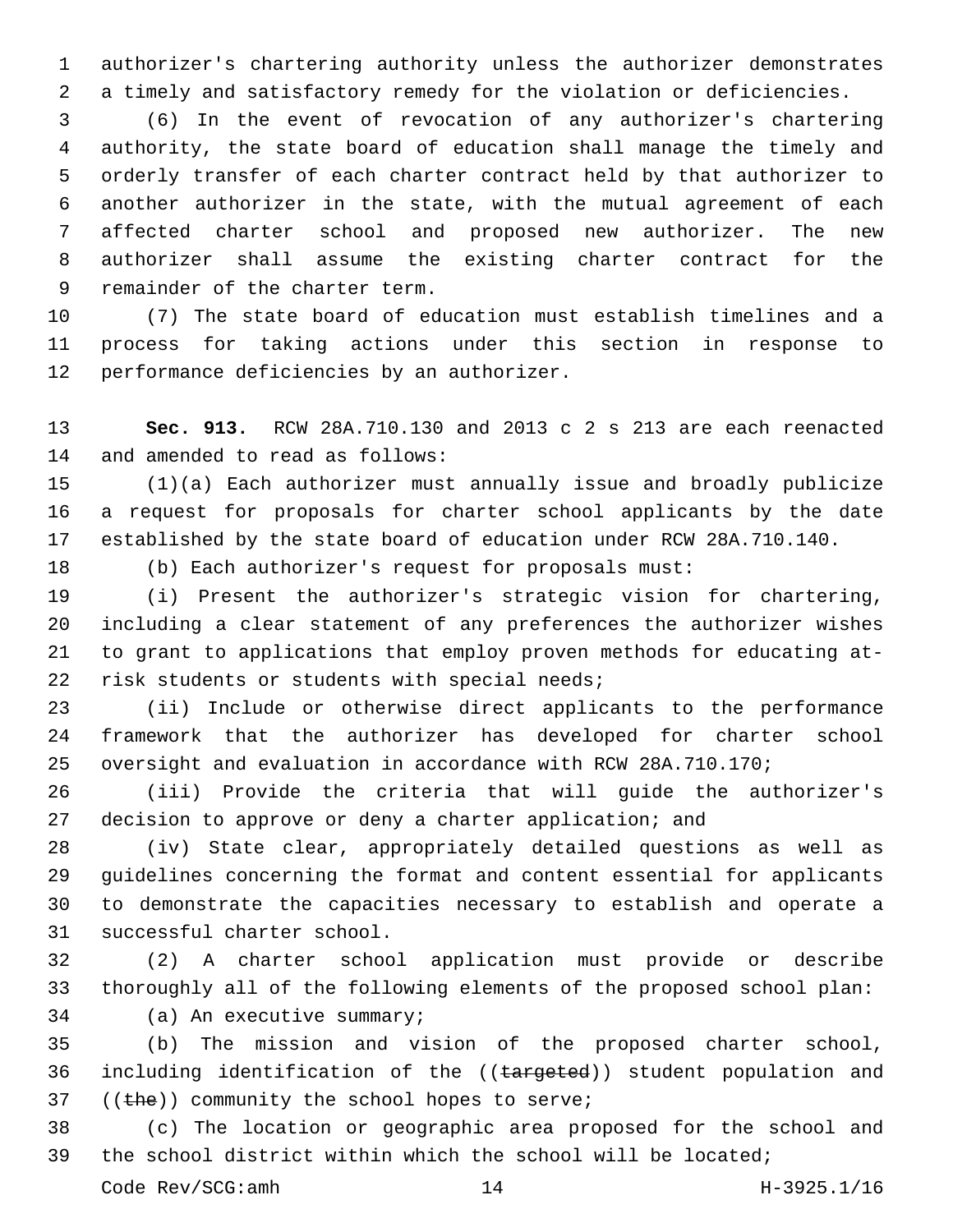authorizer's chartering authority unless the authorizer demonstrates a timely and satisfactory remedy for the violation or deficiencies.

 (6) In the event of revocation of any authorizer's chartering authority, the state board of education shall manage the timely and orderly transfer of each charter contract held by that authorizer to another authorizer in the state, with the mutual agreement of each affected charter school and proposed new authorizer. The new authorizer shall assume the existing charter contract for the 9 remainder of the charter term.

 (7) The state board of education must establish timelines and a process for taking actions under this section in response to 12 performance deficiencies by an authorizer.

 **Sec. 913.** RCW 28A.710.130 and 2013 c 2 s 213 are each reenacted 14 and amended to read as follows:

 (1)(a) Each authorizer must annually issue and broadly publicize a request for proposals for charter school applicants by the date established by the state board of education under RCW 28A.710.140.

(b) Each authorizer's request for proposals must:

 (i) Present the authorizer's strategic vision for chartering, including a clear statement of any preferences the authorizer wishes to grant to applications that employ proven methods for educating at-22 risk students or students with special needs;

 (ii) Include or otherwise direct applicants to the performance framework that the authorizer has developed for charter school oversight and evaluation in accordance with RCW 28A.710.170;

 (iii) Provide the criteria that will guide the authorizer's 27 decision to approve or deny a charter application; and

 (iv) State clear, appropriately detailed questions as well as guidelines concerning the format and content essential for applicants to demonstrate the capacities necessary to establish and operate a 31 successful charter school.

 (2) A charter school application must provide or describe thoroughly all of the following elements of the proposed school plan:

34 (a) An executive summary;

 (b) The mission and vision of the proposed charter school, 36 including identification of the ((targeted)) student population and ((the)) community the school hopes to serve;

 (c) The location or geographic area proposed for the school and the school district within which the school will be located;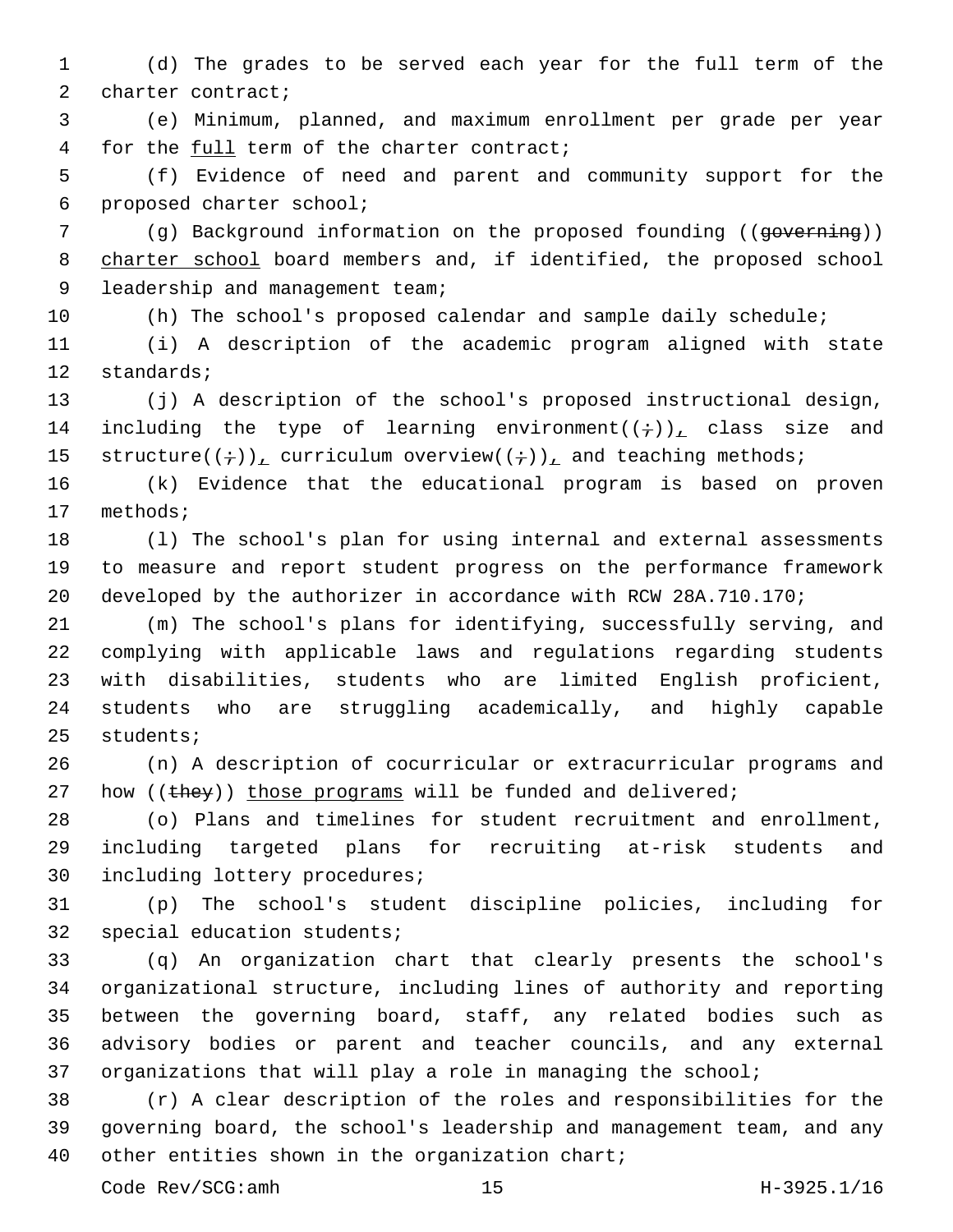(d) The grades to be served each year for the full term of the 2 charter contract;

 (e) Minimum, planned, and maximum enrollment per grade per year 4 for the full term of the charter contract;

 (f) Evidence of need and parent and community support for the 6 proposed charter school;

7 (q) Background information on the proposed founding (( $q$ overning)) 8 charter school board members and, if identified, the proposed school 9 leadership and management team;

(h) The school's proposed calendar and sample daily schedule;

 (i) A description of the academic program aligned with state 12 standards;

 (j) A description of the school's proposed instructional design, 14 including the type of learning environment( $(\div)$ ), class size and 15 structure( $(\div)$ ), curriculum overview( $(\div)$ ), and teaching methods;

 (k) Evidence that the educational program is based on proven 17 methods;

 (l) The school's plan for using internal and external assessments to measure and report student progress on the performance framework developed by the authorizer in accordance with RCW 28A.710.170;

 (m) The school's plans for identifying, successfully serving, and complying with applicable laws and regulations regarding students with disabilities, students who are limited English proficient, students who are struggling academically, and highly capable 25 students;

 (n) A description of cocurricular or extracurricular programs and 27 how  $(\theta)$ ) those programs will be funded and delivered;

 (o) Plans and timelines for student recruitment and enrollment, including targeted plans for recruiting at-risk students and 30 including lottery procedures;

 (p) The school's student discipline policies, including for 32 special education students;

 (q) An organization chart that clearly presents the school's organizational structure, including lines of authority and reporting between the governing board, staff, any related bodies such as advisory bodies or parent and teacher councils, and any external organizations that will play a role in managing the school;

 (r) A clear description of the roles and responsibilities for the governing board, the school's leadership and management team, and any other entities shown in the organization chart;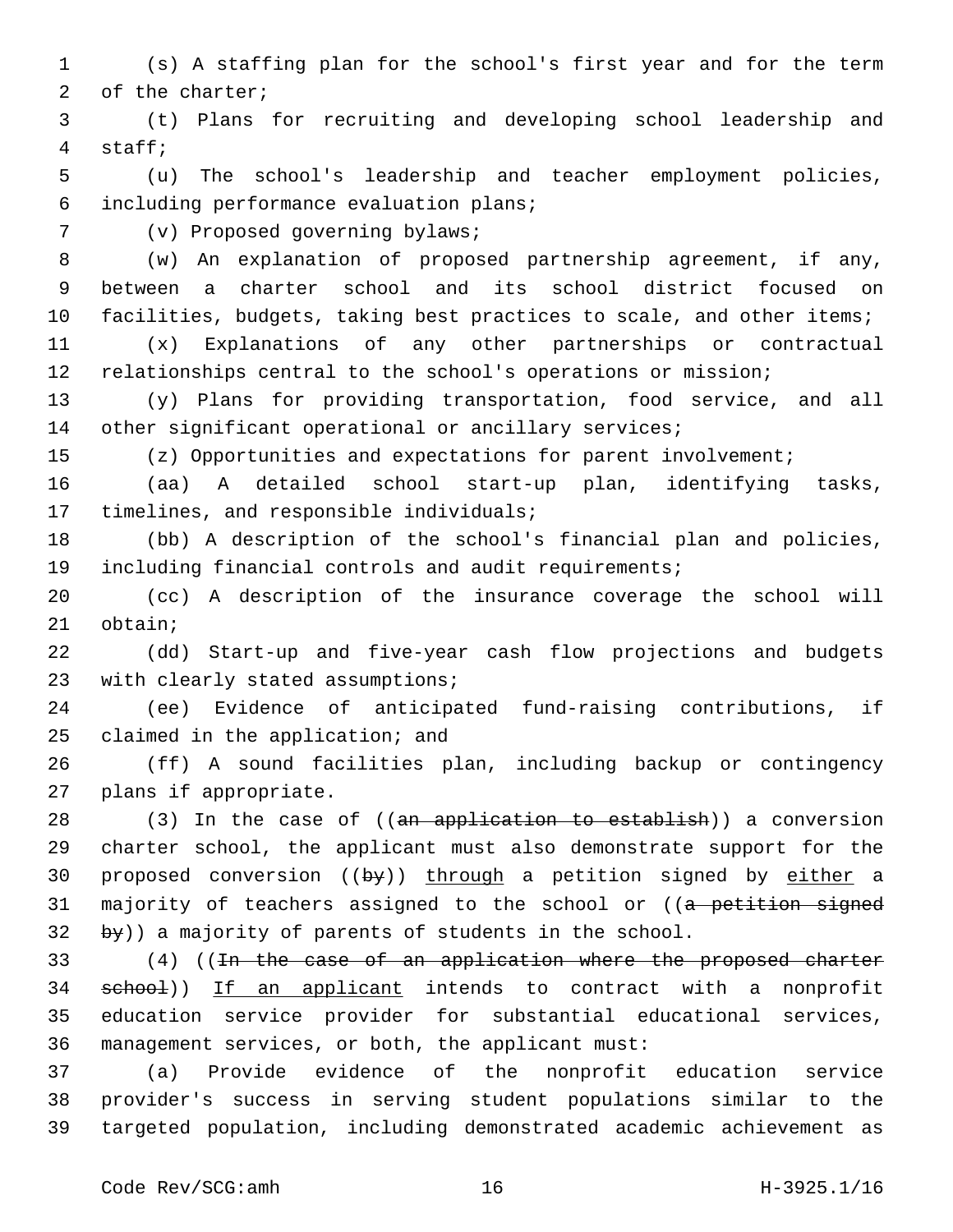1 (s) A staffing plan for the school's first year and for the term 2 of the charter;

3 (t) Plans for recruiting and developing school leadership and staff;4

5 (u) The school's leadership and teacher employment policies, including performance evaluation plans;6

7 (v) Proposed governing bylaws;

8 (w) An explanation of proposed partnership agreement, if any, 9 between a charter school and its school district focused on

10 facilities, budgets, taking best practices to scale, and other items;

11 (x) Explanations of any other partnerships or contractual 12 relationships central to the school's operations or mission;

13 (y) Plans for providing transportation, food service, and all 14 other significant operational or ancillary services;

15 (z) Opportunities and expectations for parent involvement;

16 (aa) A detailed school start-up plan, identifying tasks, 17 timelines, and responsible individuals;

18 (bb) A description of the school's financial plan and policies, 19 including financial controls and audit requirements;

20 (cc) A description of the insurance coverage the school will 21 obtain;

22 (dd) Start-up and five-year cash flow projections and budgets 23 with clearly stated assumptions;

24 (ee) Evidence of anticipated fund-raising contributions, if 25 claimed in the application; and

26 (ff) A sound facilities plan, including backup or contingency 27 plans if appropriate.

28 (3) In the case of ((an application to establish)) a conversion 29 charter school, the applicant must also demonstrate support for the 30 proposed conversion ((by)) through a petition signed by either a 31 majority of teachers assigned to the school or ((a petition signed  $32$  by)) a majority of parents of students in the school.

33 (4) ((In the case of an application where the proposed charter 34 school)) If an applicant intends to contract with a nonprofit 35 education service provider for substantial educational services, 36 management services, or both, the applicant must:

37 (a) Provide evidence of the nonprofit education service 38 provider's success in serving student populations similar to the 39 targeted population, including demonstrated academic achievement as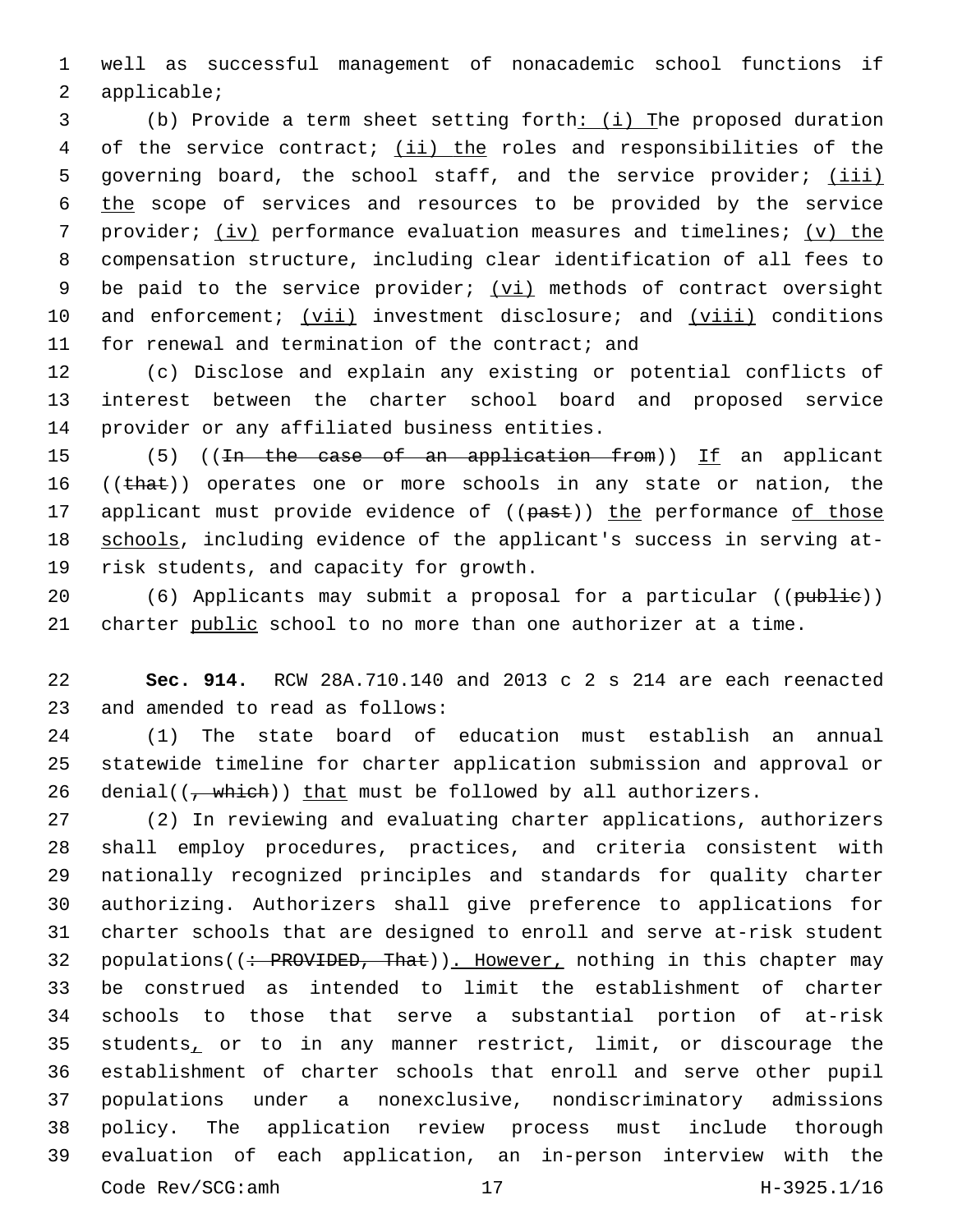1 well as successful management of nonacademic school functions if 2 applicable;

3 (b) Provide a term sheet setting forth: (i) The proposed duration 4 of the service contract; (ii) the roles and responsibilities of the 5 governing board, the school staff, and the service provider; (iii) 6 the scope of services and resources to be provided by the service 7 provider; (iv) performance evaluation measures and timelines; (v) the 8 compensation structure, including clear identification of all fees to 9 be paid to the service provider; (vi) methods of contract oversight 10 and enforcement; (vii) investment disclosure; and (viii) conditions 11 for renewal and termination of the contract; and

12 (c) Disclose and explain any existing or potential conflicts of 13 interest between the charter school board and proposed service 14 provider or any affiliated business entities.

15 (5) ((<del>In the case of an application from</del>)) If an applicant 16 ((that)) operates one or more schools in any state or nation, the 17 applicant must provide evidence of ((past)) the performance of those 18 schools, including evidence of the applicant's success in serving at-19 risk students, and capacity for growth.

20 (6) Applicants may submit a proposal for a particular ((publie)) 21 charter public school to no more than one authorizer at a time.

22 **Sec. 914.** RCW 28A.710.140 and 2013 c 2 s 214 are each reenacted 23 and amended to read as follows:

24 (1) The state board of education must establish an annual 25 statewide timeline for charter application submission and approval or 26 denial( $(-$ which)) that must be followed by all authorizers.

 (2) In reviewing and evaluating charter applications, authorizers shall employ procedures, practices, and criteria consistent with nationally recognized principles and standards for quality charter authorizing. Authorizers shall give preference to applications for charter schools that are designed to enroll and serve at-risk student 32 populations((: PROVIDED, That)). However, nothing in this chapter may be construed as intended to limit the establishment of charter schools to those that serve a substantial portion of at-risk 35 students, or to in any manner restrict, limit, or discourage the establishment of charter schools that enroll and serve other pupil populations under a nonexclusive, nondiscriminatory admissions policy. The application review process must include thorough evaluation of each application, an in-person interview with the Code Rev/SCG:amh 17 H-3925.1/16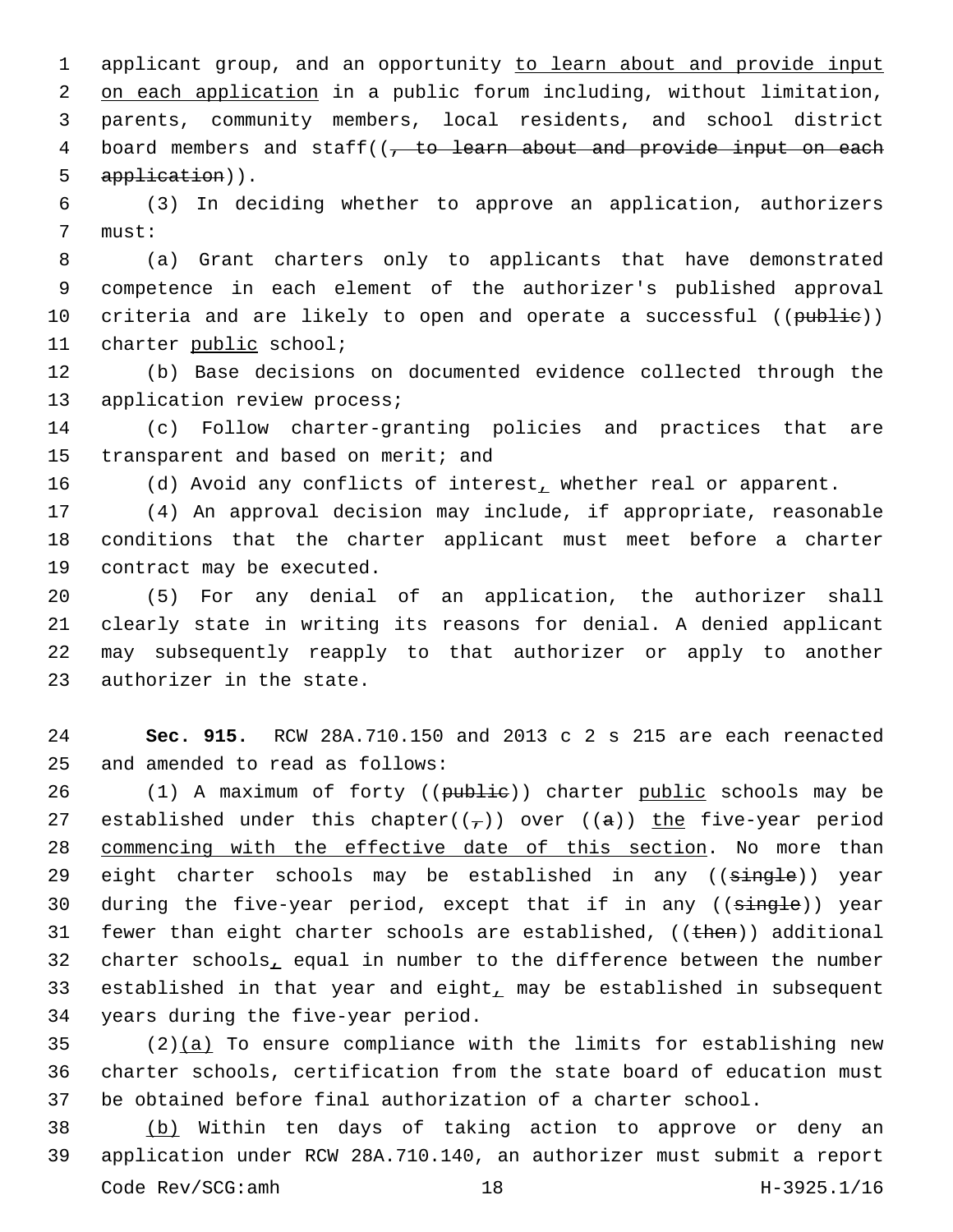1 applicant group, and an opportunity to learn about and provide input 2 on each application in a public forum including, without limitation, 3 parents, community members, local residents, and school district 4 board members and staff( $\sqrt{t}$  to learn about and provide input on each 5 application)).

6 (3) In deciding whether to approve an application, authorizers 7 must:

8 (a) Grant charters only to applicants that have demonstrated 9 competence in each element of the authorizer's published approval 10 criteria and are likely to open and operate a successful ((publie)) 11 charter public school;

12 (b) Base decisions on documented evidence collected through the 13 application review process;

14 (c) Follow charter-granting policies and practices that are 15 transparent and based on merit; and

16 (d) Avoid any conflicts of interest, whether real or apparent.

17 (4) An approval decision may include, if appropriate, reasonable 18 conditions that the charter applicant must meet before a charter 19 contract may be executed.

 (5) For any denial of an application, the authorizer shall clearly state in writing its reasons for denial. A denied applicant may subsequently reapply to that authorizer or apply to another 23 authorizer in the state.

24 **Sec. 915.** RCW 28A.710.150 and 2013 c 2 s 215 are each reenacted 25 and amended to read as follows:

26 (1) A maximum of forty ((publie)) charter public schools may be 27 established under this chapter( $(\tau)$ ) over ( $(a)$ ) the five-year period 28 commencing with the effective date of this section. No more than 29 eight charter schools may be established in any ((single)) year 30 during the five-year period, except that if in any ((single)) year 31 fewer than eight charter schools are established, ((then)) additional 32 charter schools, equal in number to the difference between the number 33 established in that year and eight, may be established in subsequent 34 years during the five-year period.

 $35$  (2)(a) To ensure compliance with the limits for establishing new 36 charter schools, certification from the state board of education must 37 be obtained before final authorization of a charter school.

38 (b) Within ten days of taking action to approve or deny an 39 application under RCW 28A.710.140, an authorizer must submit a report Code Rev/SCG:amh 18 H-3925.1/16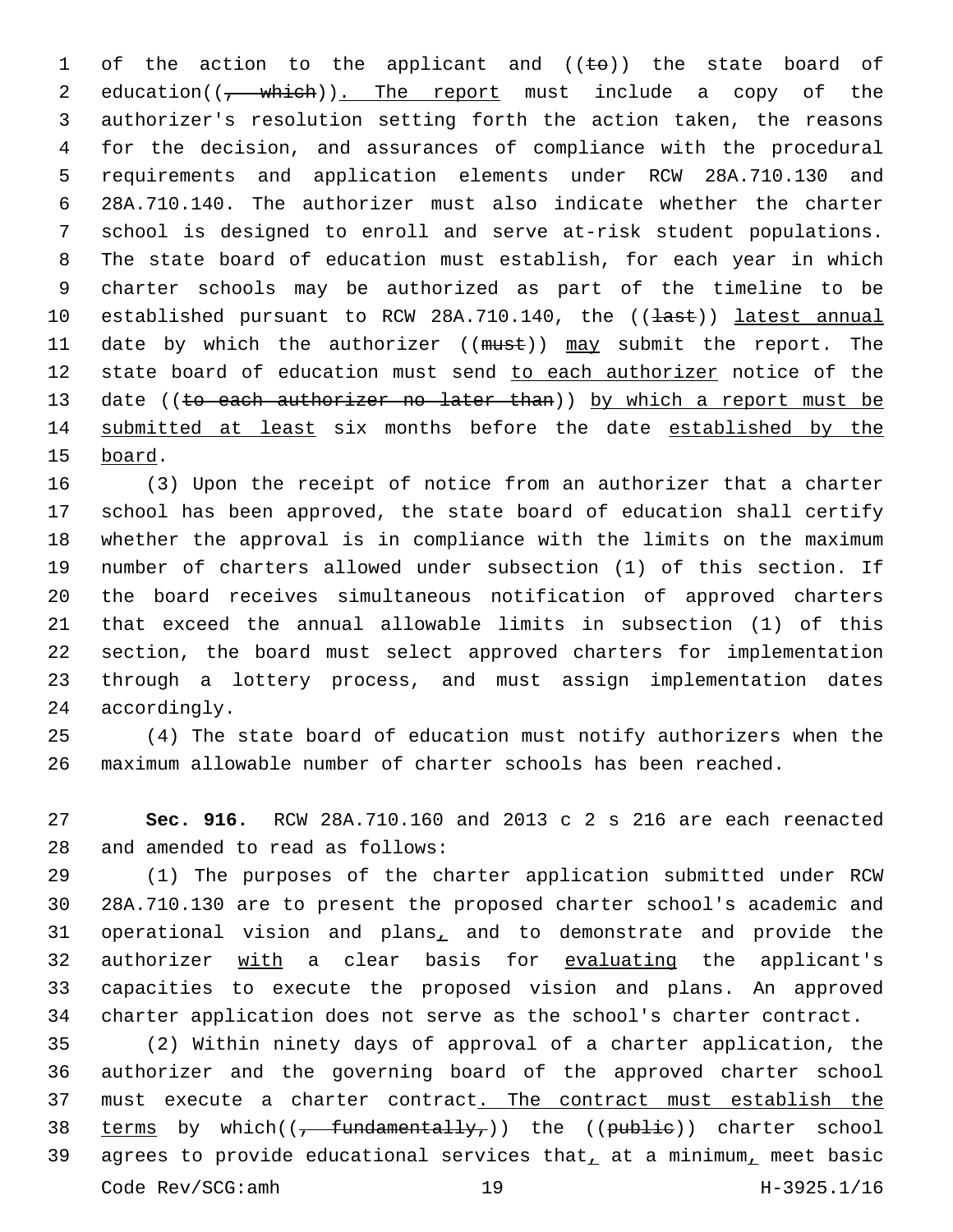1 of the action to the applicant and  $((\pm e))$  the state board of 2 education( $(-$  which)). The report must include a copy of the authorizer's resolution setting forth the action taken, the reasons for the decision, and assurances of compliance with the procedural requirements and application elements under RCW 28A.710.130 and 28A.710.140. The authorizer must also indicate whether the charter school is designed to enroll and serve at-risk student populations. The state board of education must establish, for each year in which charter schools may be authorized as part of the timeline to be 10 established pursuant to RCW 28A.710.140, the ((last)) latest annual 11 date by which the authorizer ((must)) may submit the report. The 12 state board of education must send to each authorizer notice of the 13 date ((to each authorizer no later than)) by which a report must be 14 submitted at least six months before the date established by the 15 board.

 (3) Upon the receipt of notice from an authorizer that a charter school has been approved, the state board of education shall certify whether the approval is in compliance with the limits on the maximum number of charters allowed under subsection (1) of this section. If the board receives simultaneous notification of approved charters that exceed the annual allowable limits in subsection (1) of this section, the board must select approved charters for implementation through a lottery process, and must assign implementation dates 24 accordingly.

 (4) The state board of education must notify authorizers when the maximum allowable number of charter schools has been reached.

 **Sec. 916.** RCW 28A.710.160 and 2013 c 2 s 216 are each reenacted 28 and amended to read as follows:

 (1) The purposes of the charter application submitted under RCW 28A.710.130 are to present the proposed charter school's academic and 31 operational vision and plans, and to demonstrate and provide the 32 authorizer with a clear basis for evaluating the applicant's capacities to execute the proposed vision and plans. An approved charter application does not serve as the school's charter contract.

 (2) Within ninety days of approval of a charter application, the authorizer and the governing board of the approved charter school must execute a charter contract. The contract must establish the 38 terms by which( $\frac{1}{7}$  fundamentally,)) the ((publie)) charter school agrees to provide educational services that, at a minimum, meet basic Code Rev/SCG:amh 19 H-3925.1/16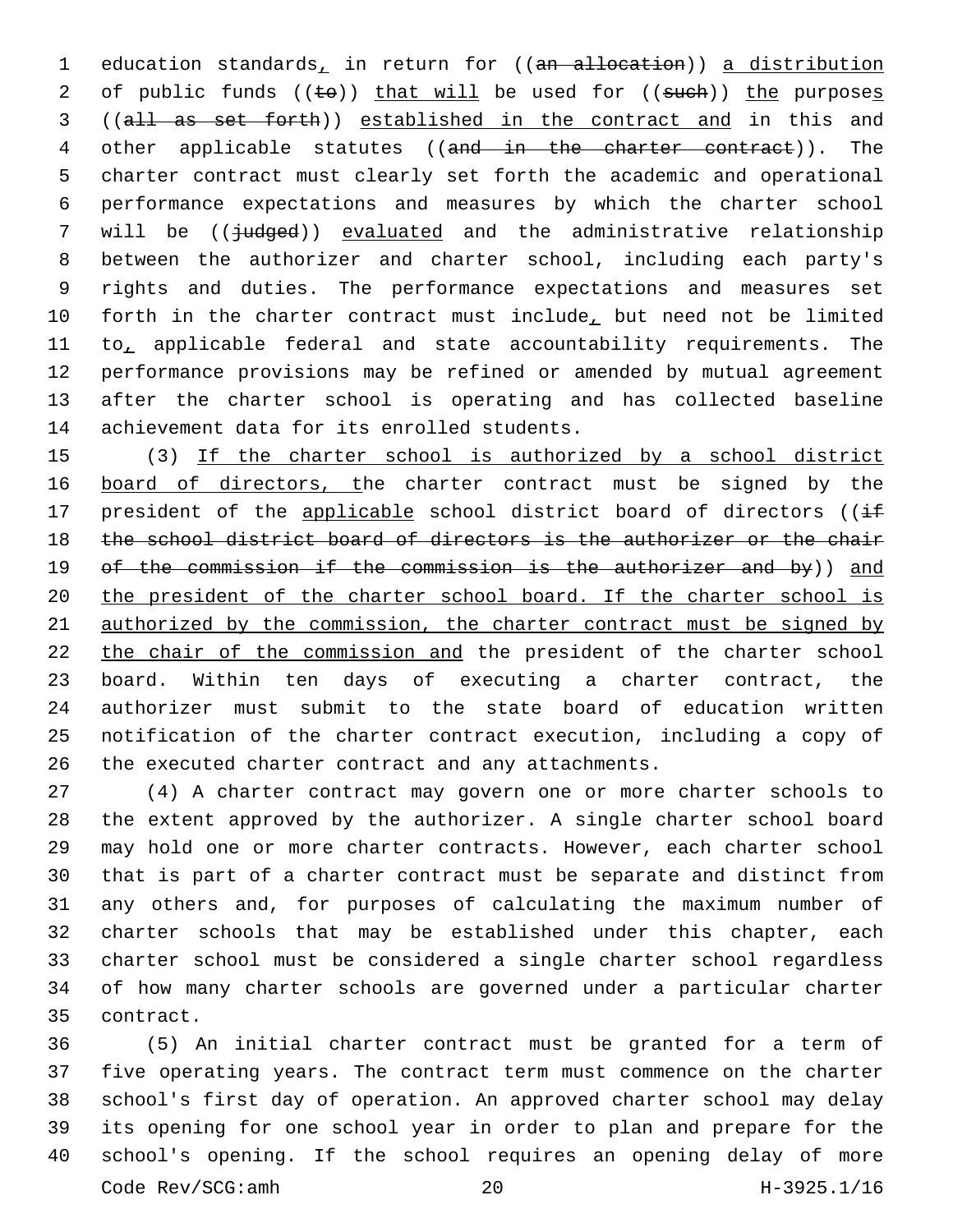1 education standards, in return for ((an allocation)) a distribution 2 of public funds  $((\pm e))$  that will be used for  $((\text{such}))$  the purposes ((all as set forth)) established in the contract and in this and 4 other applicable statutes ((and in the charter contract)). The charter contract must clearly set forth the academic and operational performance expectations and measures by which the charter school 7 will be (( $\frac{1}{4}$ udged)) evaluated and the administrative relationship between the authorizer and charter school, including each party's rights and duties. The performance expectations and measures set 10 forth in the charter contract must include, but need not be limited 11 to, applicable federal and state accountability requirements. The performance provisions may be refined or amended by mutual agreement after the charter school is operating and has collected baseline 14 achievement data for its enrolled students.

 (3) If the charter school is authorized by a school district 16 board of directors, the charter contract must be signed by the 17 president of the applicable school district board of directors ( $\sqrt{if}$ 18 the school district board of directors is the authorizer or the chair 19 of the commission if the commission is the authorizer and by)) and 20 the president of the charter school board. If the charter school is authorized by the commission, the charter contract must be signed by the chair of the commission and the president of the charter school board. Within ten days of executing a charter contract, the authorizer must submit to the state board of education written notification of the charter contract execution, including a copy of the executed charter contract and any attachments.

 (4) A charter contract may govern one or more charter schools to the extent approved by the authorizer. A single charter school board may hold one or more charter contracts. However, each charter school that is part of a charter contract must be separate and distinct from any others and, for purposes of calculating the maximum number of charter schools that may be established under this chapter, each charter school must be considered a single charter school regardless of how many charter schools are governed under a particular charter 35 contract.

 (5) An initial charter contract must be granted for a term of five operating years. The contract term must commence on the charter school's first day of operation. An approved charter school may delay its opening for one school year in order to plan and prepare for the school's opening. If the school requires an opening delay of more Code Rev/SCG:amh 20 H-3925.1/16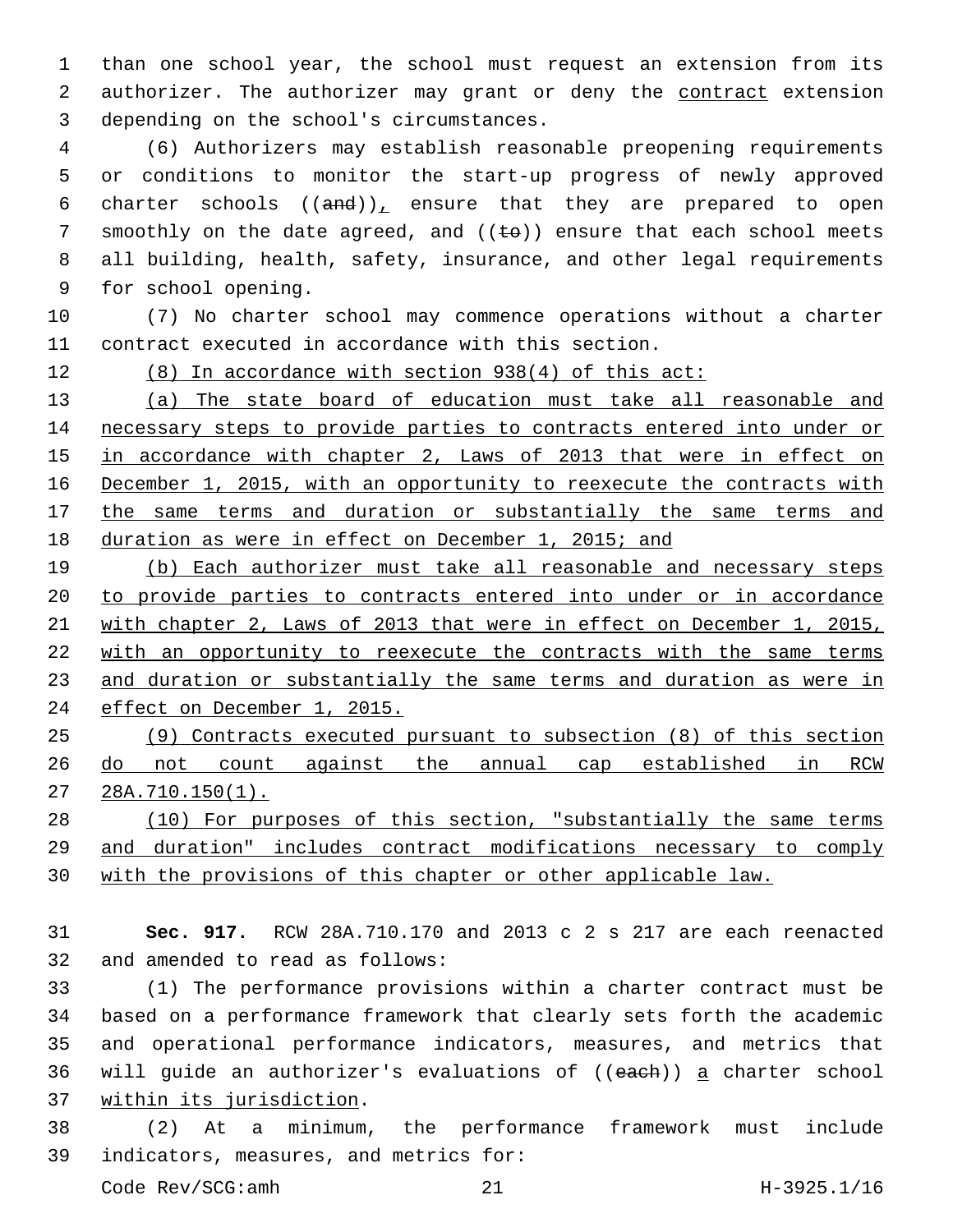than one school year, the school must request an extension from its 2 authorizer. The authorizer may grant or deny the contract extension 3 depending on the school's circumstances.

 (6) Authorizers may establish reasonable preopening requirements or conditions to monitor the start-up progress of newly approved 6 charter schools  $((and))_{\perp}$  ensure that they are prepared to open 7 smoothly on the date agreed, and  $((\epsilon \Theta))$  ensure that each school meets all building, health, safety, insurance, and other legal requirements 9 for school opening.

 (7) No charter school may commence operations without a charter contract executed in accordance with this section.

(8) In accordance with section 938(4) of this act:

 (a) The state board of education must take all reasonable and necessary steps to provide parties to contracts entered into under or 15 in accordance with chapter 2, Laws of 2013 that were in effect on December 1, 2015, with an opportunity to reexecute the contracts with the same terms and duration or substantially the same terms and duration as were in effect on December 1, 2015; and

19 (b) Each authorizer must take all reasonable and necessary steps to provide parties to contracts entered into under or in accordance with chapter 2, Laws of 2013 that were in effect on December 1, 2015, 22 with an opportunity to reexecute the contracts with the same terms and duration or substantially the same terms and duration as were in effect on December 1, 2015.

 (9) Contracts executed pursuant to subsection (8) of this section do not count against the annual cap established in RCW 28A.710.150(1).

 (10) For purposes of this section, "substantially the same terms and duration" includes contract modifications necessary to comply with the provisions of this chapter or other applicable law.

 **Sec. 917.** RCW 28A.710.170 and 2013 c 2 s 217 are each reenacted 32 and amended to read as follows:

 (1) The performance provisions within a charter contract must be based on a performance framework that clearly sets forth the academic and operational performance indicators, measures, and metrics that 36 will guide an authorizer's evaluations of ((each)) a charter school 37 within its jurisdiction.

 (2) At a minimum, the performance framework must include 39 indicators, measures, and metrics for:

Code Rev/SCG:amh 21 H-3925.1/16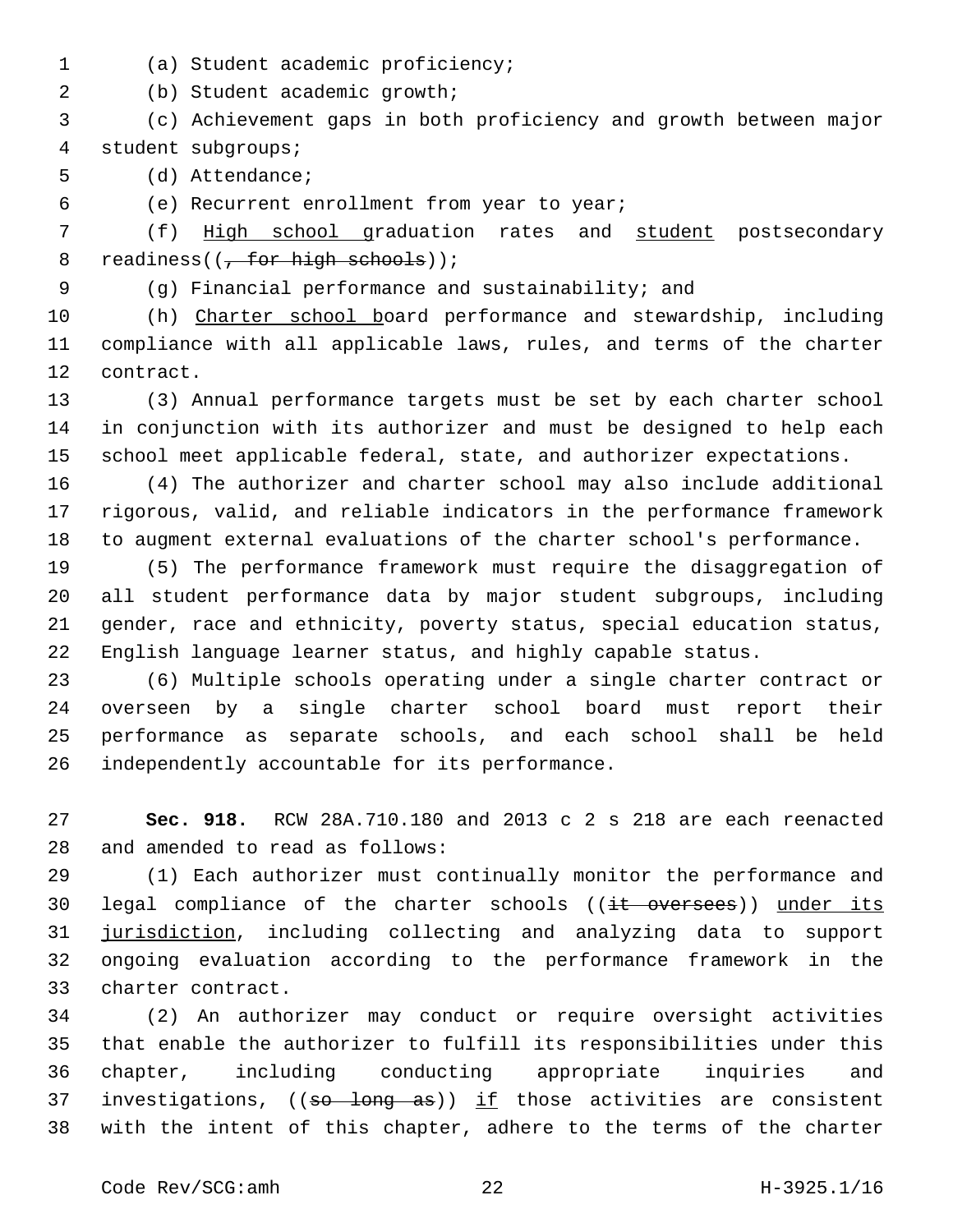- 
- (a) Student academic proficiency;1

(b) Student academic growth;2

 (c) Achievement gaps in both proficiency and growth between major student subgroups;4

5 (d) Attendance;

(e) Recurrent enrollment from year to year;6

 (f) High school graduation rates and student postsecondary 8 readiness( $(\frac{1}{2}$  for high schools));

(g) Financial performance and sustainability; and

 (h) Charter school board performance and stewardship, including compliance with all applicable laws, rules, and terms of the charter 12 contract.

 (3) Annual performance targets must be set by each charter school in conjunction with its authorizer and must be designed to help each school meet applicable federal, state, and authorizer expectations.

 (4) The authorizer and charter school may also include additional rigorous, valid, and reliable indicators in the performance framework to augment external evaluations of the charter school's performance.

 (5) The performance framework must require the disaggregation of all student performance data by major student subgroups, including gender, race and ethnicity, poverty status, special education status, English language learner status, and highly capable status.

 (6) Multiple schools operating under a single charter contract or overseen by a single charter school board must report their performance as separate schools, and each school shall be held 26 independently accountable for its performance.

 **Sec. 918.** RCW 28A.710.180 and 2013 c 2 s 218 are each reenacted 28 and amended to read as follows:

 (1) Each authorizer must continually monitor the performance and 30 legal compliance of the charter schools ((it oversees)) under its jurisdiction, including collecting and analyzing data to support ongoing evaluation according to the performance framework in the 33 charter contract.

 (2) An authorizer may conduct or require oversight activities that enable the authorizer to fulfill its responsibilities under this chapter, including conducting appropriate inquiries and 37 investigations,  $((so - long - as))$  if those activities are consistent with the intent of this chapter, adhere to the terms of the charter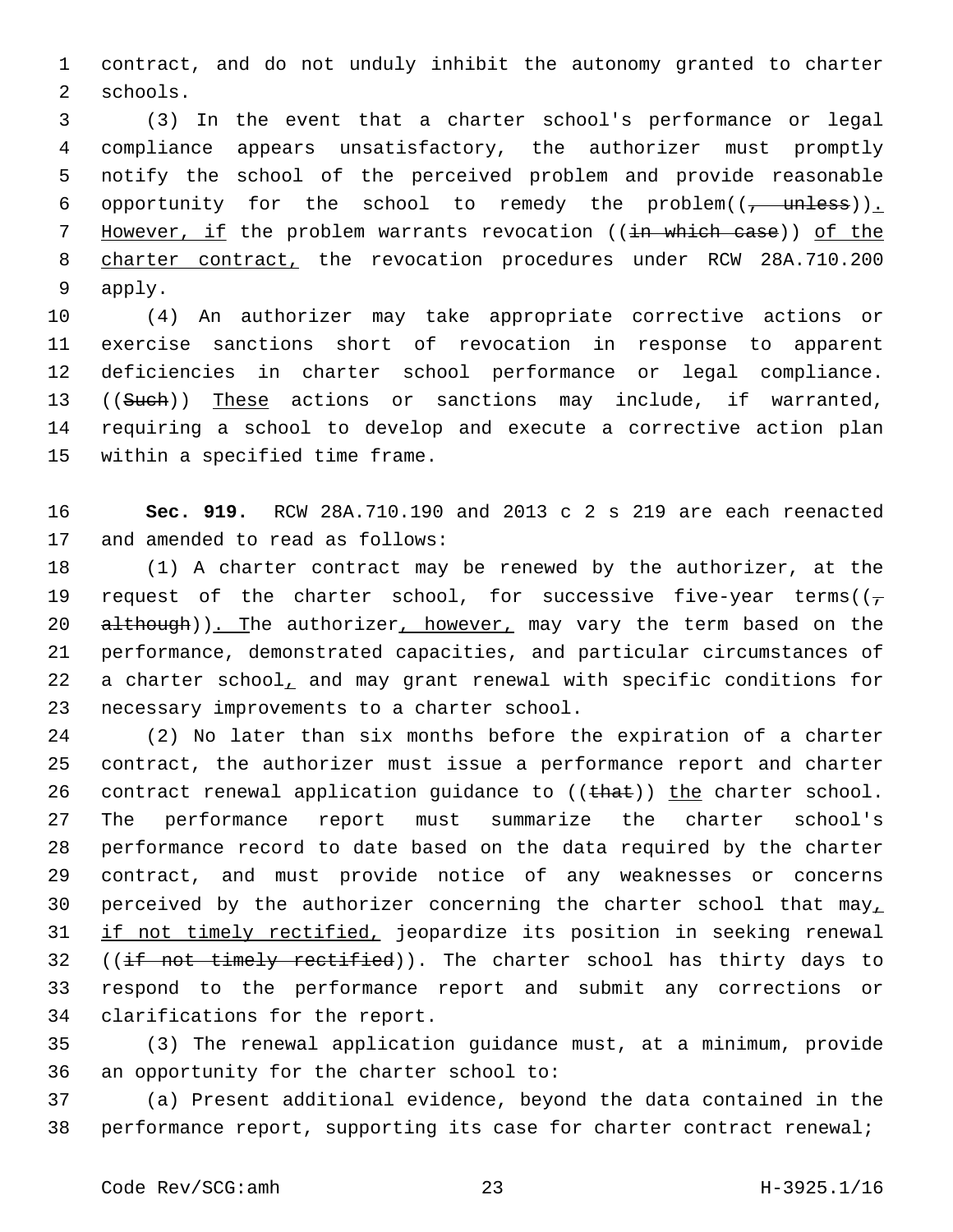1 contract, and do not unduly inhibit the autonomy granted to charter 2 schools.

3 (3) In the event that a charter school's performance or legal 4 compliance appears unsatisfactory, the authorizer must promptly 5 notify the school of the perceived problem and provide reasonable 6 opportunity for the school to remedy the problem( $(\frac{1}{f} - \text{unless})$ ). 7 However, if the problem warrants revocation ((in which case)) of the 8 charter contract, the revocation procedures under RCW 28A.710.200 9 apply.

 (4) An authorizer may take appropriate corrective actions or exercise sanctions short of revocation in response to apparent deficiencies in charter school performance or legal compliance. 13 ((Such)) These actions or sanctions may include, if warranted, requiring a school to develop and execute a corrective action plan 15 within a specified time frame.

16 **Sec. 919.** RCW 28A.710.190 and 2013 c 2 s 219 are each reenacted 17 and amended to read as follows:

18 (1) A charter contract may be renewed by the authorizer, at the 19 request of the charter school, for successive five-year terms( $(\tau$ 20 although)). The authorizer, however, may vary the term based on the 21 performance, demonstrated capacities, and particular circumstances of 22 a charter school, and may grant renewal with specific conditions for 23 necessary improvements to a charter school.

 (2) No later than six months before the expiration of a charter contract, the authorizer must issue a performance report and charter 26 contract renewal application guidance to  $((\text{that}))$  the charter school. The performance report must summarize the charter school's performance record to date based on the data required by the charter contract, and must provide notice of any weaknesses or concerns 30 perceived by the authorizer concerning the charter school that  $\max_{L}$  if not timely rectified, jeopardize its position in seeking renewal 32 ((if not timely rectified)). The charter school has thirty days to respond to the performance report and submit any corrections or 34 clarifications for the report.

35 (3) The renewal application guidance must, at a minimum, provide 36 an opportunity for the charter school to:

37 (a) Present additional evidence, beyond the data contained in the 38 performance report, supporting its case for charter contract renewal;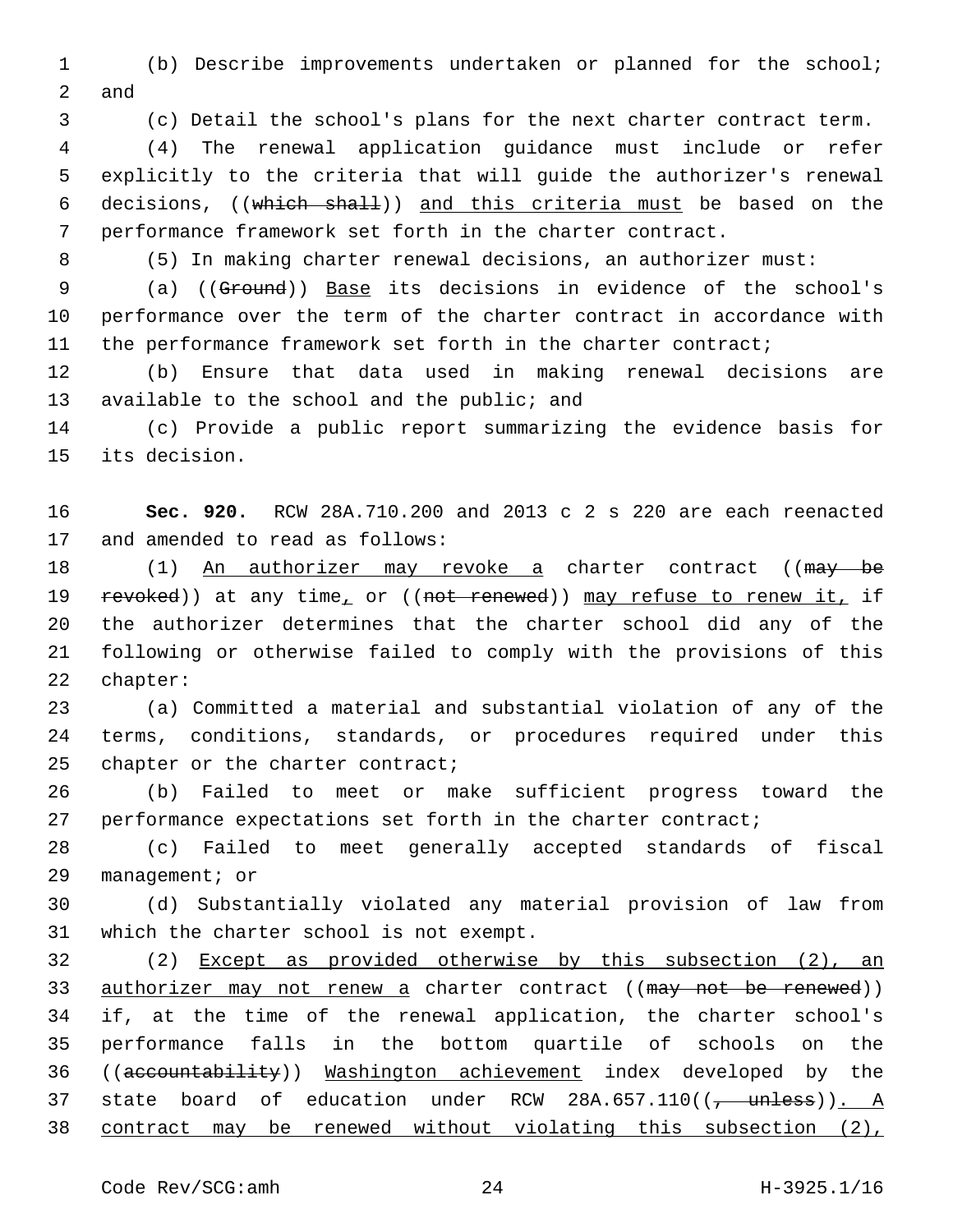(b) Describe improvements undertaken or planned for the school; 2 and

(c) Detail the school's plans for the next charter contract term.

 (4) The renewal application guidance must include or refer explicitly to the criteria that will guide the authorizer's renewal decisions, ((which shall)) and this criteria must be based on the performance framework set forth in the charter contract.

(5) In making charter renewal decisions, an authorizer must:

 (a) ((Ground)) Base its decisions in evidence of the school's performance over the term of the charter contract in accordance with 11 the performance framework set forth in the charter contract;

 (b) Ensure that data used in making renewal decisions are 13 available to the school and the public; and

 (c) Provide a public report summarizing the evidence basis for 15 its decision.

 **Sec. 920.** RCW 28A.710.200 and 2013 c 2 s 220 are each reenacted 17 and amended to read as follows:

18 (1) An authorizer may revoke a charter contract ((may be 19 revoked)) at any time, or ((not renewed)) may refuse to renew it, if the authorizer determines that the charter school did any of the following or otherwise failed to comply with the provisions of this 22 chapter:

 (a) Committed a material and substantial violation of any of the terms, conditions, standards, or procedures required under this 25 chapter or the charter contract;

 (b) Failed to meet or make sufficient progress toward the 27 performance expectations set forth in the charter contract;

 (c) Failed to meet generally accepted standards of fiscal 29 management; or

 (d) Substantially violated any material provision of law from 31 which the charter school is not exempt.

 (2) Except as provided otherwise by this subsection (2), an 33 authorizer may not renew a charter contract ((may not be renewed)) if, at the time of the renewal application, the charter school's performance falls in the bottom quartile of schools on the ((accountability)) Washington achievement index developed by the 37 state board of education under RCW 28A.657.110( $\frac{1}{1-\mu}$  unless)). A contract may be renewed without violating this subsection (2),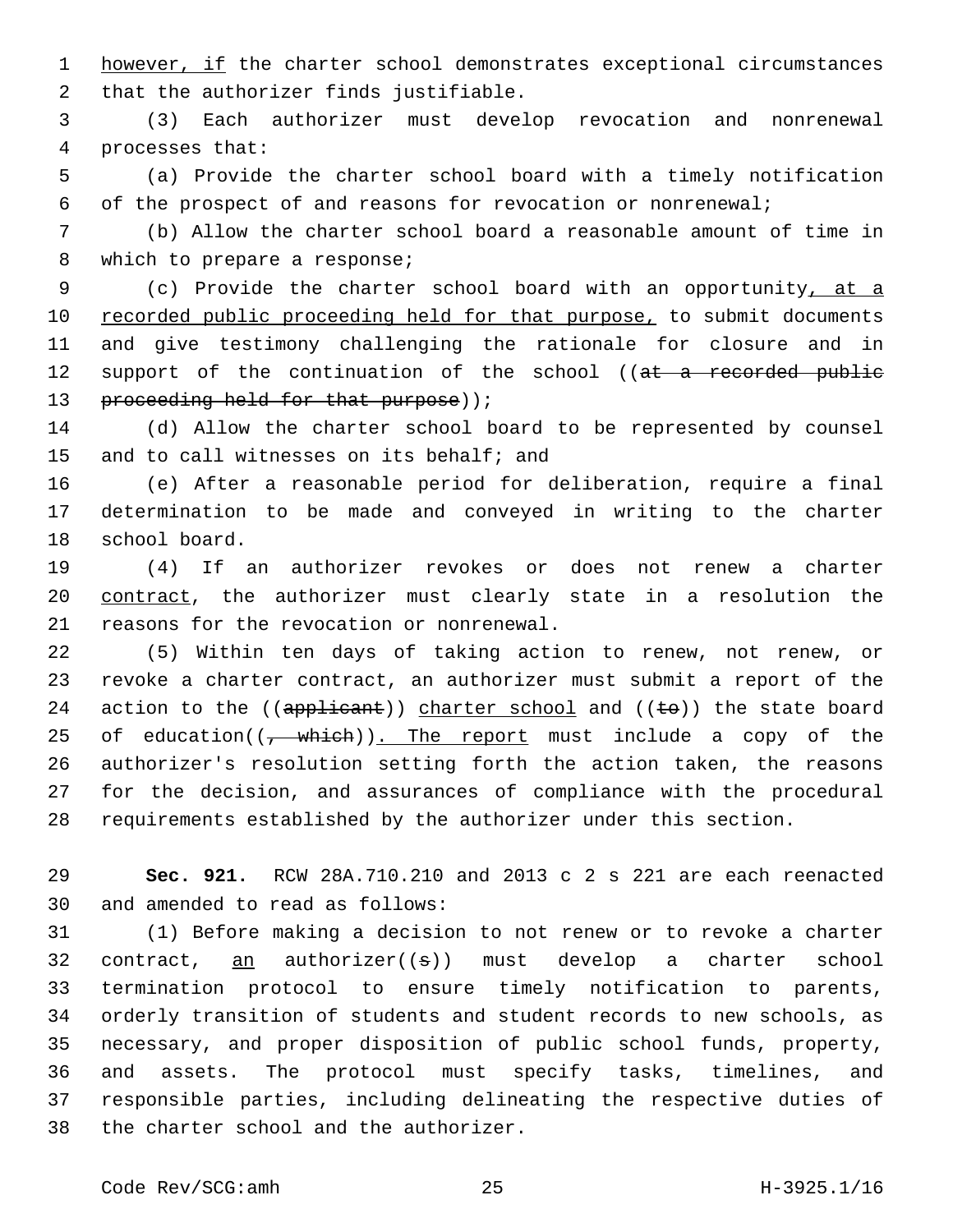1 however, if the charter school demonstrates exceptional circumstances 2 that the authorizer finds justifiable.

3 (3) Each authorizer must develop revocation and nonrenewal 4 processes that:

5 (a) Provide the charter school board with a timely notification 6 of the prospect of and reasons for revocation or nonrenewal;

7 (b) Allow the charter school board a reasonable amount of time in 8 which to prepare a response;

9 (c) Provide the charter school board with an opportunity, at a 10 recorded public proceeding held for that purpose, to submit documents 11 and give testimony challenging the rationale for closure and in 12 support of the continuation of the school ((at a recorded public 13 proceeding held for that purpose));

14 (d) Allow the charter school board to be represented by counsel 15 and to call witnesses on its behalf; and

16 (e) After a reasonable period for deliberation, require a final 17 determination to be made and conveyed in writing to the charter 18 school board.

19 (4) If an authorizer revokes or does not renew a charter 20 contract, the authorizer must clearly state in a resolution the 21 reasons for the revocation or nonrenewal.

 (5) Within ten days of taking action to renew, not renew, or revoke a charter contract, an authorizer must submit a report of the 24 action to the  $((\text{applicant}))$  charter school and  $((\text{te}))$  the state board 25 of education( $(\frac{1}{f} - \frac{1}{f} - \frac{1}{f})$ . The report must include a copy of the authorizer's resolution setting forth the action taken, the reasons for the decision, and assurances of compliance with the procedural requirements established by the authorizer under this section.

29 **Sec. 921.** RCW 28A.710.210 and 2013 c 2 s 221 are each reenacted 30 and amended to read as follows:

 (1) Before making a decision to not renew or to revoke a charter 32 contract,  $\frac{an}{an}$  authorizer((s)) must develop a charter school termination protocol to ensure timely notification to parents, orderly transition of students and student records to new schools, as necessary, and proper disposition of public school funds, property, and assets. The protocol must specify tasks, timelines, and responsible parties, including delineating the respective duties of 38 the charter school and the authorizer.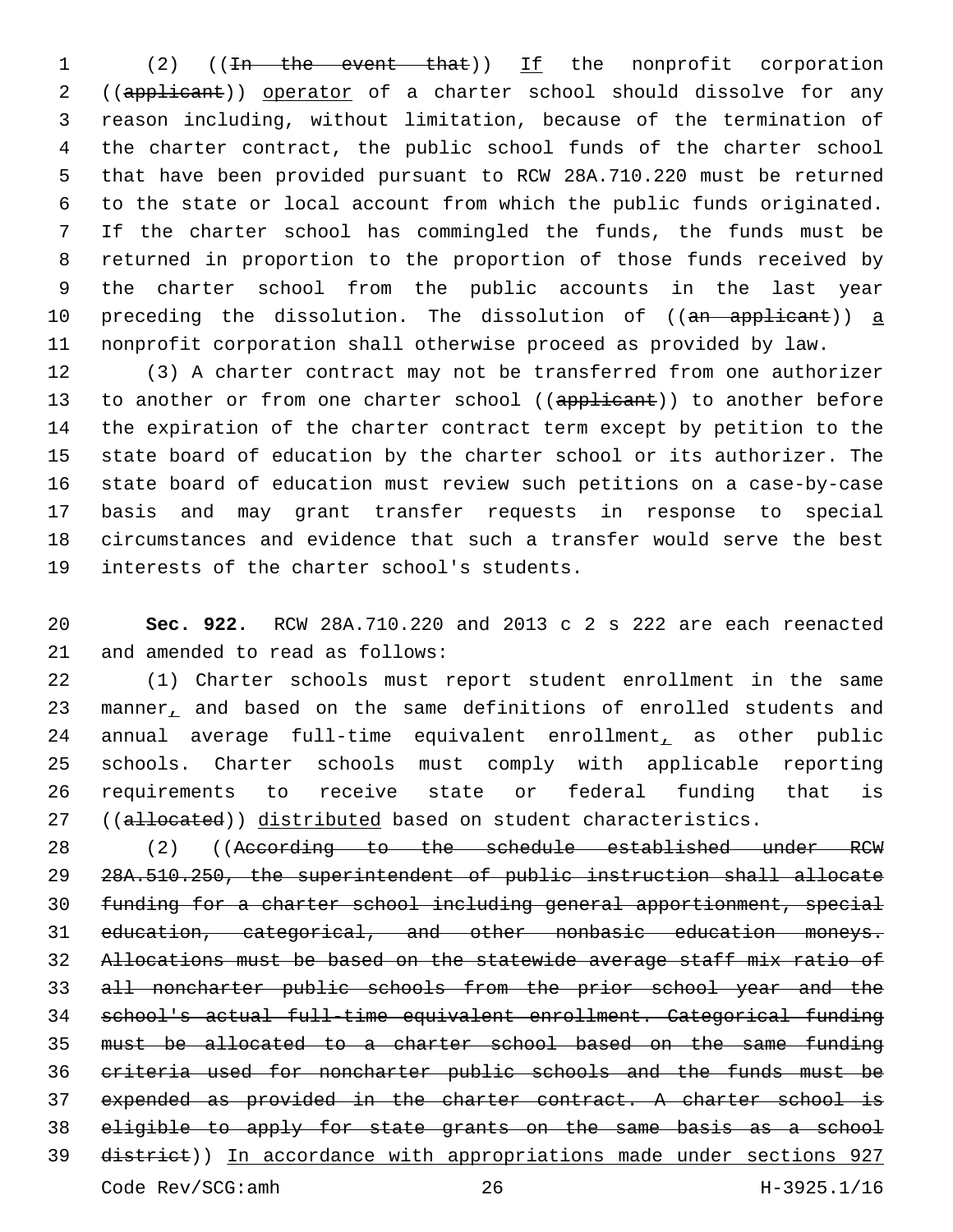(2) ((In the event that)) If the nonprofit corporation 2 ((applicant)) operator of a charter school should dissolve for any reason including, without limitation, because of the termination of the charter contract, the public school funds of the charter school that have been provided pursuant to RCW 28A.710.220 must be returned to the state or local account from which the public funds originated. If the charter school has commingled the funds, the funds must be returned in proportion to the proportion of those funds received by the charter school from the public accounts in the last year 10 preceding the dissolution. The dissolution of ((an applicant)) a nonprofit corporation shall otherwise proceed as provided by law.

 (3) A charter contract may not be transferred from one authorizer 13 to another or from one charter school ((applicant)) to another before the expiration of the charter contract term except by petition to the state board of education by the charter school or its authorizer. The state board of education must review such petitions on a case-by-case basis and may grant transfer requests in response to special circumstances and evidence that such a transfer would serve the best 19 interests of the charter school's students.

 **Sec. 922.** RCW 28A.710.220 and 2013 c 2 s 222 are each reenacted 21 and amended to read as follows:

 (1) Charter schools must report student enrollment in the same 23 manner, and based on the same definitions of enrolled students and annual average full-time equivalent enrollment, as other public schools. Charter schools must comply with applicable reporting requirements to receive state or federal funding that is 27 ((allocated)) distributed based on student characteristics.

 (2) ((According to the schedule established under RCW 28A.510.250, the superintendent of public instruction shall allocate funding for a charter school including general apportionment, special education, categorical, and other nonbasic education moneys. Allocations must be based on the statewide average staff mix ratio of all noncharter public schools from the prior school year and the school's actual full-time equivalent enrollment. Categorical funding must be allocated to a charter school based on the same funding criteria used for noncharter public schools and the funds must be expended as provided in the charter contract. A charter school is eligible to apply for state grants on the same basis as a school district)) In accordance with appropriations made under sections 927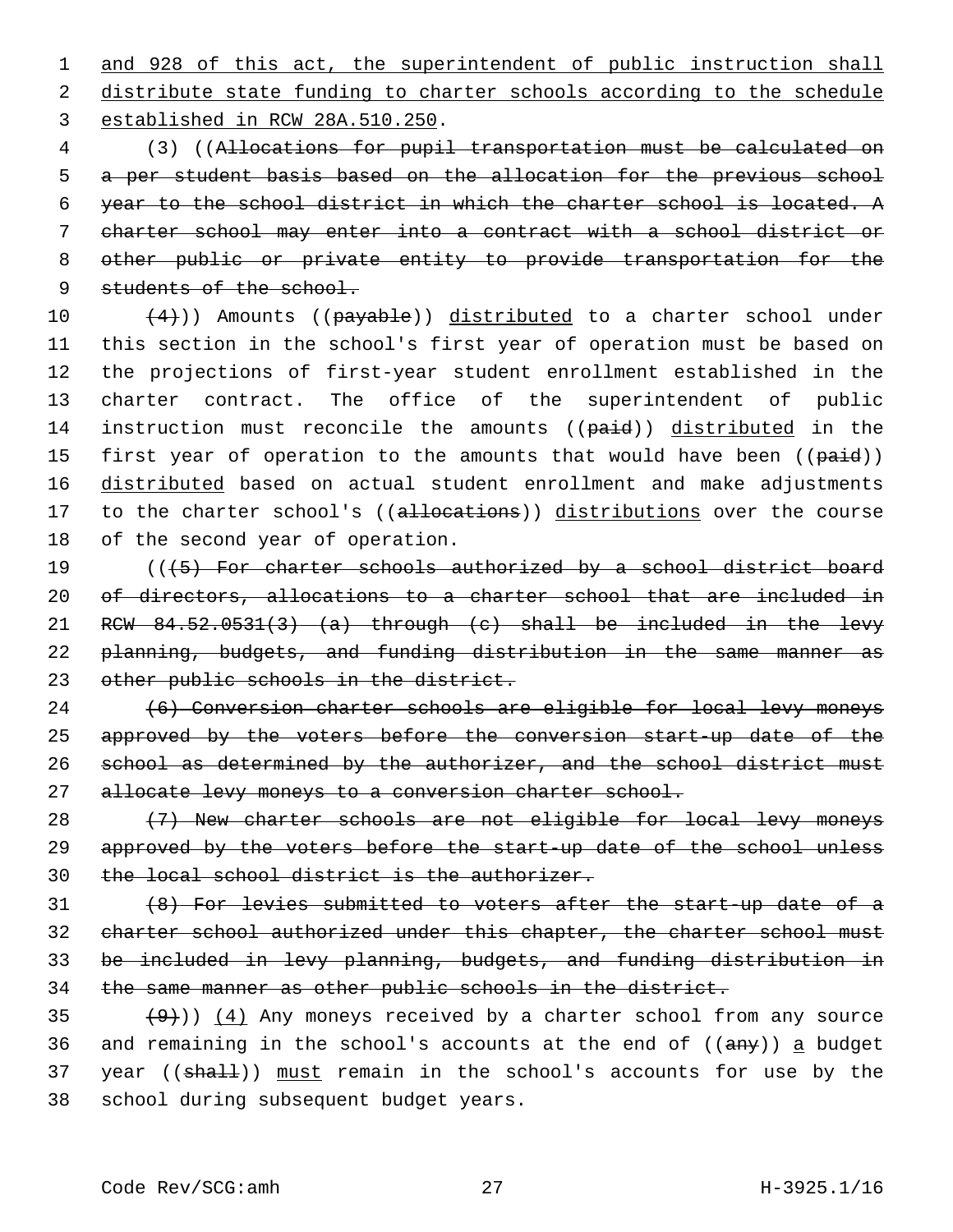1 and 928 of this act, the superintendent of public instruction shall 2 distribute state funding to charter schools according to the schedule 3 established in RCW 28A.510.250.

 (3) ((Allocations for pupil transportation must be calculated on a per student basis based on the allocation for the previous school year to the school district in which the charter school is located. A charter school may enter into a contract with a school district or other public or private entity to provide transportation for the 9 students of the school.

10  $(4)$ )) Amounts ((payable)) distributed to a charter school under 11 this section in the school's first year of operation must be based on 12 the projections of first-year student enrollment established in the 13 charter contract. The office of the superintendent of public 14 instruction must reconcile the amounts ((paid)) distributed in the 15 first year of operation to the amounts that would have been ((paid)) 16 distributed based on actual student enrollment and make adjustments 17 to the charter school's ((allocations)) distributions over the course 18 of the second year of operation.

19 (((45) For charter schools authorized by a school district board 20 of directors, allocations to a charter school that are included in 21 RCW 84.52.0531(3) (a) through (c) shall be included in the levy 22 planning, budgets, and funding distribution in the same manner as 23 other public schools in the district.

24 (6) Conversion charter schools are eligible for local levy moneys 25 approved by the voters before the conversion start-up date of the 26 school as determined by the authorizer, and the school district must 27 allocate levy moneys to a conversion charter school.

28 (7) New charter schools are not eligible for local levy moneys 29 approved by the voters before the start-up date of the school unless 30 the local school district is the authorizer.

 (8) For levies submitted to voters after the start-up date of a charter school authorized under this chapter, the charter school must be included in levy planning, budgets, and funding distribution in the same manner as other public schools in the district.

35  $(9)$ ) (4) Any moneys received by a charter school from any source 36 and remaining in the school's accounts at the end of  $((any))$  a budget 37 year ((shall)) must remain in the school's accounts for use by the 38 school during subsequent budget years.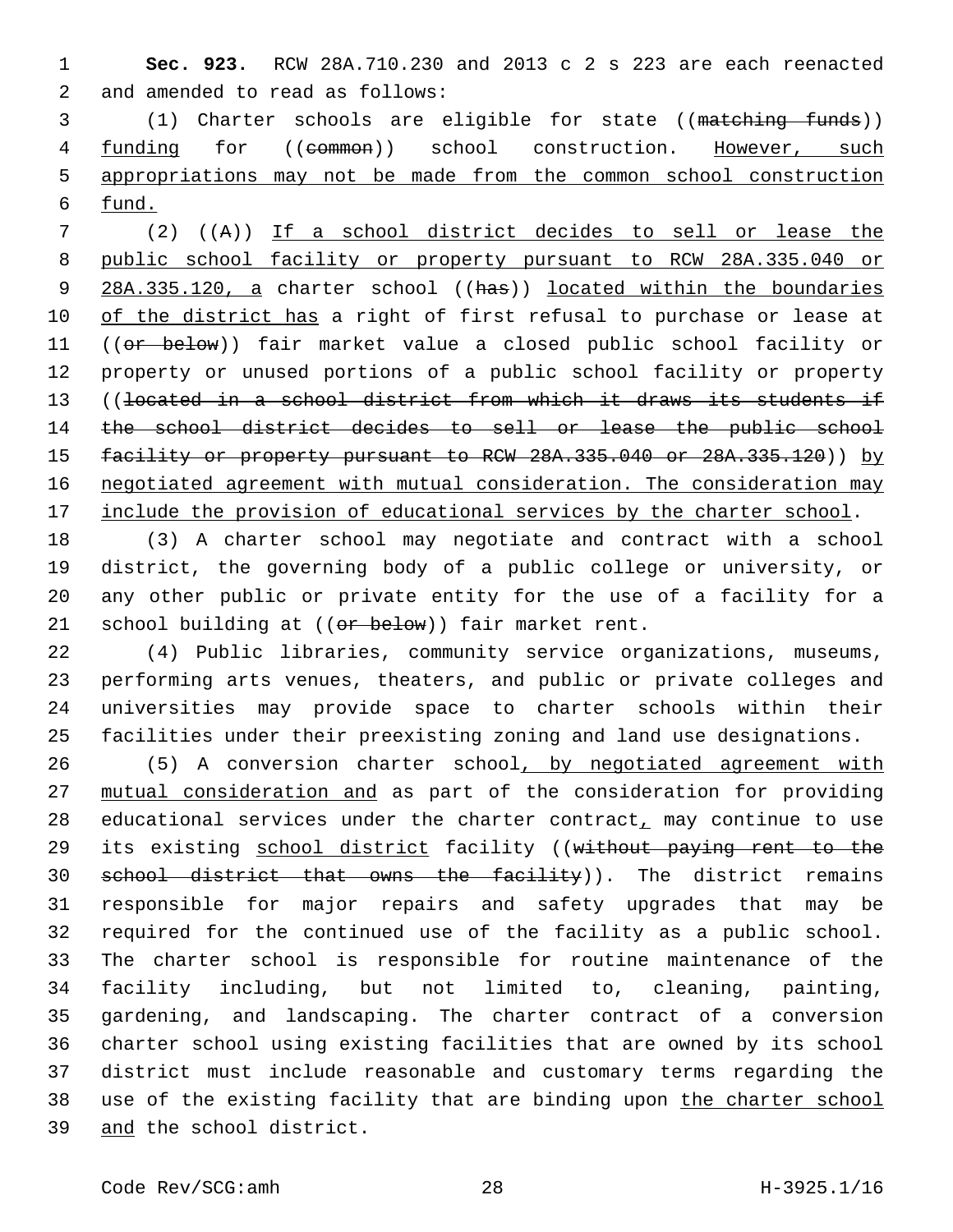**Sec. 923.** RCW 28A.710.230 and 2013 c 2 s 223 are each reenacted 2 and amended to read as follows:

 (1) Charter schools are eligible for state ((matching funds)) funding for ((common)) school construction. However, such appropriations may not be made from the common school construction fund.

 (2) ((A)) If a school district decides to sell or lease the public school facility or property pursuant to RCW 28A.335.040 or 9 28A.335.120, a charter school ((has)) located within the boundaries 10 of the district has a right of first refusal to purchase or lease at 11 ((or below)) fair market value a closed public school facility or property or unused portions of a public school facility or property ((located in a school district from which it draws its students if 14 the school district decides to sell or lease the public school 15 facility or property pursuant to RCW 28A.335.040 or 28A.335.120)) by negotiated agreement with mutual consideration. The consideration may 17 include the provision of educational services by the charter school.

 (3) A charter school may negotiate and contract with a school district, the governing body of a public college or university, or any other public or private entity for the use of a facility for a 21 school building at  $((or below))$  fair market rent.

 (4) Public libraries, community service organizations, museums, performing arts venues, theaters, and public or private colleges and universities may provide space to charter schools within their facilities under their preexisting zoning and land use designations.

 (5) A conversion charter school, by negotiated agreement with mutual consideration and as part of the consideration for providing 28 educational services under the charter contract, may continue to use 29 its existing school district facility ((without paying rent to the 30 school district that owns the facility)). The district remains responsible for major repairs and safety upgrades that may be required for the continued use of the facility as a public school. The charter school is responsible for routine maintenance of the facility including, but not limited to, cleaning, painting, gardening, and landscaping. The charter contract of a conversion charter school using existing facilities that are owned by its school district must include reasonable and customary terms regarding the 38 use of the existing facility that are binding upon the charter school 39 and the school district.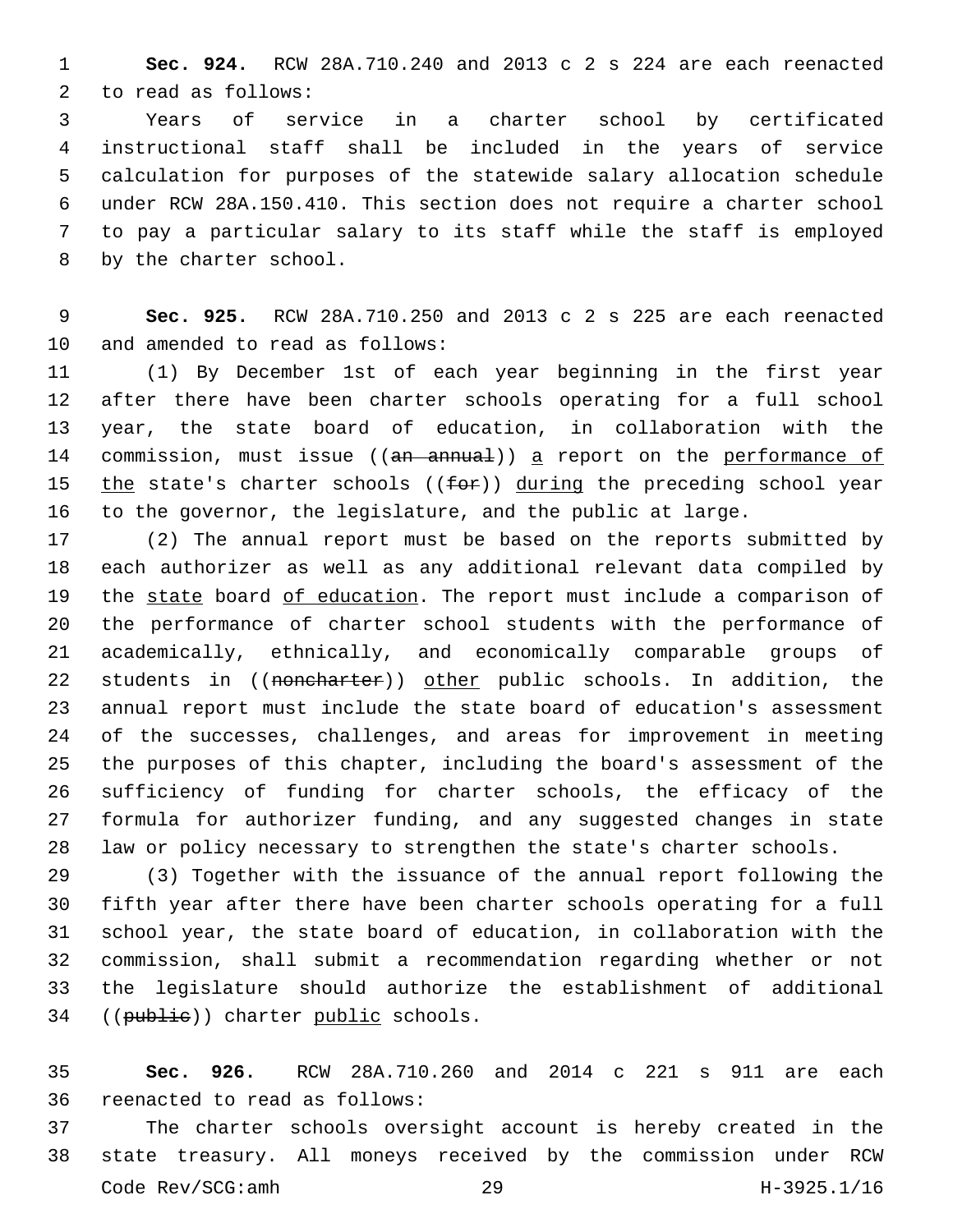**Sec. 924.** RCW 28A.710.240 and 2013 c 2 s 224 are each reenacted 2 to read as follows:

 Years of service in a charter school by certificated instructional staff shall be included in the years of service calculation for purposes of the statewide salary allocation schedule under RCW 28A.150.410. This section does not require a charter school to pay a particular salary to its staff while the staff is employed 8 by the charter school.

 **Sec. 925.** RCW 28A.710.250 and 2013 c 2 s 225 are each reenacted 10 and amended to read as follows:

 (1) By December 1st of each year beginning in the first year after there have been charter schools operating for a full school year, the state board of education, in collaboration with the 14 commission, must issue ((an annual)) a report on the performance of 15 the state's charter schools (( $f$ o $f$ )) during the preceding school year to the governor, the legislature, and the public at large.

 (2) The annual report must be based on the reports submitted by each authorizer as well as any additional relevant data compiled by 19 the state board of education. The report must include a comparison of the performance of charter school students with the performance of academically, ethnically, and economically comparable groups of 22 students in ((noncharter)) other public schools. In addition, the annual report must include the state board of education's assessment of the successes, challenges, and areas for improvement in meeting the purposes of this chapter, including the board's assessment of the sufficiency of funding for charter schools, the efficacy of the formula for authorizer funding, and any suggested changes in state law or policy necessary to strengthen the state's charter schools.

 (3) Together with the issuance of the annual report following the fifth year after there have been charter schools operating for a full school year, the state board of education, in collaboration with the commission, shall submit a recommendation regarding whether or not the legislature should authorize the establishment of additional 34 ((publie)) charter public schools.

 **Sec. 926.** RCW 28A.710.260 and 2014 c 221 s 911 are each 36 reenacted to read as follows:

 The charter schools oversight account is hereby created in the state treasury. All moneys received by the commission under RCW Code Rev/SCG:amh 29 H-3925.1/16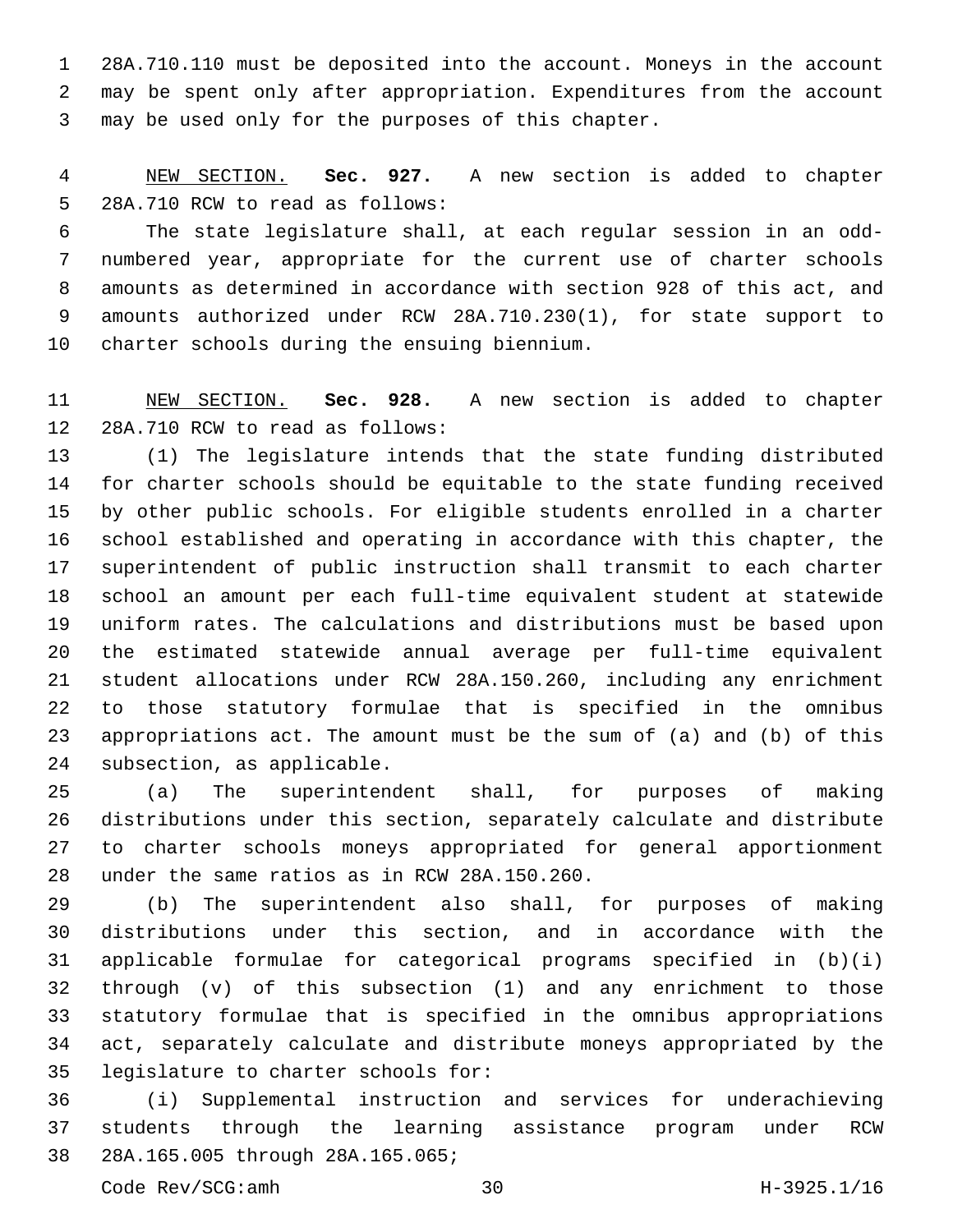28A.710.110 must be deposited into the account. Moneys in the account may be spent only after appropriation. Expenditures from the account 3 may be used only for the purposes of this chapter.

 NEW SECTION. **Sec. 927.** A new section is added to chapter 5 28A.710 RCW to read as follows:

 The state legislature shall, at each regular session in an odd- numbered year, appropriate for the current use of charter schools amounts as determined in accordance with section 928 of this act, and amounts authorized under RCW 28A.710.230(1), for state support to 10 charter schools during the ensuing biennium.

 NEW SECTION. **Sec. 928.** A new section is added to chapter 12 28A.710 RCW to read as follows:

 (1) The legislature intends that the state funding distributed for charter schools should be equitable to the state funding received by other public schools. For eligible students enrolled in a charter school established and operating in accordance with this chapter, the superintendent of public instruction shall transmit to each charter school an amount per each full-time equivalent student at statewide uniform rates. The calculations and distributions must be based upon the estimated statewide annual average per full-time equivalent student allocations under RCW 28A.150.260, including any enrichment to those statutory formulae that is specified in the omnibus appropriations act. The amount must be the sum of (a) and (b) of this 24 subsection, as applicable.

 (a) The superintendent shall, for purposes of making distributions under this section, separately calculate and distribute to charter schools moneys appropriated for general apportionment 28 under the same ratios as in RCW 28A.150.260.

 (b) The superintendent also shall, for purposes of making distributions under this section, and in accordance with the applicable formulae for categorical programs specified in (b)(i) through (v) of this subsection (1) and any enrichment to those statutory formulae that is specified in the omnibus appropriations act, separately calculate and distribute moneys appropriated by the 35 legislature to charter schools for:

 (i) Supplemental instruction and services for underachieving students through the learning assistance program under RCW 38 28A.165.005 through 28A.165.065;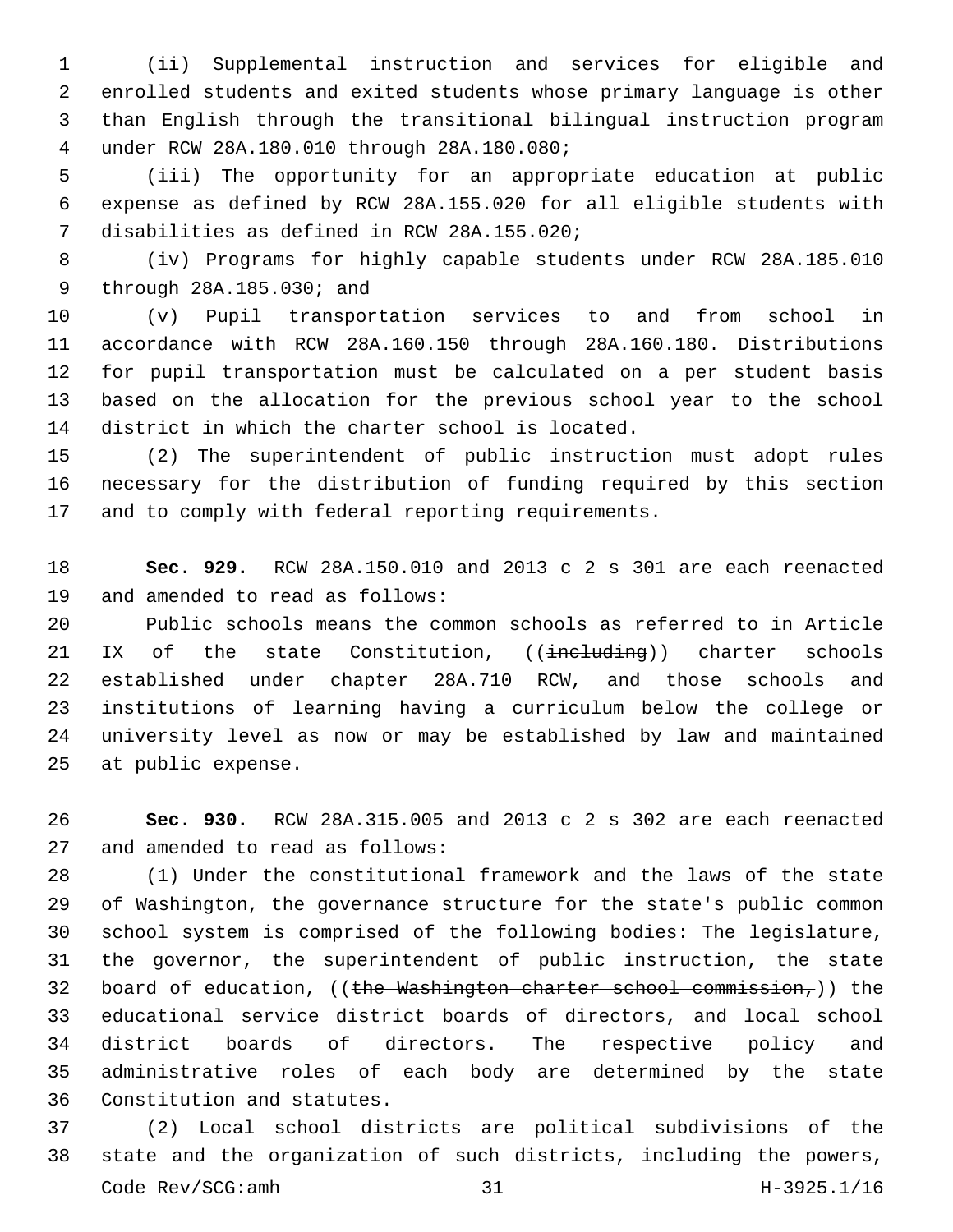(ii) Supplemental instruction and services for eligible and enrolled students and exited students whose primary language is other than English through the transitional bilingual instruction program under RCW 28A.180.010 through 28A.180.080;4

 (iii) The opportunity for an appropriate education at public expense as defined by RCW 28A.155.020 for all eligible students with 7 disabilities as defined in RCW 28A.155.020;

 (iv) Programs for highly capable students under RCW 28A.185.010 9 through 28A.185.030; and

 (v) Pupil transportation services to and from school in accordance with RCW 28A.160.150 through 28A.160.180. Distributions for pupil transportation must be calculated on a per student basis based on the allocation for the previous school year to the school 14 district in which the charter school is located.

 (2) The superintendent of public instruction must adopt rules necessary for the distribution of funding required by this section and to comply with federal reporting requirements.

 **Sec. 929.** RCW 28A.150.010 and 2013 c 2 s 301 are each reenacted 19 and amended to read as follows:

 Public schools means the common schools as referred to in Article 21 IX of the state Constitution, ((including)) charter schools established under chapter 28A.710 RCW, and those schools and institutions of learning having a curriculum below the college or university level as now or may be established by law and maintained 25 at public expense.

 **Sec. 930.** RCW 28A.315.005 and 2013 c 2 s 302 are each reenacted 27 and amended to read as follows:

 (1) Under the constitutional framework and the laws of the state of Washington, the governance structure for the state's public common school system is comprised of the following bodies: The legislature, the governor, the superintendent of public instruction, the state 32 board of education, ((the Washington charter school commission,)) the educational service district boards of directors, and local school district boards of directors. The respective policy and administrative roles of each body are determined by the state 36 Constitution and statutes.

 (2) Local school districts are political subdivisions of the state and the organization of such districts, including the powers, Code Rev/SCG:amh 31 H-3925.1/16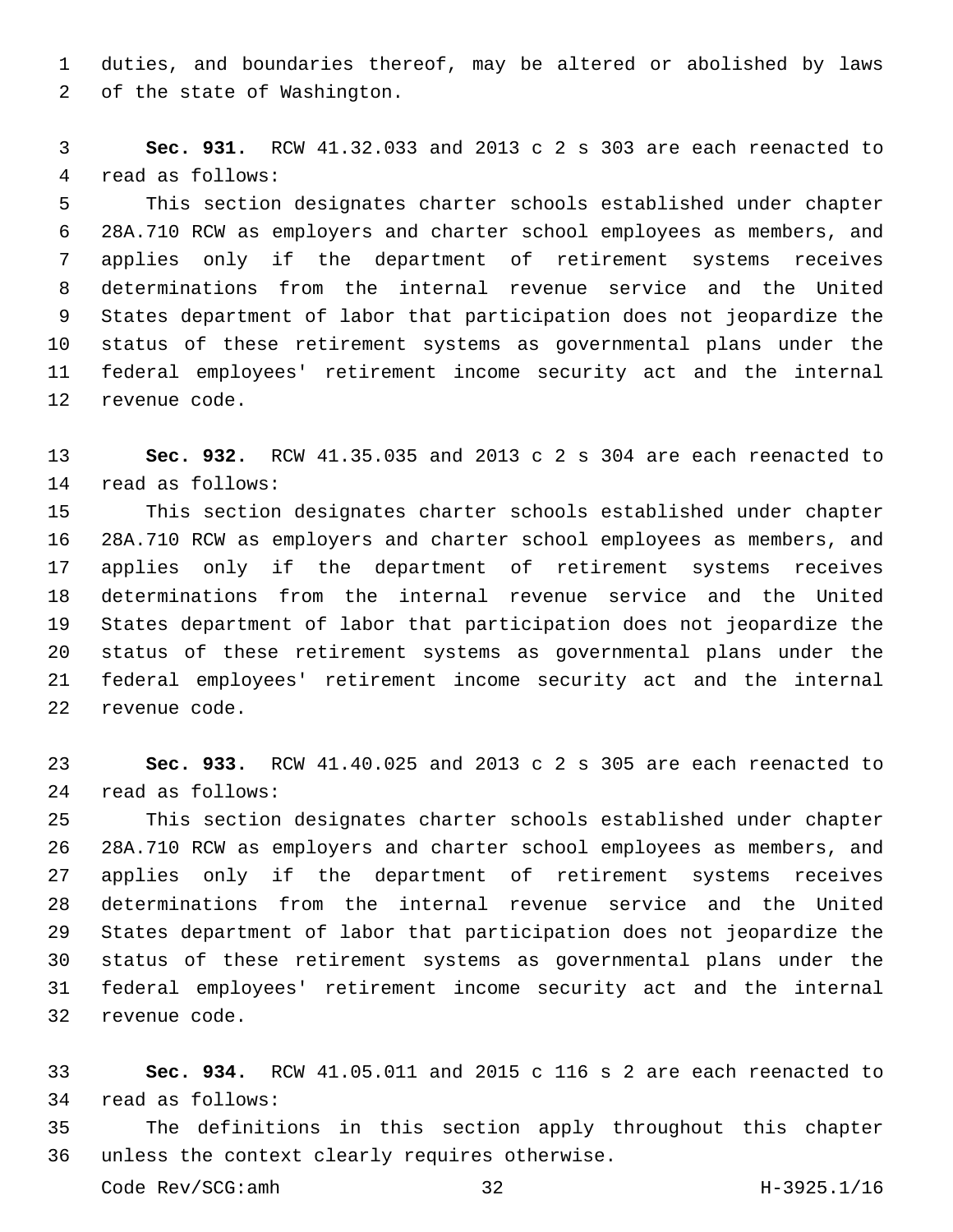duties, and boundaries thereof, may be altered or abolished by laws 2 of the state of Washington.

 **Sec. 931.** RCW 41.32.033 and 2013 c 2 s 303 are each reenacted to 4 read as follows:

 This section designates charter schools established under chapter 28A.710 RCW as employers and charter school employees as members, and applies only if the department of retirement systems receives determinations from the internal revenue service and the United States department of labor that participation does not jeopardize the status of these retirement systems as governmental plans under the federal employees' retirement income security act and the internal 12 revenue code.

 **Sec. 932.** RCW 41.35.035 and 2013 c 2 s 304 are each reenacted to 14 read as follows:

 This section designates charter schools established under chapter 28A.710 RCW as employers and charter school employees as members, and applies only if the department of retirement systems receives determinations from the internal revenue service and the United States department of labor that participation does not jeopardize the status of these retirement systems as governmental plans under the federal employees' retirement income security act and the internal 22 revenue code.

 **Sec. 933.** RCW 41.40.025 and 2013 c 2 s 305 are each reenacted to read as follows:24

 This section designates charter schools established under chapter 28A.710 RCW as employers and charter school employees as members, and applies only if the department of retirement systems receives determinations from the internal revenue service and the United States department of labor that participation does not jeopardize the status of these retirement systems as governmental plans under the federal employees' retirement income security act and the internal 32 revenue code.

 **Sec. 934.** RCW 41.05.011 and 2015 c 116 s 2 are each reenacted to read as follows:34

 The definitions in this section apply throughout this chapter 36 unless the context clearly requires otherwise.

Code Rev/SCG:amh 32 H-3925.1/16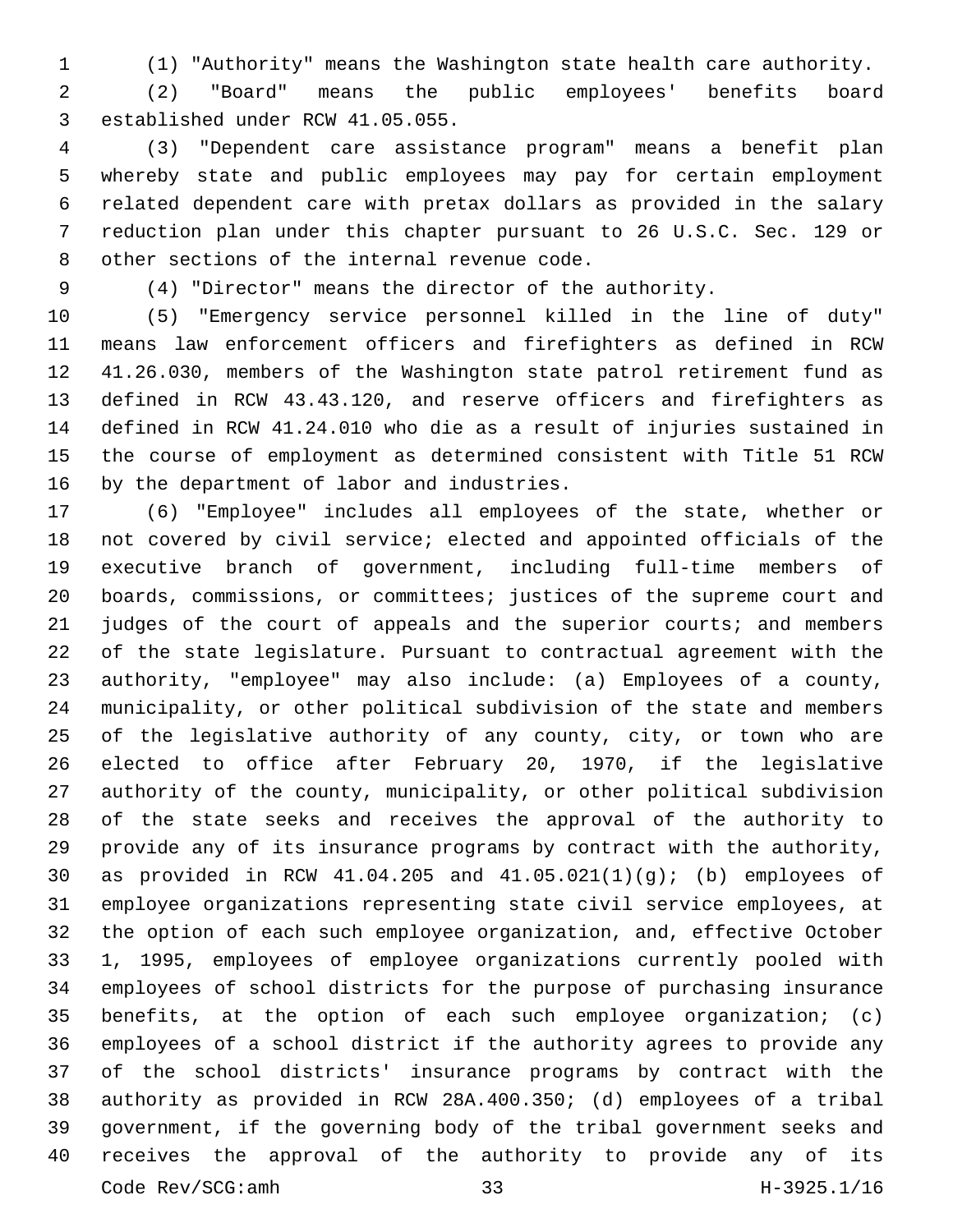(1) "Authority" means the Washington state health care authority. (2) "Board" means the public employees' benefits board 3 established under RCW 41.05.055.

 (3) "Dependent care assistance program" means a benefit plan whereby state and public employees may pay for certain employment related dependent care with pretax dollars as provided in the salary reduction plan under this chapter pursuant to 26 U.S.C. Sec. 129 or 8 other sections of the internal revenue code.

(4) "Director" means the director of the authority.

 (5) "Emergency service personnel killed in the line of duty" means law enforcement officers and firefighters as defined in RCW 41.26.030, members of the Washington state patrol retirement fund as defined in RCW 43.43.120, and reserve officers and firefighters as defined in RCW 41.24.010 who die as a result of injuries sustained in the course of employment as determined consistent with Title 51 RCW 16 by the department of labor and industries.

 (6) "Employee" includes all employees of the state, whether or not covered by civil service; elected and appointed officials of the executive branch of government, including full-time members of boards, commissions, or committees; justices of the supreme court and 21 judges of the court of appeals and the superior courts; and members of the state legislature. Pursuant to contractual agreement with the authority, "employee" may also include: (a) Employees of a county, municipality, or other political subdivision of the state and members of the legislative authority of any county, city, or town who are elected to office after February 20, 1970, if the legislative authority of the county, municipality, or other political subdivision of the state seeks and receives the approval of the authority to provide any of its insurance programs by contract with the authority, as provided in RCW 41.04.205 and 41.05.021(1)(g); (b) employees of employee organizations representing state civil service employees, at the option of each such employee organization, and, effective October 1, 1995, employees of employee organizations currently pooled with employees of school districts for the purpose of purchasing insurance benefits, at the option of each such employee organization; (c) employees of a school district if the authority agrees to provide any of the school districts' insurance programs by contract with the authority as provided in RCW 28A.400.350; (d) employees of a tribal government, if the governing body of the tribal government seeks and receives the approval of the authority to provide any of its Code Rev/SCG:amh 33 H-3925.1/16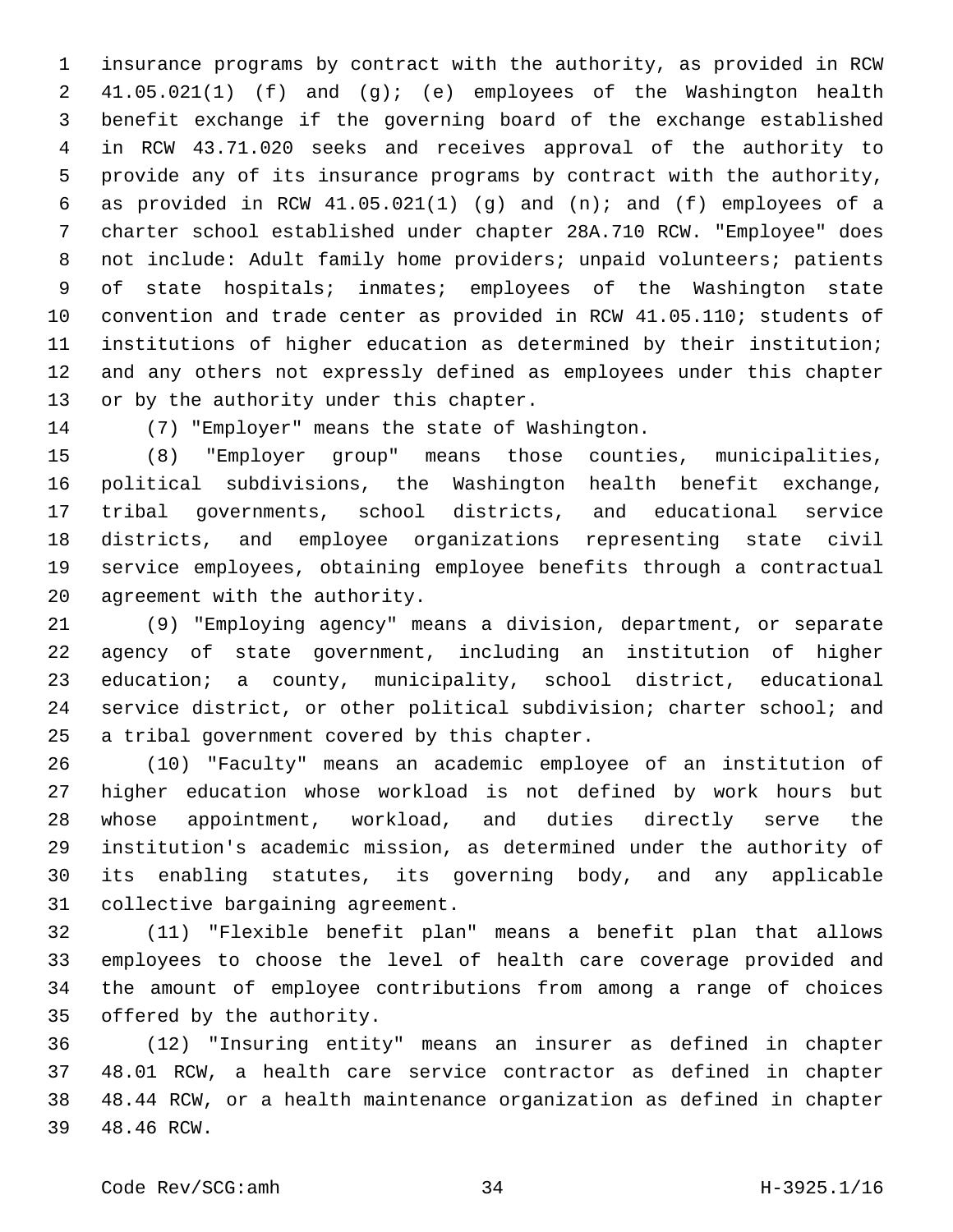insurance programs by contract with the authority, as provided in RCW 41.05.021(1) (f) and (g); (e) employees of the Washington health benefit exchange if the governing board of the exchange established in RCW 43.71.020 seeks and receives approval of the authority to provide any of its insurance programs by contract with the authority, as provided in RCW 41.05.021(1) (g) and (n); and (f) employees of a charter school established under chapter 28A.710 RCW. "Employee" does not include: Adult family home providers; unpaid volunteers; patients of state hospitals; inmates; employees of the Washington state convention and trade center as provided in RCW 41.05.110; students of institutions of higher education as determined by their institution; and any others not expressly defined as employees under this chapter 13 or by the authority under this chapter.

14 (7) "Employer" means the state of Washington.

 (8) "Employer group" means those counties, municipalities, political subdivisions, the Washington health benefit exchange, tribal governments, school districts, and educational service districts, and employee organizations representing state civil service employees, obtaining employee benefits through a contractual 20 agreement with the authority.

 (9) "Employing agency" means a division, department, or separate agency of state government, including an institution of higher education; a county, municipality, school district, educational service district, or other political subdivision; charter school; and 25 a tribal government covered by this chapter.

 (10) "Faculty" means an academic employee of an institution of higher education whose workload is not defined by work hours but whose appointment, workload, and duties directly serve the institution's academic mission, as determined under the authority of its enabling statutes, its governing body, and any applicable 31 collective bargaining agreement.

 (11) "Flexible benefit plan" means a benefit plan that allows employees to choose the level of health care coverage provided and the amount of employee contributions from among a range of choices 35 offered by the authority.

 (12) "Insuring entity" means an insurer as defined in chapter 48.01 RCW, a health care service contractor as defined in chapter 48.44 RCW, or a health maintenance organization as defined in chapter 48.46 RCW.39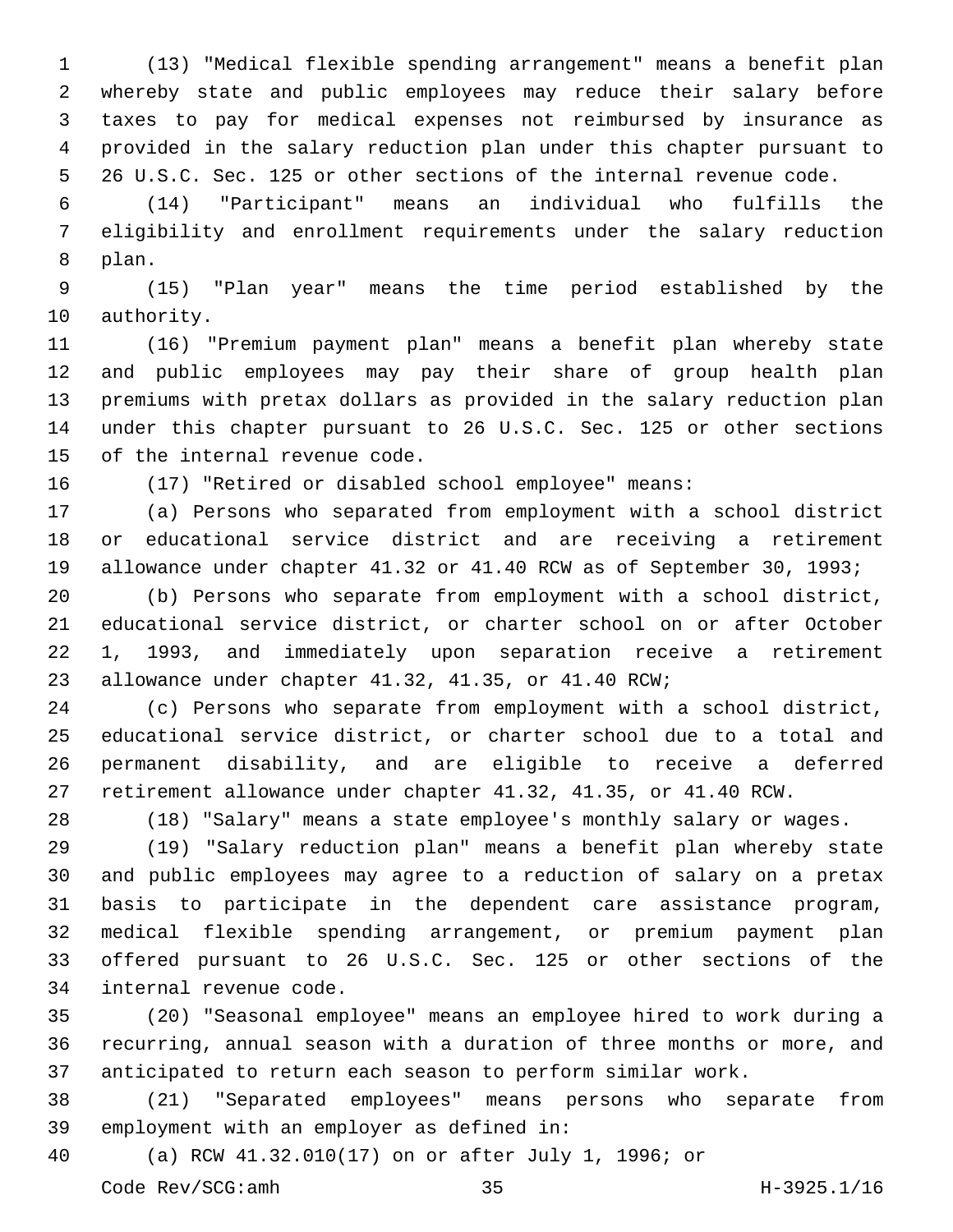(13) "Medical flexible spending arrangement" means a benefit plan whereby state and public employees may reduce their salary before taxes to pay for medical expenses not reimbursed by insurance as provided in the salary reduction plan under this chapter pursuant to 26 U.S.C. Sec. 125 or other sections of the internal revenue code.

 (14) "Participant" means an individual who fulfills the eligibility and enrollment requirements under the salary reduction 8 plan.

 (15) "Plan year" means the time period established by the 10 authority.

 (16) "Premium payment plan" means a benefit plan whereby state and public employees may pay their share of group health plan premiums with pretax dollars as provided in the salary reduction plan under this chapter pursuant to 26 U.S.C. Sec. 125 or other sections 15 of the internal revenue code.

(17) "Retired or disabled school employee" means:

 (a) Persons who separated from employment with a school district or educational service district and are receiving a retirement allowance under chapter 41.32 or 41.40 RCW as of September 30, 1993;

 (b) Persons who separate from employment with a school district, educational service district, or charter school on or after October 1, 1993, and immediately upon separation receive a retirement allowance under chapter 41.32, 41.35, or 41.40 RCW;

 (c) Persons who separate from employment with a school district, educational service district, or charter school due to a total and permanent disability, and are eligible to receive a deferred retirement allowance under chapter 41.32, 41.35, or 41.40 RCW.

(18) "Salary" means a state employee's monthly salary or wages.

 (19) "Salary reduction plan" means a benefit plan whereby state and public employees may agree to a reduction of salary on a pretax basis to participate in the dependent care assistance program, medical flexible spending arrangement, or premium payment plan offered pursuant to 26 U.S.C. Sec. 125 or other sections of the 34 internal revenue code.

 (20) "Seasonal employee" means an employee hired to work during a recurring, annual season with a duration of three months or more, and anticipated to return each season to perform similar work.

 (21) "Separated employees" means persons who separate from 39 employment with an employer as defined in:

(a) RCW 41.32.010(17) on or after July 1, 1996; or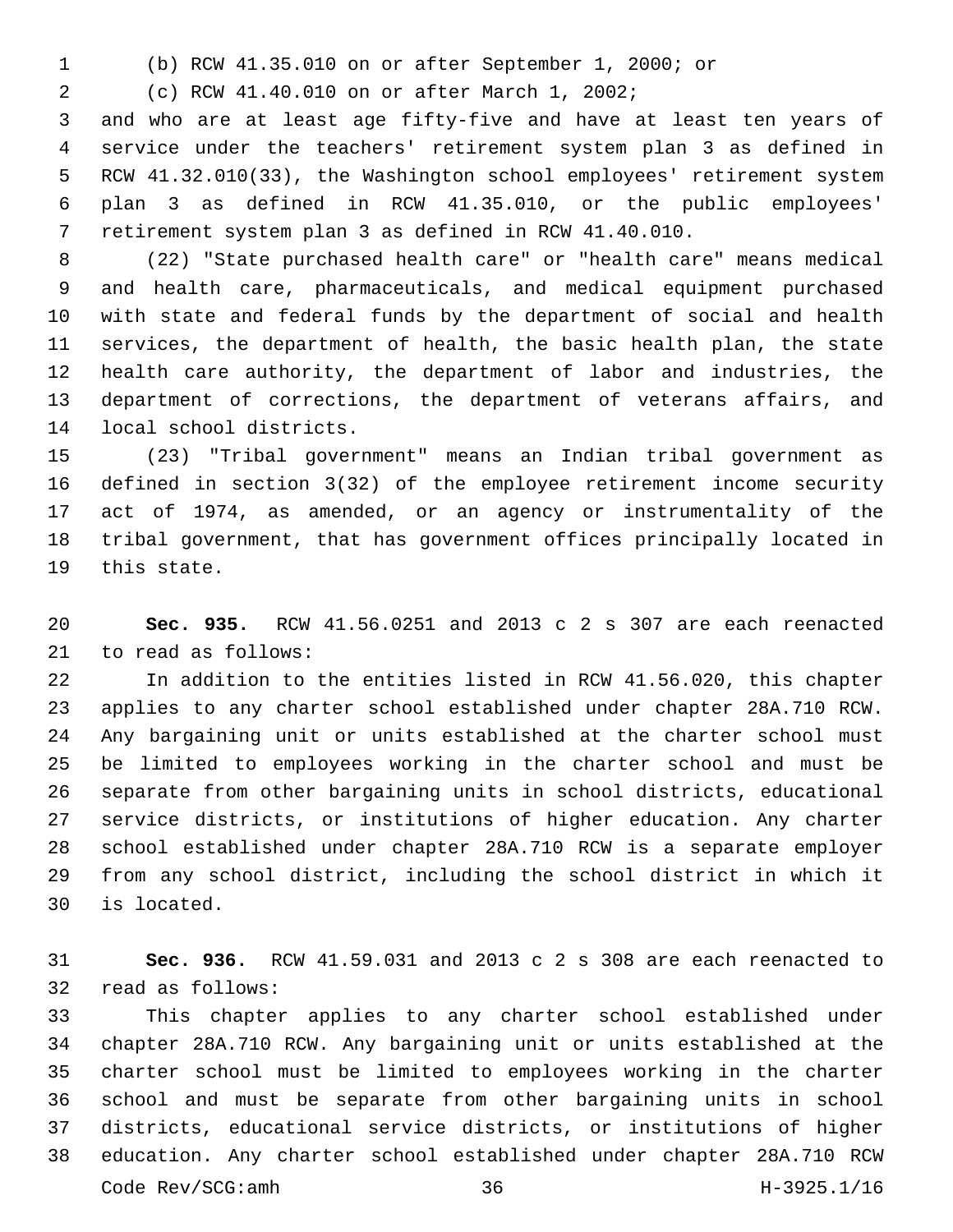(b) RCW 41.35.010 on or after September 1, 2000; or

(c) RCW 41.40.010 on or after March 1, 2002;2

 and who are at least age fifty-five and have at least ten years of service under the teachers' retirement system plan 3 as defined in RCW 41.32.010(33), the Washington school employees' retirement system plan 3 as defined in RCW 41.35.010, or the public employees' retirement system plan 3 as defined in RCW 41.40.010.

 (22) "State purchased health care" or "health care" means medical and health care, pharmaceuticals, and medical equipment purchased with state and federal funds by the department of social and health services, the department of health, the basic health plan, the state health care authority, the department of labor and industries, the department of corrections, the department of veterans affairs, and 14 local school districts.

 (23) "Tribal government" means an Indian tribal government as defined in section 3(32) of the employee retirement income security act of 1974, as amended, or an agency or instrumentality of the tribal government, that has government offices principally located in 19 this state.

 **Sec. 935.** RCW 41.56.0251 and 2013 c 2 s 307 are each reenacted 21 to read as follows:

 In addition to the entities listed in RCW 41.56.020, this chapter applies to any charter school established under chapter 28A.710 RCW. Any bargaining unit or units established at the charter school must be limited to employees working in the charter school and must be separate from other bargaining units in school districts, educational service districts, or institutions of higher education. Any charter school established under chapter 28A.710 RCW is a separate employer from any school district, including the school district in which it is located.30

 **Sec. 936.** RCW 41.59.031 and 2013 c 2 s 308 are each reenacted to 32 read as follows:

 This chapter applies to any charter school established under chapter 28A.710 RCW. Any bargaining unit or units established at the charter school must be limited to employees working in the charter school and must be separate from other bargaining units in school districts, educational service districts, or institutions of higher education. Any charter school established under chapter 28A.710 RCW Code Rev/SCG:amh 36 H-3925.1/16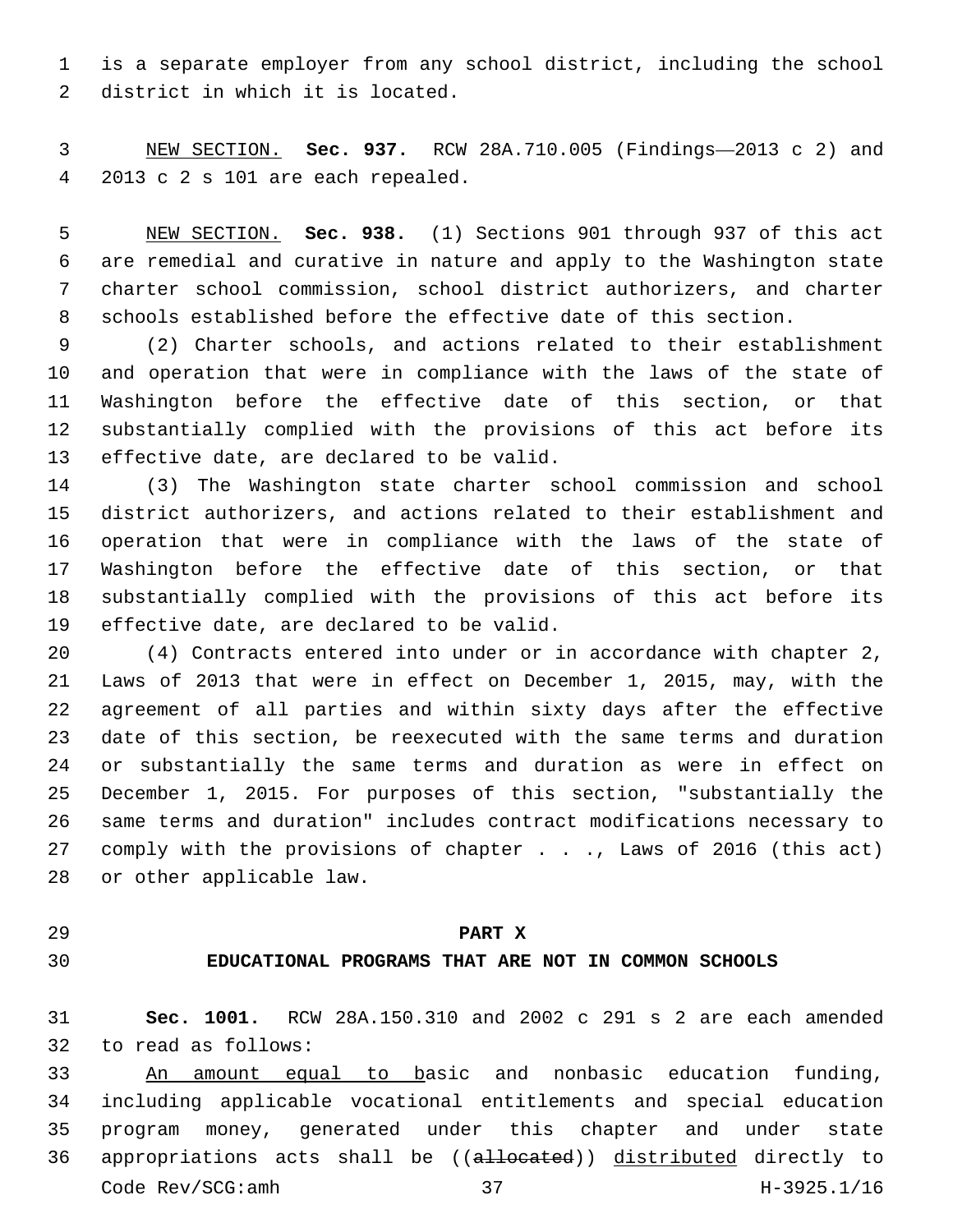is a separate employer from any school district, including the school 2 district in which it is located.

 NEW SECTION. **Sec. 937.** RCW 28A.710.005 (Findings—2013 c 2) and 2013 c 2 s 101 are each repealed.

 NEW SECTION. **Sec. 938.** (1) Sections 901 through 937 of this act are remedial and curative in nature and apply to the Washington state charter school commission, school district authorizers, and charter schools established before the effective date of this section.

 (2) Charter schools, and actions related to their establishment and operation that were in compliance with the laws of the state of Washington before the effective date of this section, or that substantially complied with the provisions of this act before its 13 effective date, are declared to be valid.

 (3) The Washington state charter school commission and school district authorizers, and actions related to their establishment and operation that were in compliance with the laws of the state of Washington before the effective date of this section, or that substantially complied with the provisions of this act before its 19 effective date, are declared to be valid.

 (4) Contracts entered into under or in accordance with chapter 2, Laws of 2013 that were in effect on December 1, 2015, may, with the agreement of all parties and within sixty days after the effective date of this section, be reexecuted with the same terms and duration or substantially the same terms and duration as were in effect on December 1, 2015. For purposes of this section, "substantially the same terms and duration" includes contract modifications necessary to comply with the provisions of chapter . . ., Laws of 2016 (this act) 28 or other applicable law.

- 
- 

#### **PART X**

## **EDUCATIONAL PROGRAMS THAT ARE NOT IN COMMON SCHOOLS**

 **Sec. 1001.** RCW 28A.150.310 and 2002 c 291 s 2 are each amended 32 to read as follows:

 An amount equal to basic and nonbasic education funding, including applicable vocational entitlements and special education program money, generated under this chapter and under state appropriations acts shall be ((allocated)) distributed directly to Code Rev/SCG:amh 37 H-3925.1/16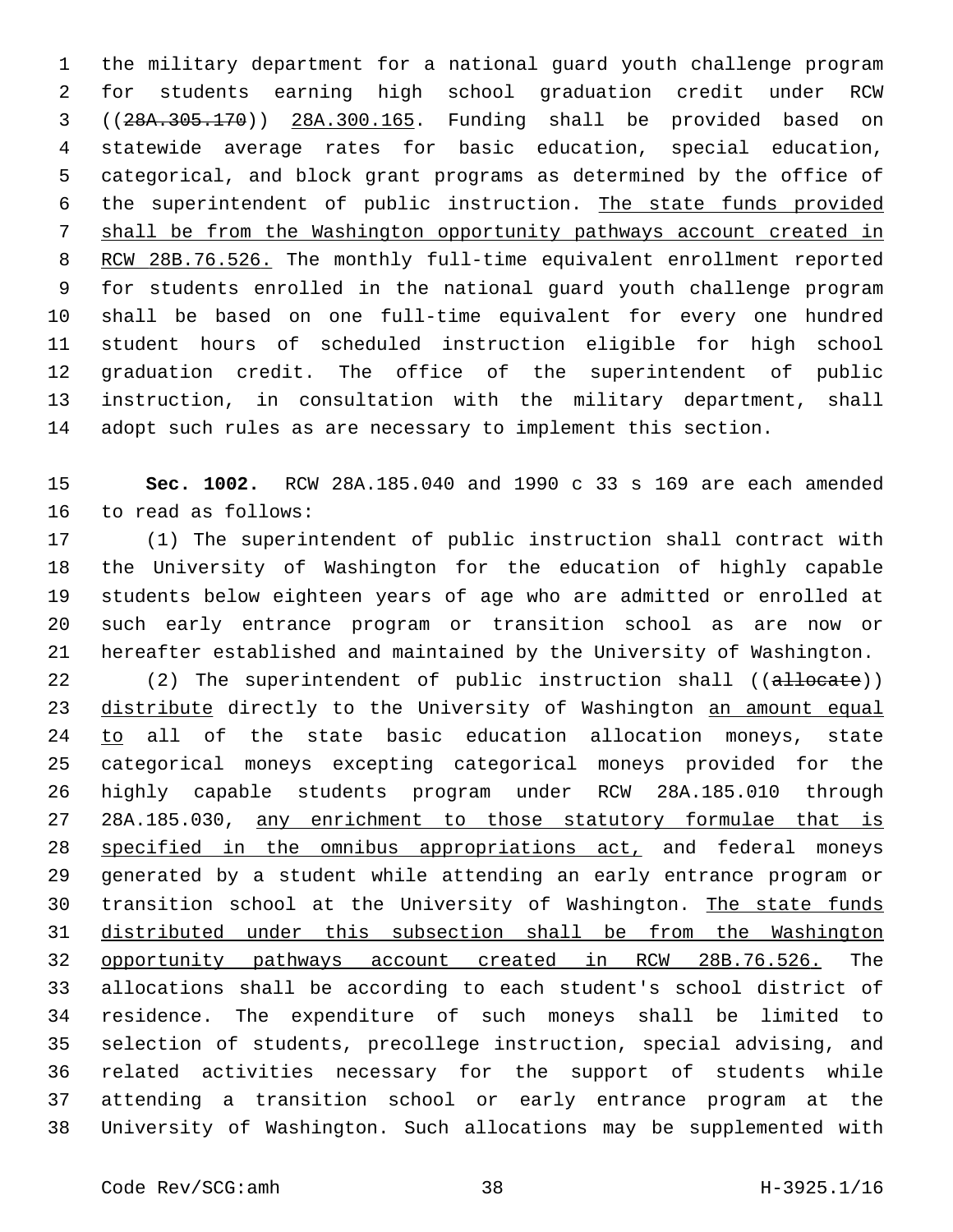the military department for a national guard youth challenge program for students earning high school graduation credit under RCW ((28A.305.170)) 28A.300.165. Funding shall be provided based on statewide average rates for basic education, special education, categorical, and block grant programs as determined by the office of the superintendent of public instruction. The state funds provided shall be from the Washington opportunity pathways account created in 8 RCW 28B.76.526. The monthly full-time equivalent enrollment reported for students enrolled in the national guard youth challenge program shall be based on one full-time equivalent for every one hundred student hours of scheduled instruction eligible for high school graduation credit. The office of the superintendent of public instruction, in consultation with the military department, shall adopt such rules as are necessary to implement this section.

 **Sec. 1002.** RCW 28A.185.040 and 1990 c 33 s 169 are each amended 16 to read as follows:

 (1) The superintendent of public instruction shall contract with the University of Washington for the education of highly capable students below eighteen years of age who are admitted or enrolled at such early entrance program or transition school as are now or hereafter established and maintained by the University of Washington.

22 (2) The superintendent of public instruction shall ((allocate)) 23 distribute directly to the University of Washington an amount equal 24 to all of the state basic education allocation moneys, state categorical moneys excepting categorical moneys provided for the highly capable students program under RCW 28A.185.010 through 28A.185.030, any enrichment to those statutory formulae that is specified in the omnibus appropriations act, and federal moneys generated by a student while attending an early entrance program or 30 transition school at the University of Washington. The state funds distributed under this subsection shall be from the Washington opportunity pathways account created in RCW 28B.76.526. The allocations shall be according to each student's school district of residence. The expenditure of such moneys shall be limited to selection of students, precollege instruction, special advising, and related activities necessary for the support of students while attending a transition school or early entrance program at the University of Washington. Such allocations may be supplemented with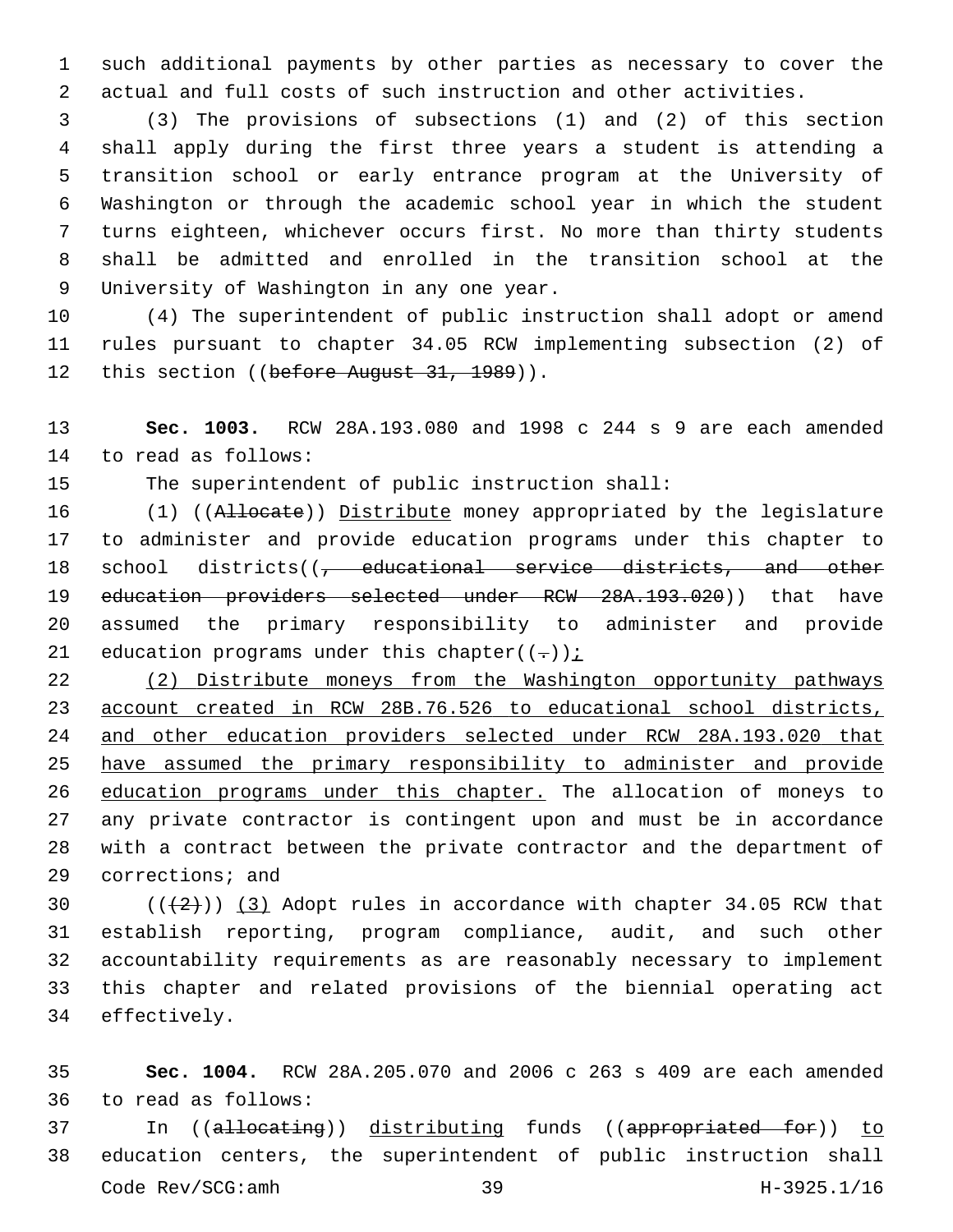such additional payments by other parties as necessary to cover the actual and full costs of such instruction and other activities.

 (3) The provisions of subsections (1) and (2) of this section shall apply during the first three years a student is attending a transition school or early entrance program at the University of Washington or through the academic school year in which the student turns eighteen, whichever occurs first. No more than thirty students shall be admitted and enrolled in the transition school at the 9 University of Washington in any one year.

 (4) The superintendent of public instruction shall adopt or amend rules pursuant to chapter 34.05 RCW implementing subsection (2) of 12 this section ((before August 31, 1989)).

 **Sec. 1003.** RCW 28A.193.080 and 1998 c 244 s 9 are each amended 14 to read as follows:

The superintendent of public instruction shall:

 (1) ((Allocate)) Distribute money appropriated by the legislature to administer and provide education programs under this chapter to 18 school districts((<del>, educational service districts, and other</del> 19 education providers selected under RCW 28A.193.020)) that have assumed the primary responsibility to administer and provide 21 education programs under this chapter( $(-)$ );

 (2) Distribute moneys from the Washington opportunity pathways account created in RCW 28B.76.526 to educational school districts, and other education providers selected under RCW 28A.193.020 that have assumed the primary responsibility to administer and provide 26 education programs under this chapter. The allocation of moneys to any private contractor is contingent upon and must be in accordance with a contract between the private contractor and the department of 29 corrections; and

 $((+2))$   $(3)$  Adopt rules in accordance with chapter 34.05 RCW that establish reporting, program compliance, audit, and such other accountability requirements as are reasonably necessary to implement this chapter and related provisions of the biennial operating act 34 effectively.

 **Sec. 1004.** RCW 28A.205.070 and 2006 c 263 s 409 are each amended to read as follows:36

 In ((allocating)) distributing funds ((appropriated for)) to education centers, the superintendent of public instruction shall Code Rev/SCG:amh 39 H-3925.1/16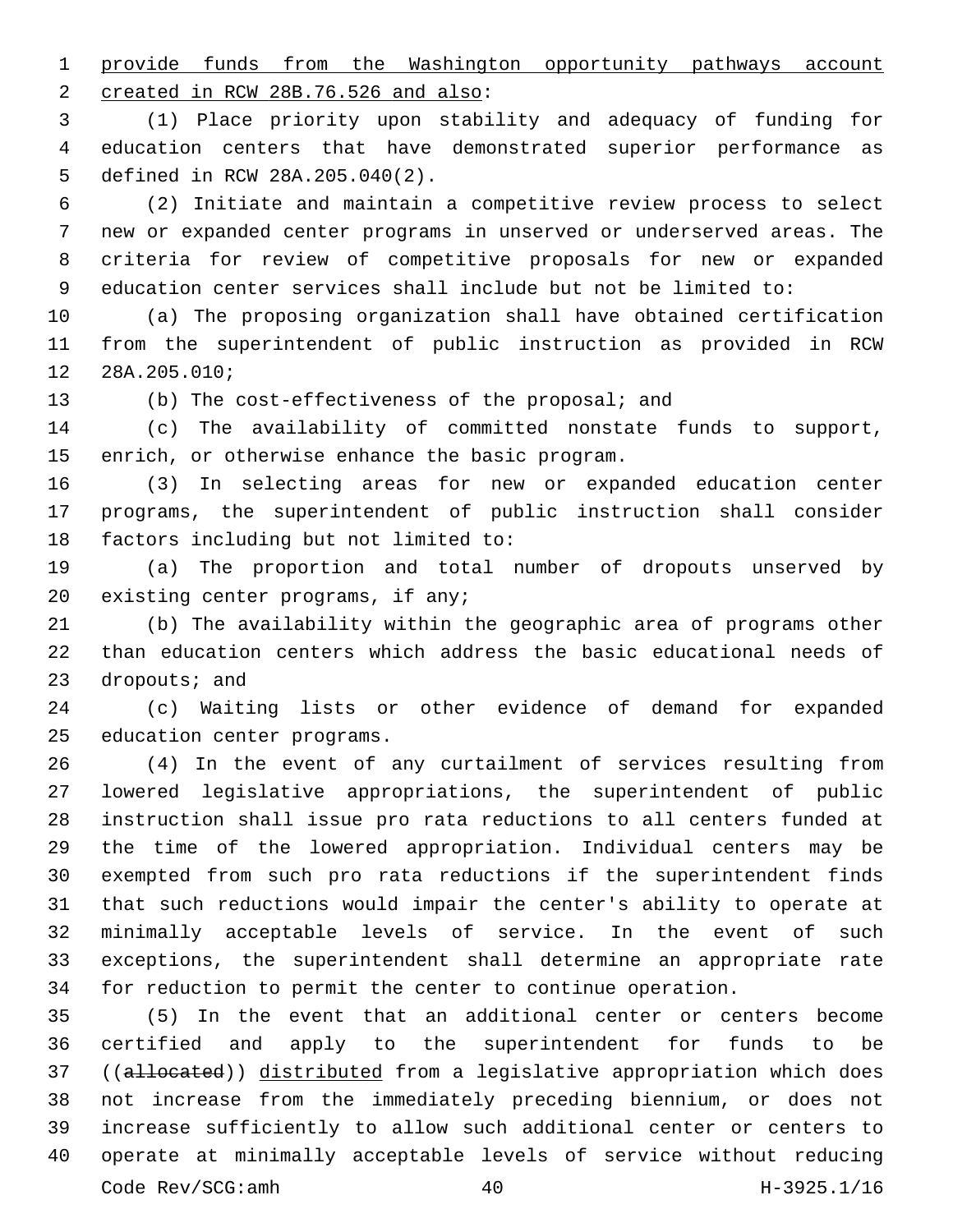provide funds from the Washington opportunity pathways account 2 created in RCW 28B.76.526 and also:

 (1) Place priority upon stability and adequacy of funding for education centers that have demonstrated superior performance as 5 defined in RCW 28A.205.040(2).

 (2) Initiate and maintain a competitive review process to select new or expanded center programs in unserved or underserved areas. The criteria for review of competitive proposals for new or expanded education center services shall include but not be limited to:

 (a) The proposing organization shall have obtained certification from the superintendent of public instruction as provided in RCW 12 28A.205.010;

(b) The cost-effectiveness of the proposal; and

 (c) The availability of committed nonstate funds to support, 15 enrich, or otherwise enhance the basic program.

 (3) In selecting areas for new or expanded education center programs, the superintendent of public instruction shall consider 18 factors including but not limited to:

 (a) The proportion and total number of dropouts unserved by 20 existing center programs, if any;

 (b) The availability within the geographic area of programs other than education centers which address the basic educational needs of dropouts; and

 (c) Waiting lists or other evidence of demand for expanded 25 education center programs.

 (4) In the event of any curtailment of services resulting from lowered legislative appropriations, the superintendent of public instruction shall issue pro rata reductions to all centers funded at the time of the lowered appropriation. Individual centers may be exempted from such pro rata reductions if the superintendent finds that such reductions would impair the center's ability to operate at minimally acceptable levels of service. In the event of such exceptions, the superintendent shall determine an appropriate rate for reduction to permit the center to continue operation.

 (5) In the event that an additional center or centers become certified and apply to the superintendent for funds to be 37 ((allocated)) distributed from a legislative appropriation which does not increase from the immediately preceding biennium, or does not increase sufficiently to allow such additional center or centers to operate at minimally acceptable levels of service without reducing Code Rev/SCG:amh 40 H-3925.1/16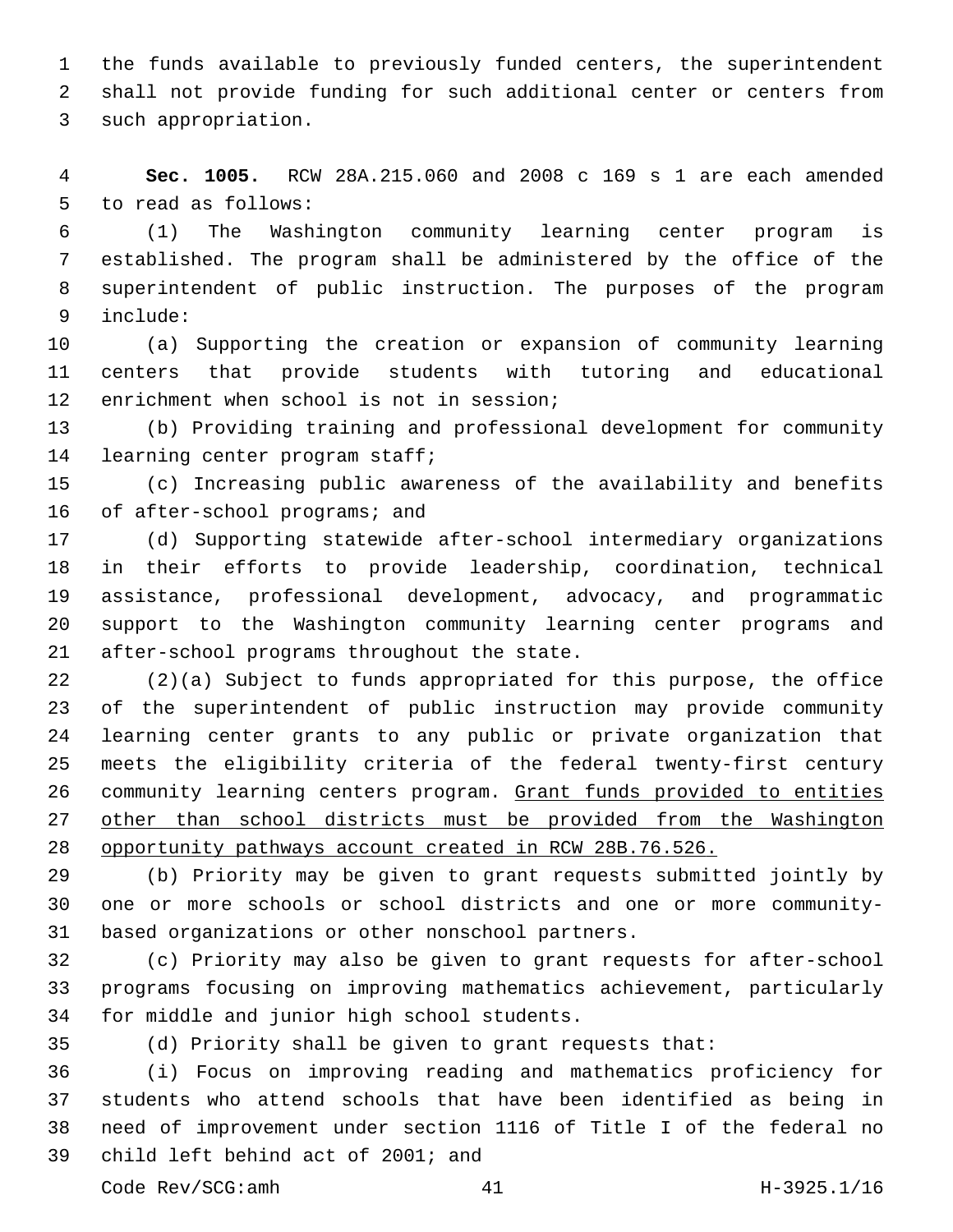the funds available to previously funded centers, the superintendent shall not provide funding for such additional center or centers from 3 such appropriation.

 **Sec. 1005.** RCW 28A.215.060 and 2008 c 169 s 1 are each amended 5 to read as follows:

 (1) The Washington community learning center program is established. The program shall be administered by the office of the superintendent of public instruction. The purposes of the program 9 include:

 (a) Supporting the creation or expansion of community learning centers that provide students with tutoring and educational 12 enrichment when school is not in session;

 (b) Providing training and professional development for community 14 learning center program staff;

 (c) Increasing public awareness of the availability and benefits 16 of after-school programs; and

 (d) Supporting statewide after-school intermediary organizations in their efforts to provide leadership, coordination, technical assistance, professional development, advocacy, and programmatic support to the Washington community learning center programs and 21 after-school programs throughout the state.

 (2)(a) Subject to funds appropriated for this purpose, the office of the superintendent of public instruction may provide community learning center grants to any public or private organization that meets the eligibility criteria of the federal twenty-first century community learning centers program. Grant funds provided to entities other than school districts must be provided from the Washington opportunity pathways account created in RCW 28B.76.526.

 (b) Priority may be given to grant requests submitted jointly by one or more schools or school districts and one or more community-31 based organizations or other nonschool partners.

 (c) Priority may also be given to grant requests for after-school programs focusing on improving mathematics achievement, particularly 34 for middle and junior high school students.

(d) Priority shall be given to grant requests that:

 (i) Focus on improving reading and mathematics proficiency for students who attend schools that have been identified as being in need of improvement under section 1116 of Title I of the federal no 39 child left behind act of 2001; and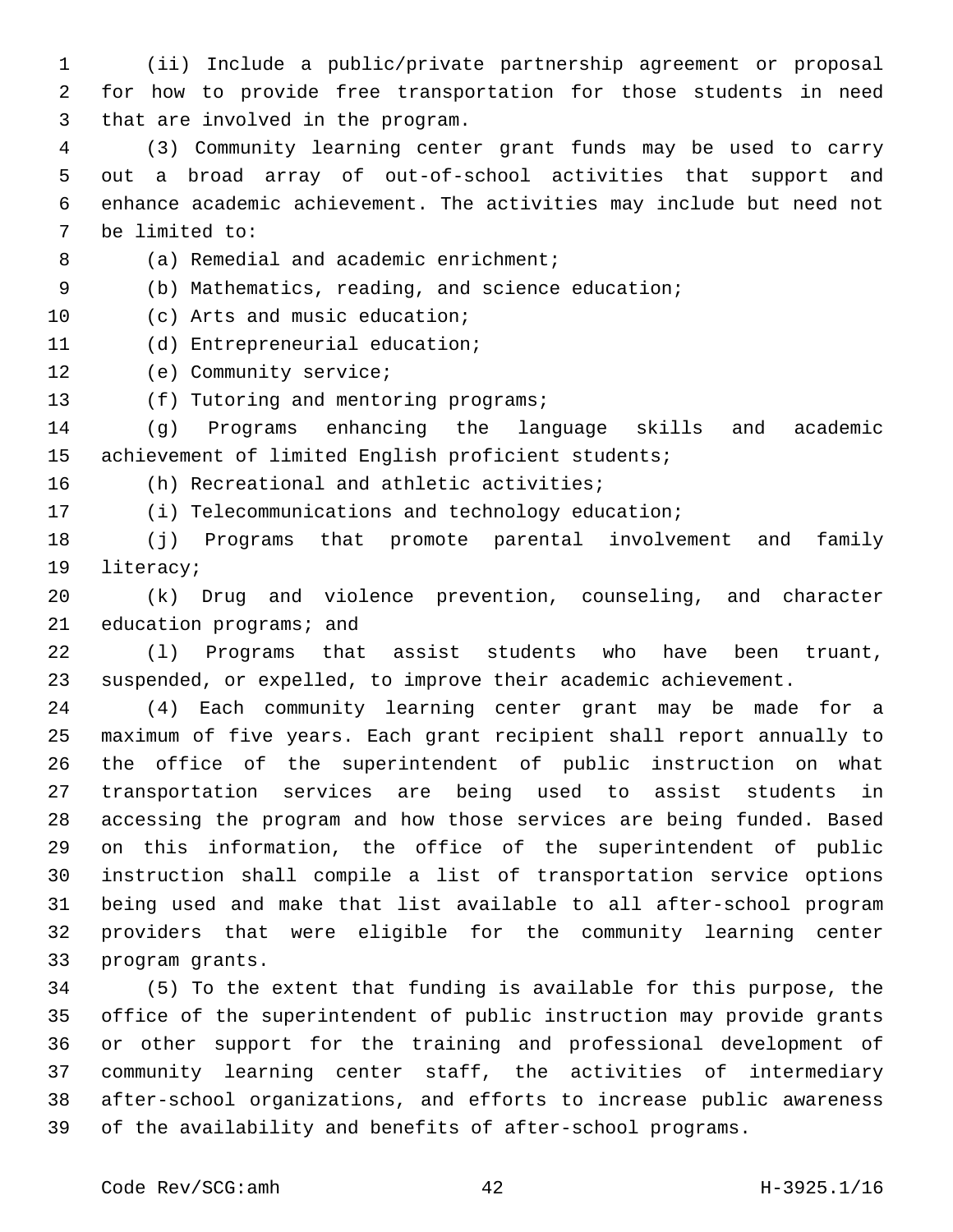- (ii) Include a public/private partnership agreement or proposal for how to provide free transportation for those students in need 3 that are involved in the program.
- (3) Community learning center grant funds may be used to carry out a broad array of out-of-school activities that support and enhance academic achievement. The activities may include but need not 7 be limited to:
- 
- 8 (a) Remedial and academic enrichment;
- (b) Mathematics, reading, and science education;
- 10 (c) Arts and music education;
- 11 (d) Entrepreneurial education;
- 12 (e) Community service;
- 13 (f) Tutoring and mentoring programs;
- (g) Programs enhancing the language skills and academic achievement of limited English proficient students;
- 16 (h) Recreational and athletic activities;
- (i) Telecommunications and technology education;
- (j) Programs that promote parental involvement and family 19 literacy;
- (k) Drug and violence prevention, counseling, and character 21 education programs; and
- (l) Programs that assist students who have been truant, suspended, or expelled, to improve their academic achievement.
- (4) Each community learning center grant may be made for a maximum of five years. Each grant recipient shall report annually to the office of the superintendent of public instruction on what transportation services are being used to assist students in accessing the program and how those services are being funded. Based on this information, the office of the superintendent of public instruction shall compile a list of transportation service options being used and make that list available to all after-school program providers that were eligible for the community learning center 33 program grants.
- (5) To the extent that funding is available for this purpose, the office of the superintendent of public instruction may provide grants or other support for the training and professional development of community learning center staff, the activities of intermediary after-school organizations, and efforts to increase public awareness of the availability and benefits of after-school programs.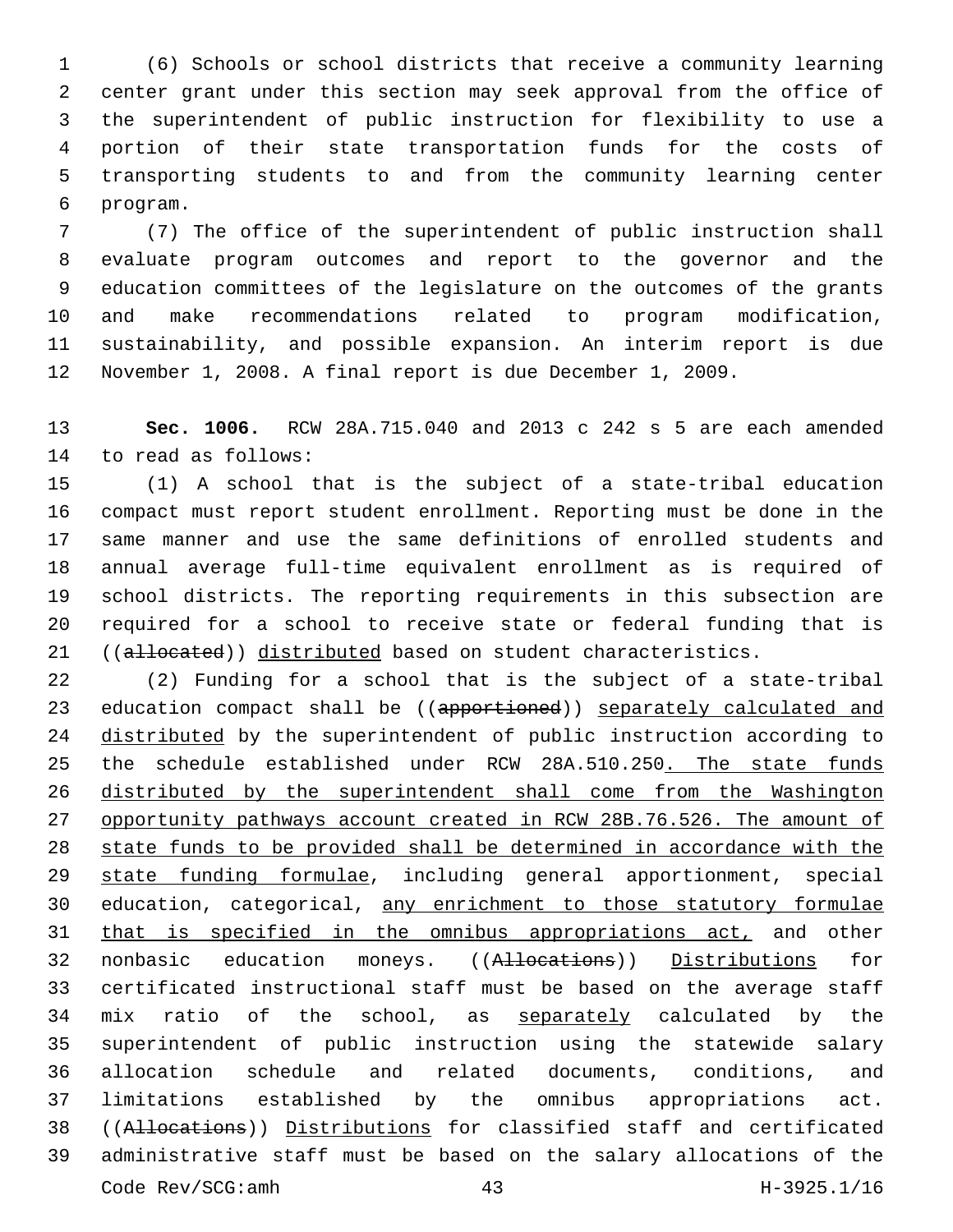(6) Schools or school districts that receive a community learning center grant under this section may seek approval from the office of the superintendent of public instruction for flexibility to use a portion of their state transportation funds for the costs of transporting students to and from the community learning center program.6

 (7) The office of the superintendent of public instruction shall evaluate program outcomes and report to the governor and the education committees of the legislature on the outcomes of the grants and make recommendations related to program modification, sustainability, and possible expansion. An interim report is due November 1, 2008. A final report is due December 1, 2009.

 **Sec. 1006.** RCW 28A.715.040 and 2013 c 242 s 5 are each amended 14 to read as follows:

 (1) A school that is the subject of a state-tribal education compact must report student enrollment. Reporting must be done in the same manner and use the same definitions of enrolled students and annual average full-time equivalent enrollment as is required of school districts. The reporting requirements in this subsection are required for a school to receive state or federal funding that is 21 ((allocated)) distributed based on student characteristics.

 (2) Funding for a school that is the subject of a state-tribal 23 education compact shall be ((apportioned)) separately calculated and distributed by the superintendent of public instruction according to 25 the schedule established under RCW 28A.510.250. The state funds distributed by the superintendent shall come from the Washington opportunity pathways account created in RCW 28B.76.526. The amount of state funds to be provided shall be determined in accordance with the state funding formulae, including general apportionment, special 30 education, categorical, any enrichment to those statutory formulae that is specified in the omnibus appropriations act, and other nonbasic education moneys. ((Allocations)) Distributions for certificated instructional staff must be based on the average staff 34 mix ratio of the school, as separately calculated by the superintendent of public instruction using the statewide salary allocation schedule and related documents, conditions, and limitations established by the omnibus appropriations act. ((Allocations)) Distributions for classified staff and certificated administrative staff must be based on the salary allocations of the Code Rev/SCG:amh 43 H-3925.1/16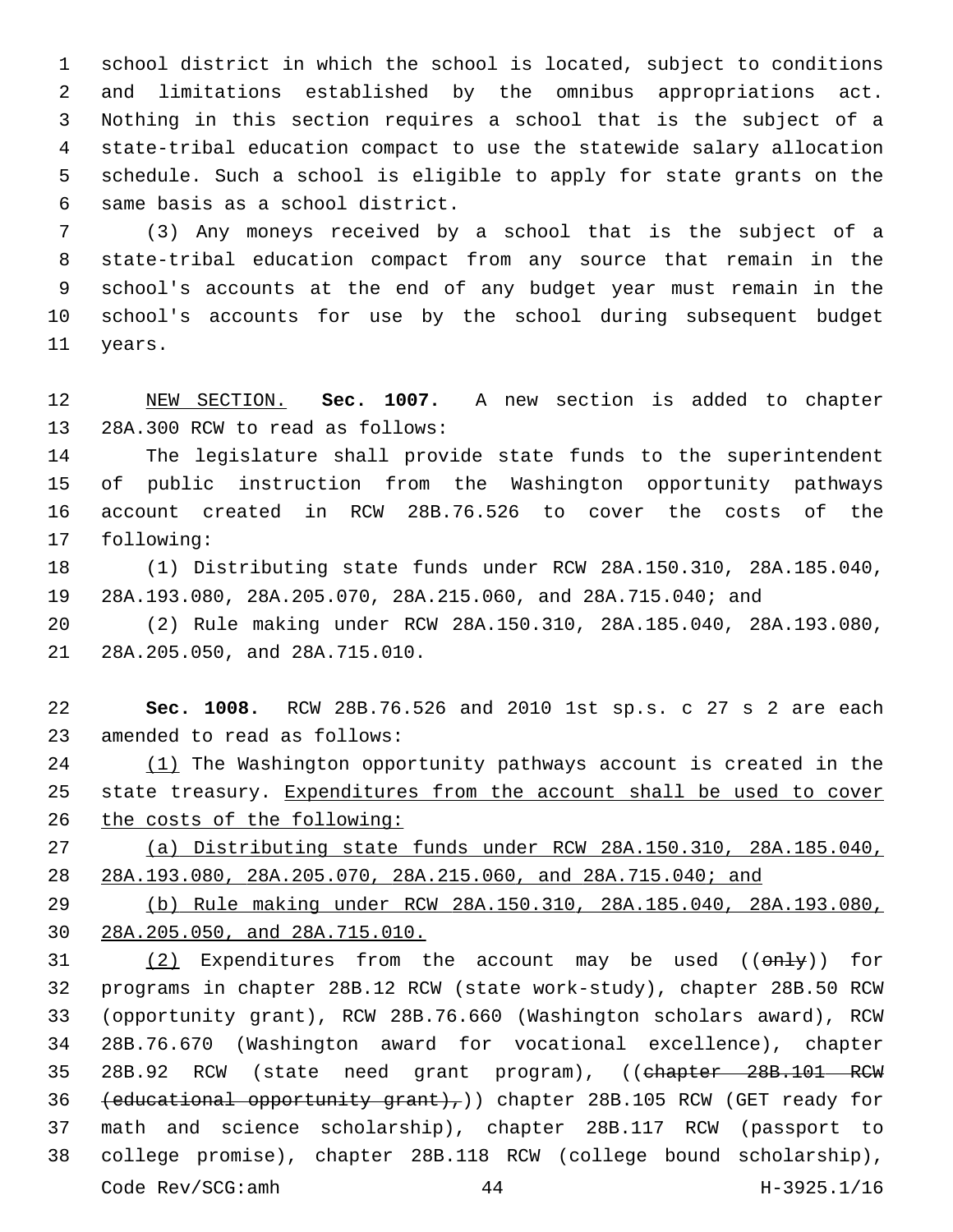school district in which the school is located, subject to conditions and limitations established by the omnibus appropriations act. Nothing in this section requires a school that is the subject of a state-tribal education compact to use the statewide salary allocation schedule. Such a school is eligible to apply for state grants on the 6 same basis as a school district.

 (3) Any moneys received by a school that is the subject of a state-tribal education compact from any source that remain in the school's accounts at the end of any budget year must remain in the school's accounts for use by the school during subsequent budget 11 years.

 NEW SECTION. **Sec. 1007.** A new section is added to chapter 13 28A.300 RCW to read as follows:

 The legislature shall provide state funds to the superintendent of public instruction from the Washington opportunity pathways account created in RCW 28B.76.526 to cover the costs of the 17 following:

 (1) Distributing state funds under RCW 28A.150.310, 28A.185.040, 28A.193.080, 28A.205.070, 28A.215.060, and 28A.715.040; and

 (2) Rule making under RCW 28A.150.310, 28A.185.040, 28A.193.080, 21 28A.205.050, and 28A.715.010.

 **Sec. 1008.** RCW 28B.76.526 and 2010 1st sp.s. c 27 s 2 are each 23 amended to read as follows:

24 (1) The Washington opportunity pathways account is created in the state treasury. Expenditures from the account shall be used to cover the costs of the following:

 (a) Distributing state funds under RCW 28A.150.310, 28A.185.040, 28A.193.080, 28A.205.070, 28A.215.060, and 28A.715.040; and

 (b) Rule making under RCW 28A.150.310, 28A.185.040, 28A.193.080, 28A.205.050, and 28A.715.010.

 $(2)$  Expenditures from the account may be used  $((\text{only})$  for programs in chapter 28B.12 RCW (state work-study), chapter 28B.50 RCW (opportunity grant), RCW 28B.76.660 (Washington scholars award), RCW 28B.76.670 (Washington award for vocational excellence), chapter 35 28B.92 RCW (state need grant program), ((chapter 28B.101 RCW (educational opportunity grant),)) chapter 28B.105 RCW (GET ready for math and science scholarship), chapter 28B.117 RCW (passport to college promise), chapter 28B.118 RCW (college bound scholarship), Code Rev/SCG:amh 44 H-3925.1/16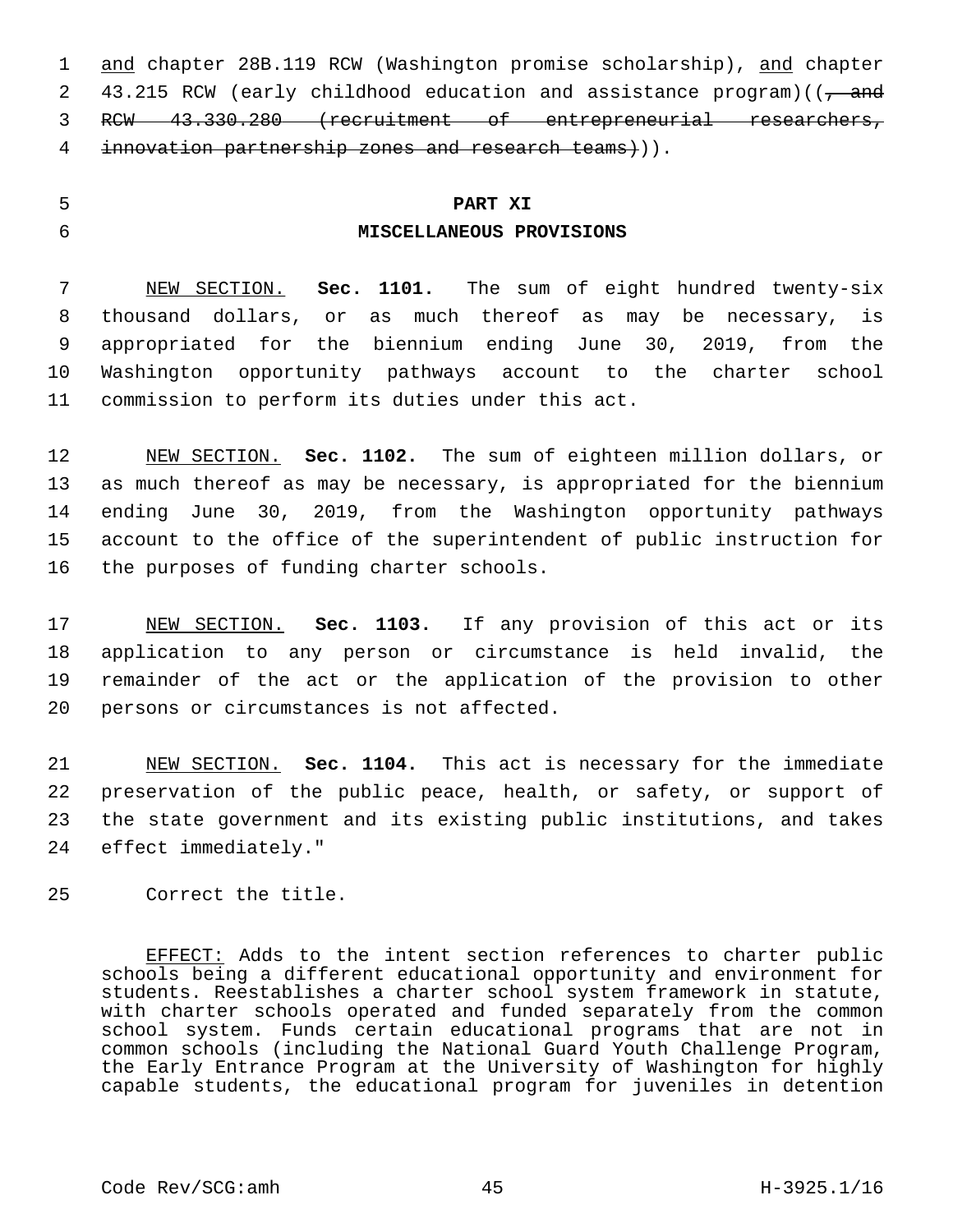and chapter 28B.119 RCW (Washington promise scholarship), and chapter 2 43.215 RCW (early childhood education and assistance program)(( $\frac{1}{2}$  and RCW 43.330.280 (recruitment of entrepreneurial researchers, innovation partnership zones and research teams))).

# **PART XI**

## **MISCELLANEOUS PROVISIONS**

 NEW SECTION. **Sec. 1101.** The sum of eight hundred twenty-six thousand dollars, or as much thereof as may be necessary, is appropriated for the biennium ending June 30, 2019, from the Washington opportunity pathways account to the charter school commission to perform its duties under this act.

 NEW SECTION. **Sec. 1102.** The sum of eighteen million dollars, or as much thereof as may be necessary, is appropriated for the biennium ending June 30, 2019, from the Washington opportunity pathways account to the office of the superintendent of public instruction for the purposes of funding charter schools.

 NEW SECTION. **Sec. 1103.** If any provision of this act or its application to any person or circumstance is held invalid, the remainder of the act or the application of the provision to other persons or circumstances is not affected.

 NEW SECTION. **Sec. 1104.** This act is necessary for the immediate preservation of the public peace, health, or safety, or support of the state government and its existing public institutions, and takes effect immediately."

25 Correct the title.

EFFECT: Adds to the intent section references to charter public schools being a different educational opportunity and environment for students. Reestablishes a charter school system framework in statute, with charter schools operated and funded separately from the common school system. Funds certain educational programs that are not in common schools (including the National Guard Youth Challenge Program, the Early Entrance Program at the University of Washington for highly capable students, the educational program for juveniles in detention